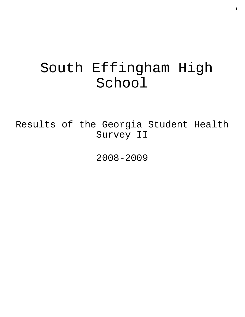# South Effingham High School

Results of the Georgia Student Health Survey II

2008-2009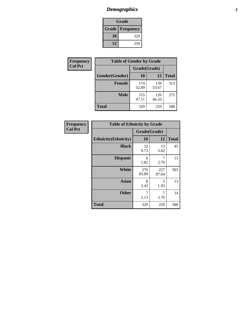# *Demographics* **2**

| Grade                    |     |  |  |  |
|--------------------------|-----|--|--|--|
| <b>Grade   Frequency</b> |     |  |  |  |
| 10                       | 329 |  |  |  |
| 12                       | 259 |  |  |  |

| Frequency      | <b>Table of Gender by Grade</b> |              |              |              |  |  |
|----------------|---------------------------------|--------------|--------------|--------------|--|--|
| <b>Col Pct</b> |                                 | Grade(Grade) |              |              |  |  |
|                | Gender(Gender)                  | 10           | 12           | <b>Total</b> |  |  |
|                | <b>Female</b>                   | 174<br>52.89 | 139<br>53.67 | 313          |  |  |
|                | <b>Male</b>                     | 155<br>47.11 | 120<br>46.33 | 275          |  |  |
|                | <b>Total</b>                    | 329          | 259          | 588          |  |  |

| Frequency<br>Col Pct |
|----------------------|
|                      |

| <b>Table of Ethnicity by Grade</b> |              |              |              |  |  |  |
|------------------------------------|--------------|--------------|--------------|--|--|--|
|                                    | Grade(Grade) |              |              |  |  |  |
| <b>Ethnicity</b> (Ethnicity)       | 10           | 12           | <b>Total</b> |  |  |  |
| <b>Black</b>                       | 32<br>9.73   | 13<br>5.02   | 45           |  |  |  |
| <b>Hispanic</b>                    | 6<br>1.82    | 7<br>2.70    | 13           |  |  |  |
| White                              | 276<br>83.89 | 227<br>87.64 | 503          |  |  |  |
| <b>Asian</b>                       | 8<br>2.43    | 5<br>1.93    | 13           |  |  |  |
| <b>Other</b>                       | 7<br>2.13    | 7<br>2.70    | 14           |  |  |  |
| <b>Total</b>                       | 329          | 259          | 588          |  |  |  |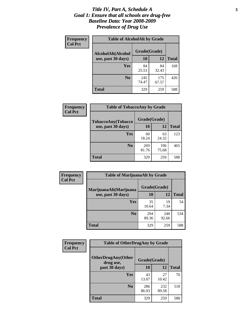### *Title IV, Part A, Schedule A* **3** *Goal 1: Ensure that all schools are drug-free Baseline Data: Year 2008-2009 Prevalence of Drug Use*

| Frequency<br><b>Col Pct</b> | <b>Table of AlcoholAlt by Grade</b> |              |              |              |  |  |
|-----------------------------|-------------------------------------|--------------|--------------|--------------|--|--|
|                             | AlcoholAlt(Alcohol                  | Grade(Grade) |              |              |  |  |
|                             | use, past 30 days)                  | 10           | 12           | <b>Total</b> |  |  |
|                             | Yes                                 | 84<br>25.53  | 84<br>32.43  | 168          |  |  |
|                             | N <sub>0</sub>                      | 245<br>74.47 | 175<br>67.57 | 420          |  |  |
|                             | <b>Total</b>                        | 329          | 259          | 588          |  |  |

| Frequency      | <b>Table of TobaccoAny by Grade</b> |              |              |              |  |
|----------------|-------------------------------------|--------------|--------------|--------------|--|
| <b>Col Pct</b> | TobaccoAny(Tobacco                  | Grade(Grade) |              |              |  |
|                | use, past 30 days)                  | 10           | 12           | <b>Total</b> |  |
|                | Yes                                 | 60<br>18.24  | 63<br>24.32  | 123          |  |
|                | N <sub>0</sub>                      | 269<br>81.76 | 196<br>75.68 | 465          |  |
|                | Total                               | 329          | 259          | 588          |  |

| Frequency<br><b>Col Pct</b> | <b>Table of MarijuanaAlt by Grade</b> |              |              |              |  |
|-----------------------------|---------------------------------------|--------------|--------------|--------------|--|
|                             | MarijuanaAlt(Marijuana                | Grade(Grade) |              |              |  |
|                             | use, past 30 days)                    | <b>10</b>    | 12           | <b>Total</b> |  |
|                             | <b>Yes</b>                            | 35<br>10.64  | 19<br>7.34   | 54           |  |
|                             | N <sub>0</sub>                        | 294<br>89.36 | 240<br>92.66 | 534          |  |
|                             | <b>Total</b>                          | 329          | 259          | 588          |  |

| Frequency<br><b>Col Pct</b> | <b>Table of OtherDrugAny by Grade</b>                  |              |              |              |  |
|-----------------------------|--------------------------------------------------------|--------------|--------------|--------------|--|
|                             | <b>OtherDrugAny(Other</b><br>Grade(Grade)<br>drug use, |              |              |              |  |
|                             | past 30 days)                                          | 10           | 12           | <b>Total</b> |  |
|                             | Yes                                                    | 43<br>13.07  | 27<br>10.42  | 70           |  |
|                             | N <sub>0</sub>                                         | 286<br>86.93 | 232<br>89.58 | 518          |  |
|                             | <b>Total</b>                                           | 329          | 259          | 588          |  |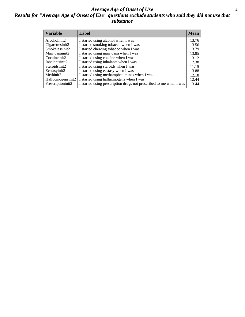### *Average Age of Onset of Use* **4** *Results for "Average Age of Onset of Use" questions exclude students who said they did not use that substance*

| <b>Variable</b>    | Label                                                              | <b>Mean</b> |
|--------------------|--------------------------------------------------------------------|-------------|
| Alcoholinit2       | I started using alcohol when I was                                 | 13.76       |
| Cigarettesinit2    | I started smoking tobacco when I was                               | 13.56       |
| Smokelessinit2     | I started chewing tobacco when I was                               | 13.79       |
| Marijuanainit2     | I started using marijuana when I was                               | 13.85       |
| Cocaineinit2       | I started using cocaine when I was                                 | 13.12       |
| Inhalantsinit2     | I started using inhalants when I was                               | 12.38       |
| Steroidsinit2      | I started using steroids when I was                                | 11.15       |
| Ecstasyinit2       | I started using ecstasy when I was                                 | 13.88       |
| Methinit2          | I started using methamphetamines when I was                        | 12.18       |
| Hallucinogensinit2 | I started using hallucinogens when I was                           | 12.44       |
| Prescriptioninit2  | I started using prescription drugs not prescribed to me when I was | 13.44       |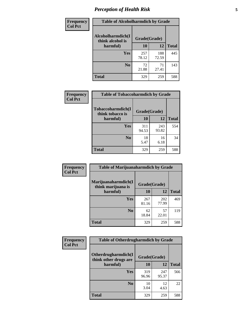# *Perception of Health Risk* **5**

| Frequency      | <b>Table of Alcoholharmdich by Grade</b> |              |              |              |  |
|----------------|------------------------------------------|--------------|--------------|--------------|--|
| <b>Col Pct</b> | Alcoholharmdich(I<br>think alcohol is    | Grade(Grade) |              |              |  |
|                | harmful)                                 | 10           | 12           | <b>Total</b> |  |
|                | <b>Yes</b>                               | 257<br>78.12 | 188<br>72.59 | 445          |  |
|                | N <sub>0</sub>                           | 72<br>21.88  | 71<br>27.41  | 143          |  |
|                | <b>Total</b>                             | 329          | 259          | 588          |  |

| Frequency      | <b>Table of Tobaccoharmdich by Grade</b>     |              |              |              |  |
|----------------|----------------------------------------------|--------------|--------------|--------------|--|
| <b>Col Pct</b> | <b>Tobaccoharmdich(I</b><br>think tobacco is | Grade(Grade) |              |              |  |
|                | harmful)                                     | 10           | 12           | <b>Total</b> |  |
|                | Yes                                          | 311<br>94.53 | 243<br>93.82 | 554          |  |
|                | N <sub>0</sub>                               | 18<br>5.47   | 16<br>6.18   | 34           |  |
|                | <b>Total</b>                                 | 329          | 259          | 588          |  |

| Frequency      | <b>Table of Marijuanaharmdich by Grade</b>                |              |              |              |  |
|----------------|-----------------------------------------------------------|--------------|--------------|--------------|--|
| <b>Col Pct</b> | Marijuanaharmdich(I<br>Grade(Grade)<br>think marijuana is |              |              |              |  |
|                | harmful)                                                  | 10           | 12           | <b>Total</b> |  |
|                | Yes                                                       | 267<br>81.16 | 202<br>77.99 | 469          |  |
|                | N <sub>0</sub>                                            | 62<br>18.84  | 57<br>22.01  | 119          |  |
|                | <b>Total</b>                                              | 329          | 259          | 588          |  |

| <b>Frequency</b> | <b>Table of Otherdrugharmdich by Grade</b>   |              |              |              |  |  |  |  |
|------------------|----------------------------------------------|--------------|--------------|--------------|--|--|--|--|
| <b>Col Pct</b>   | Otherdrugharmdich(I<br>think other drugs are | Grade(Grade) |              |              |  |  |  |  |
|                  | harmful)                                     | 10           | 12           | <b>Total</b> |  |  |  |  |
|                  | Yes                                          | 319<br>96.96 | 247<br>95.37 | 566          |  |  |  |  |
|                  | N <sub>0</sub>                               | 10<br>3.04   | 12<br>4.63   | 22           |  |  |  |  |
|                  | <b>Total</b>                                 | 329          | 259          | 588          |  |  |  |  |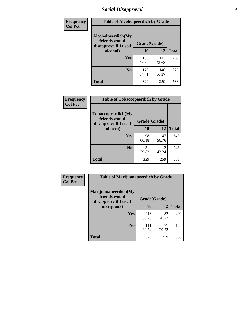# *Social Disapproval* **6**

| Frequency      | <b>Table of Alcoholpeerdich by Grade</b>                    |              |              |     |
|----------------|-------------------------------------------------------------|--------------|--------------|-----|
| <b>Col Pct</b> | Alcoholpeerdich(My<br>friends would<br>disapprove if I used | Grade(Grade) |              |     |
|                | alcohol)                                                    | 10           | <b>Total</b> |     |
|                | <b>Yes</b>                                                  | 150<br>45.59 | 113<br>43.63 | 263 |
|                | N <sub>0</sub>                                              | 179<br>54.41 | 146<br>56.37 | 325 |
|                | <b>Total</b>                                                | 329          | 259          | 588 |

| <b>Frequency</b> |
|------------------|
| <b>Col Pct</b>   |

| <b>Table of Tobaccopeerdich by Grade</b>                    |              |              |              |  |  |  |  |
|-------------------------------------------------------------|--------------|--------------|--------------|--|--|--|--|
| Tobaccopeerdich(My<br>friends would<br>disapprove if I used | Grade(Grade) |              |              |  |  |  |  |
| tobacco)                                                    | 10           | 12           | <b>Total</b> |  |  |  |  |
| Yes                                                         | 198<br>60.18 | 147<br>56.76 | 345          |  |  |  |  |
| N <sub>0</sub>                                              | 131<br>39.82 | 112<br>43.24 | 243          |  |  |  |  |
| <b>Total</b>                                                | 329          | 259          | 588          |  |  |  |  |

| <b>Frequency</b> | <b>Table of Marijuanapeerdich by Grade</b>                    |              |              |              |  |  |  |  |
|------------------|---------------------------------------------------------------|--------------|--------------|--------------|--|--|--|--|
| <b>Col Pct</b>   | Marijuanapeerdich(My<br>friends would<br>disapprove if I used | Grade(Grade) |              |              |  |  |  |  |
|                  | marijuana)                                                    | 10           | 12           | <b>Total</b> |  |  |  |  |
|                  | <b>Yes</b>                                                    | 218<br>66.26 | 182<br>70.27 | 400          |  |  |  |  |
|                  | N <sub>0</sub>                                                | 111<br>33.74 | 77<br>29.73  | 188          |  |  |  |  |
|                  | <b>Total</b>                                                  | 329          | 259          | 588          |  |  |  |  |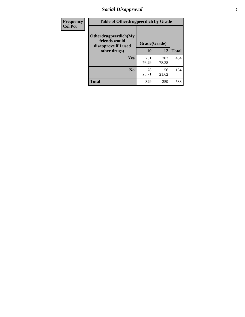# *Social Disapproval* **7**

| Frequency      | <b>Table of Otherdrugpeerdich by Grade</b>                    |              |              |              |  |  |  |  |
|----------------|---------------------------------------------------------------|--------------|--------------|--------------|--|--|--|--|
| <b>Col Pct</b> | Otherdrugpeerdich(My<br>friends would<br>disapprove if I used | Grade(Grade) |              |              |  |  |  |  |
|                | other drugs)                                                  | 10           | 12           | <b>Total</b> |  |  |  |  |
|                | <b>Yes</b>                                                    | 251<br>76.29 | 203<br>78.38 | 454          |  |  |  |  |
|                | N <sub>0</sub>                                                | 78<br>23.71  | 56<br>21.62  | 134          |  |  |  |  |
|                | <b>Total</b>                                                  | 329          | 259          | 588          |  |  |  |  |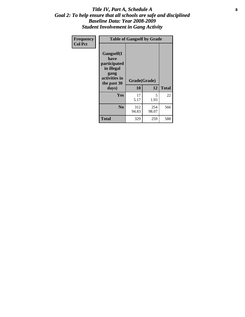### Title IV, Part A, Schedule A **8** *Goal 2: To help ensure that all schools are safe and disciplined Baseline Data: Year 2008-2009 Student Involvement in Gang Activity*

| Frequency      | <b>Table of Gangself by Grade</b>                                                                 |                    |              |              |  |  |
|----------------|---------------------------------------------------------------------------------------------------|--------------------|--------------|--------------|--|--|
| <b>Col Pct</b> | Gangself(I<br>have<br>participated<br>in illegal<br>gang<br>activities in<br>the past 30<br>days) | Grade(Grade)<br>10 | 12           | <b>Total</b> |  |  |
|                | Yes                                                                                               | 17<br>5.17         | 5<br>1.93    | 22           |  |  |
|                | N <sub>0</sub>                                                                                    | 312<br>94.83       | 254<br>98.07 | 566          |  |  |
|                | Total                                                                                             | 329                | 259          | 588          |  |  |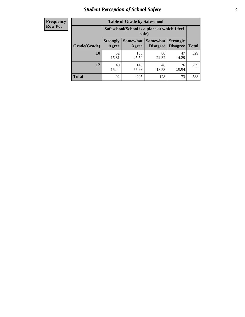# *Student Perception of School Safety* **9**

| <b>Frequency</b><br>Row Pct |
|-----------------------------|
|                             |

| <b>Table of Grade by Safeschool</b> |                                                        |                          |                             |                                    |              |  |  |
|-------------------------------------|--------------------------------------------------------|--------------------------|-----------------------------|------------------------------------|--------------|--|--|
|                                     | Safeschool (School is a place at which I feel<br>safe) |                          |                             |                                    |              |  |  |
| Grade(Grade)                        | <b>Strongly</b><br>Agree                               | <b>Somewhat</b><br>Agree | <b>Somewhat</b><br>Disagree | <b>Strongly</b><br><b>Disagree</b> | <b>Total</b> |  |  |
| 10                                  | 52<br>15.81                                            | 150<br>45.59             | 80<br>24.32                 | 47<br>14.29                        | 329          |  |  |
| 12                                  | 40<br>15.44                                            | 145<br>55.98             | 48<br>18.53                 | 26<br>10.04                        | 259          |  |  |
| <b>Total</b>                        | 92                                                     | 295                      | 128                         | 73                                 | 588          |  |  |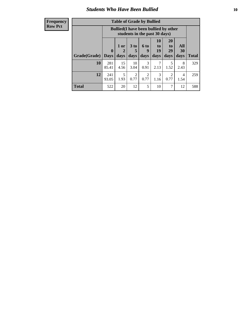### *Students Who Have Been Bullied* **10**

| <b>Frequency</b> |
|------------------|
| Row Pct          |

| <b>Table of Grade by Bullied</b> |                            |                                                                               |                        |                        |                        |                        |                   |       |
|----------------------------------|----------------------------|-------------------------------------------------------------------------------|------------------------|------------------------|------------------------|------------------------|-------------------|-------|
|                                  |                            | <b>Bullied</b> (I have been bullied by other<br>students in the past 30 days) |                        |                        |                        |                        |                   |       |
| Grade(Grade)                     | $\mathbf 0$<br><b>Days</b> | 1 or<br>2<br>days                                                             | 3 to<br>5<br>days      | 6 to<br>9<br>days      | 10<br>to<br>19<br>days | 20<br>to<br>29<br>days | All<br>30<br>days | Total |
| 10                               | 281<br>85.41               | 15<br>4.56                                                                    | 10<br>3.04             | 3<br>0.91              | 2.13                   | 5<br>1.52              | 8<br>2.43         | 329   |
| 12                               | 241<br>93.05               | 5<br>1.93                                                                     | $\mathfrak{D}$<br>0.77 | $\overline{2}$<br>0.77 | 3<br>1.16              | 2<br>0.77              | 4<br>1.54         | 259   |
| <b>Total</b>                     | 522                        | 20                                                                            | 12                     | 5                      | 10                     | 7                      | 12                | 588   |

 $\blacksquare$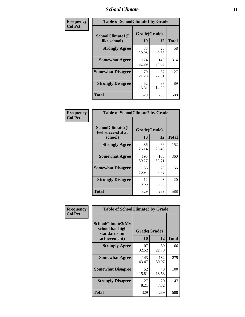### *School Climate* **11**

| Frequency      | <b>Table of SchoolClimate1 by Grade</b> |                    |              |              |  |  |  |
|----------------|-----------------------------------------|--------------------|--------------|--------------|--|--|--|
| <b>Col Pct</b> | SchoolClimate1(I<br>like school)        | Grade(Grade)<br>10 | 12           | <b>Total</b> |  |  |  |
|                | <b>Strongly Agree</b>                   | 33<br>10.03        | 25<br>9.65   | 58           |  |  |  |
|                | <b>Somewhat Agree</b>                   | 174<br>52.89       | 140<br>54.05 | 314          |  |  |  |
|                | <b>Somewhat Disagree</b>                | 70<br>21.28        | 57<br>22.01  | 127          |  |  |  |
|                | <b>Strongly Disagree</b>                | 52<br>15.81        | 37<br>14.29  | 89           |  |  |  |
|                | <b>Total</b>                            | 329                | 259          | 588          |  |  |  |

| Frequency<br>Col Pct |
|----------------------|

| <b>Table of SchoolClimate2 by Grade</b>           |                    |              |              |  |  |
|---------------------------------------------------|--------------------|--------------|--------------|--|--|
| SchoolClimate2(I<br>feel successful at<br>school) | Grade(Grade)<br>10 | 12           | <b>Total</b> |  |  |
| <b>Strongly Agree</b>                             | 86<br>26.14        | 66<br>25.48  | 152          |  |  |
| <b>Somewhat Agree</b>                             | 195<br>59.27       | 165<br>63.71 | 360          |  |  |
| <b>Somewhat Disagree</b>                          | 36<br>10.94        | 20<br>7.72   | 56           |  |  |
| <b>Strongly Disagree</b>                          | 12<br>3.65         | 8<br>3.09    | 20           |  |  |
| <b>Total</b>                                      | 329                | 259          | 588          |  |  |

| Frequency      | <b>Table of SchoolClimate3 by Grade</b>                               |                    |              |              |  |  |
|----------------|-----------------------------------------------------------------------|--------------------|--------------|--------------|--|--|
| <b>Col Pct</b> | SchoolClimate3(My<br>school has high<br>standards for<br>achievement) | Grade(Grade)<br>10 | 12           | <b>Total</b> |  |  |
|                | <b>Strongly Agree</b>                                                 | 107                | 59           | 166          |  |  |
|                |                                                                       | 32.52              | 22.78        |              |  |  |
|                | <b>Somewhat Agree</b>                                                 | 143<br>43.47       | 132<br>50.97 | 275          |  |  |
|                | <b>Somewhat Disagree</b>                                              | 52<br>15.81        | 48<br>18.53  | 100          |  |  |
|                | <b>Strongly Disagree</b>                                              | 27<br>8.21         | 20<br>7.72   | 47           |  |  |
|                | Total                                                                 | 329                | 259          | 588          |  |  |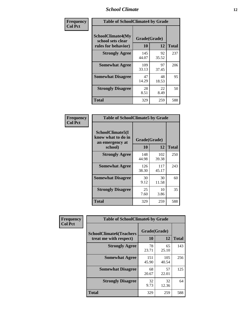### *School Climate* **12**

| Frequency      | <b>Table of SchoolClimate4 by Grade</b>                              |                           |             |              |  |
|----------------|----------------------------------------------------------------------|---------------------------|-------------|--------------|--|
| <b>Col Pct</b> | <b>SchoolClimate4(My</b><br>school sets clear<br>rules for behavior) | Grade(Grade)<br><b>10</b> | 12          | <b>Total</b> |  |
|                | <b>Strongly Agree</b>                                                | 145<br>44.07              | 92<br>35.52 | 237          |  |
|                | <b>Somewhat Agree</b>                                                | 109<br>33.13              | 97<br>37.45 | 206          |  |
|                | <b>Somewhat Disagree</b>                                             | 47<br>14.29               | 48<br>18.53 | 95           |  |
|                | <b>Strongly Disagree</b>                                             | 28<br>8.51                | 22<br>8.49  | 50           |  |
|                | Total                                                                | 329                       | 259         | 588          |  |

| <b>Table of SchoolClimate5 by Grade</b>                   |              |              |              |  |  |
|-----------------------------------------------------------|--------------|--------------|--------------|--|--|
| SchoolClimate5(I<br>know what to do in<br>an emergency at | Grade(Grade) |              |              |  |  |
| school)                                                   | 10           | 12           | <b>Total</b> |  |  |
| <b>Strongly Agree</b>                                     | 148<br>44.98 | 102<br>39.38 | 250          |  |  |
| <b>Somewhat Agree</b>                                     | 126<br>38.30 | 117<br>45.17 | 243          |  |  |
| <b>Somewhat Disagree</b>                                  | 30<br>9.12   | 30<br>11.58  | 60           |  |  |
| <b>Strongly Disagree</b>                                  | 25<br>7.60   | 10<br>3.86   | 35           |  |  |
| Total                                                     | 329          | 259          | 588          |  |  |

| Frequency      | <b>Table of SchoolClimate6 by Grade</b>                  |                    |              |              |  |
|----------------|----------------------------------------------------------|--------------------|--------------|--------------|--|
| <b>Col Pct</b> | <b>SchoolClimate6(Teachers</b><br>treat me with respect) | Grade(Grade)<br>10 | 12           | <b>Total</b> |  |
|                | <b>Strongly Agree</b>                                    | 78<br>23.71        | 65<br>25.10  | 143          |  |
|                | <b>Somewhat Agree</b>                                    | 151<br>45.90       | 105<br>40.54 | 256          |  |
|                | <b>Somewhat Disagree</b>                                 | 68<br>20.67        | 57<br>22.01  | 125          |  |
|                | <b>Strongly Disagree</b>                                 | 32<br>9.73         | 32<br>12.36  | 64           |  |
|                | <b>Total</b>                                             | 329                | 259          | 588          |  |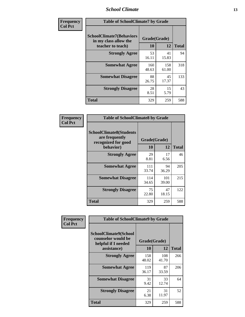### *School Climate* **13**

| Frequency      | <b>Table of SchoolClimate7 by Grade</b>                                       |                    |              |              |  |
|----------------|-------------------------------------------------------------------------------|--------------------|--------------|--------------|--|
| <b>Col Pct</b> | <b>SchoolClimate7(Behaviors</b><br>in my class allow the<br>teacher to teach) | Grade(Grade)<br>10 | <b>12</b>    | <b>Total</b> |  |
|                | <b>Strongly Agree</b>                                                         | 53<br>16.11        | 41<br>15.83  | 94           |  |
|                | <b>Somewhat Agree</b>                                                         | 160<br>48.63       | 158<br>61.00 | 318          |  |
|                | <b>Somewhat Disagree</b>                                                      | 88<br>26.75        | 45<br>17.37  | 133          |  |
|                | <b>Strongly Disagree</b>                                                      | 28<br>8.51         | 15<br>5.79   | 43           |  |
|                | <b>Total</b>                                                                  | 329                | 259          | 588          |  |

| Frequency      | <b>Table of SchoolClimate8 by Grade</b>                                              |                    |              |              |  |
|----------------|--------------------------------------------------------------------------------------|--------------------|--------------|--------------|--|
| <b>Col Pct</b> | <b>SchoolClimate8(Students</b><br>are frequently<br>recognized for good<br>behavior) | Grade(Grade)<br>10 | 12           | <b>Total</b> |  |
|                | <b>Strongly Agree</b>                                                                | 29<br>8.81         | 17<br>6.56   | 46           |  |
|                | <b>Somewhat Agree</b>                                                                | 111<br>33.74       | 94<br>36.29  | 205          |  |
|                | <b>Somewhat Disagree</b>                                                             | 114<br>34.65       | 101<br>39.00 | 215          |  |
|                | <b>Strongly Disagree</b>                                                             | 75<br>22.80        | 47<br>18.15  | 122          |  |
|                | <b>Total</b>                                                                         | 329                | 259          | 588          |  |

| Frequency      | <b>Table of SchoolClimate9 by Grade</b>                                           |                    |              |              |
|----------------|-----------------------------------------------------------------------------------|--------------------|--------------|--------------|
| <b>Col Pct</b> | SchoolClimate9(School<br>counselor would be<br>helpful if I needed<br>assistance) | Grade(Grade)<br>10 | 12           | <b>Total</b> |
|                | <b>Strongly Agree</b>                                                             | 158<br>48.02       | 108<br>41.70 | 266          |
|                | <b>Somewhat Agree</b>                                                             | 119<br>36.17       | 87<br>33.59  | 206          |
|                | <b>Somewhat Disagree</b>                                                          | 31<br>9.42         | 33<br>12.74  | 64           |
|                | <b>Strongly Disagree</b>                                                          | 21<br>6.38         | 31<br>11.97  | 52           |
|                | Total                                                                             | 329                | 259          | 588          |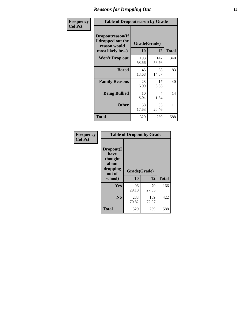### *Reasons for Dropping Out* **14**

| Frequency      | <b>Table of Dropoutreason by Grade</b>                                   |                    |              |              |
|----------------|--------------------------------------------------------------------------|--------------------|--------------|--------------|
| <b>Col Pct</b> | Dropoutreason(If<br>I dropped out the<br>reason would<br>most likely be) | Grade(Grade)<br>10 | 12           | <b>Total</b> |
|                | Won't Drop out                                                           | 193<br>58.66       | 147<br>56.76 | 340          |
|                | <b>Bored</b>                                                             | 45<br>13.68        | 38<br>14.67  | 83           |
|                | <b>Family Reasons</b>                                                    | 23<br>6.99         | 17<br>6.56   | 40           |
|                | <b>Being Bullied</b>                                                     | 10<br>3.04         | 4<br>1.54    | 14           |
|                | <b>Other</b>                                                             | 58<br>17.63        | 53<br>20.46  | 111          |
|                | <b>Total</b>                                                             | 329                | 259          | 588          |

| Frequency<br><b>Col Pct</b> | <b>Table of Dropout by Grade</b>                                       |                    |              |              |  |
|-----------------------------|------------------------------------------------------------------------|--------------------|--------------|--------------|--|
|                             | Dropout(I<br>have<br>thought<br>about<br>dropping<br>out of<br>school) | Grade(Grade)<br>10 | 12           | <b>Total</b> |  |
|                             |                                                                        |                    |              |              |  |
|                             | Yes                                                                    | 96<br>29.18        | 70<br>27.03  | 166          |  |
|                             |                                                                        |                    |              |              |  |
|                             | N <sub>0</sub>                                                         | 233<br>70.82       | 189<br>72.97 | 422          |  |
|                             | <b>Total</b>                                                           | 329                | 259          | 588          |  |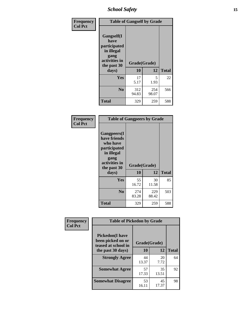*School Safety* **15**

| Frequency      | <b>Table of Gangself by Grade</b>                                                                 |                    |              |              |
|----------------|---------------------------------------------------------------------------------------------------|--------------------|--------------|--------------|
| <b>Col Pct</b> | Gangself(I<br>have<br>participated<br>in illegal<br>gang<br>activities in<br>the past 30<br>days) | Grade(Grade)<br>10 | 12           | <b>Total</b> |
|                | Yes                                                                                               | 17<br>5.17         | 5<br>1.93    | 22           |
|                | N <sub>0</sub>                                                                                    | 312<br>94.83       | 254<br>98.07 | 566          |
|                | <b>Total</b>                                                                                      | 329                | 259          | 588          |

| Frequency<br><b>Col Pct</b> | <b>Table of Gangpeers by Grade</b>                                                                                             |                    |              |              |  |  |  |  |  |
|-----------------------------|--------------------------------------------------------------------------------------------------------------------------------|--------------------|--------------|--------------|--|--|--|--|--|
|                             | <b>Gangpeers</b> (I<br>have friends<br>who have<br>participated<br>in illegal<br>gang<br>activities in<br>the past 30<br>days) | Grade(Grade)<br>10 | 12           | <b>Total</b> |  |  |  |  |  |
|                             | <b>Yes</b>                                                                                                                     | 55<br>16.72        | 30<br>11.58  | 85           |  |  |  |  |  |
|                             | N <sub>0</sub>                                                                                                                 | 274<br>83.28       | 229<br>88.42 | 503          |  |  |  |  |  |
|                             | <b>Total</b>                                                                                                                   | 329                | 259          | 588          |  |  |  |  |  |

| Frequency      | <b>Table of Pickedon by Grade</b>                                  |              |             |              |  |  |  |  |  |  |
|----------------|--------------------------------------------------------------------|--------------|-------------|--------------|--|--|--|--|--|--|
| <b>Col Pct</b> | <b>Pickedon(I have</b><br>been picked on or<br>teased at school in | Grade(Grade) |             |              |  |  |  |  |  |  |
|                | the past 30 days)                                                  | 10           | 12          | <b>Total</b> |  |  |  |  |  |  |
|                | <b>Strongly Agree</b>                                              | 44<br>13.37  | 20<br>7.72  | 64           |  |  |  |  |  |  |
|                | <b>Somewhat Agree</b>                                              | 57<br>17.33  | 35<br>13.51 | 92           |  |  |  |  |  |  |
|                | <b>Somewhat Disagree</b>                                           | 53<br>16.11  | 45<br>17.37 | 98           |  |  |  |  |  |  |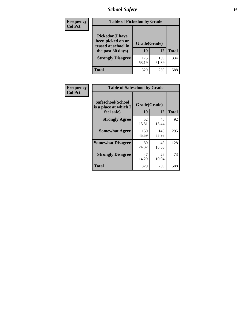# *School Safety* **16**

| Frequency      | <b>Table of Pickedon by Grade</b>                                                        |                    |              |     |
|----------------|------------------------------------------------------------------------------------------|--------------------|--------------|-----|
| <b>Col Pct</b> | <b>Pickedon</b> (I have<br>been picked on or<br>teased at school in<br>the past 30 days) | Grade(Grade)<br>10 | <b>Total</b> |     |
|                | <b>Strongly Disagree</b>                                                                 | 175<br>53.19       | 159<br>61.39 | 334 |
|                | Total                                                                                    | 329                | 259          | 588 |

| Frequency      | <b>Table of Safeschool by Grade</b>                      |                    |              |              |  |  |  |  |  |
|----------------|----------------------------------------------------------|--------------------|--------------|--------------|--|--|--|--|--|
| <b>Col Pct</b> | Safeschool(School<br>is a place at which I<br>feel safe) | Grade(Grade)<br>10 | 12           | <b>Total</b> |  |  |  |  |  |
|                | <b>Strongly Agree</b>                                    | 52<br>15.81        | 40<br>15.44  | 92           |  |  |  |  |  |
|                | <b>Somewhat Agree</b>                                    | 150<br>45.59       | 145<br>55.98 | 295          |  |  |  |  |  |
|                | <b>Somewhat Disagree</b>                                 | 80<br>24.32        | 48<br>18.53  | 128          |  |  |  |  |  |
|                | <b>Strongly Disagree</b>                                 | 47<br>14.29        | 26<br>10.04  | 73           |  |  |  |  |  |
|                | Total                                                    | 329                | 259          | 588          |  |  |  |  |  |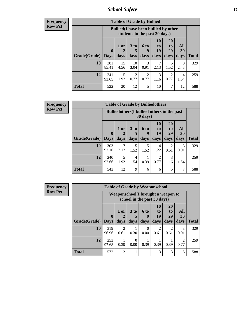*School Safety* **17**

| Frequency      |
|----------------|
| <b>Row Pct</b> |

| <b>Table of Grade by Bullied</b> |                        |                                                                               |                              |                          |                        |                        |                          |              |  |  |  |
|----------------------------------|------------------------|-------------------------------------------------------------------------------|------------------------------|--------------------------|------------------------|------------------------|--------------------------|--------------|--|--|--|
|                                  |                        | <b>Bullied</b> (I have been bullied by other<br>students in the past 30 days) |                              |                          |                        |                        |                          |              |  |  |  |
| Grade(Grade)                     | $\mathbf{0}$<br>  Days | $1$ or<br>days                                                                | 3 <sub>to</sub><br>5<br>days | <b>6 to</b><br>9<br>days | 10<br>to<br>19<br>days | 20<br>to<br>29<br>days | <b>All</b><br>30<br>days | <b>Total</b> |  |  |  |
| 10                               | 281<br>85.41           | 15<br>4.56                                                                    | 10<br>3.04                   | 3<br>0.91                | 2.13                   | 5<br>1.52              | 8<br>2.43                | 329          |  |  |  |
| 12                               | 241<br>93.05           | 5<br>1.93                                                                     | 2<br>0.77                    | 2<br>0.77                | 3<br>1.16              | 2<br>0.77              | 4<br>1.54                | 259          |  |  |  |
| <b>Total</b>                     | 522                    | 20                                                                            | 12                           | 5                        | 10                     | 7                      | 12                       | 588          |  |  |  |

| <b>Frequency</b> |  |
|------------------|--|
| Row Pct          |  |

| <b>Table of Grade by Bulliedothers</b>                         |              |                |                              |                   |                        |                               |                   |              |  |  |  |
|----------------------------------------------------------------|--------------|----------------|------------------------------|-------------------|------------------------|-------------------------------|-------------------|--------------|--|--|--|
| <b>Bulliedothers</b> (I bullied others in the past<br>30 days) |              |                |                              |                   |                        |                               |                   |              |  |  |  |
| <b>Grade</b> (Grade) Days                                      | $\mathbf 0$  | $1$ or<br>days | 3 <sub>to</sub><br>5<br>days | 6 to<br>9<br>days | 10<br>to<br>19<br>days | <b>20</b><br>to<br>29<br>days | All<br>30<br>days | <b>Total</b> |  |  |  |
| 10                                                             | 303<br>92.10 | 2.13           | 5<br>1.52                    | 5<br>1.52         | 4<br>1.22              | 2<br>0.61                     | 3<br>0.91         | 329          |  |  |  |
| 12                                                             | 240<br>92.66 | 5<br>1.93      | 4<br>1.54                    | 0.39              | $\mathfrak{D}$<br>0.77 | 3<br>1.16                     | 4<br>1.54         | 259          |  |  |  |
| <b>Total</b>                                                   | 543          | 12             | 9                            | 6                 | 6                      | 5                             |                   | 588          |  |  |  |

| Frequency      | <b>Table of Grade by Weaponschool</b> |              |                        |                                                                   |                  |                        |                        |                        |              |  |
|----------------|---------------------------------------|--------------|------------------------|-------------------------------------------------------------------|------------------|------------------------|------------------------|------------------------|--------------|--|
| <b>Row Pct</b> |                                       |              |                        | Weaponschool(I brought a weapon to<br>school in the past 30 days) |                  |                        |                        |                        |              |  |
|                |                                       | $\mathbf{0}$ | $1$ or                 | 3 <sub>to</sub>                                                   | 6 to<br>9        | <b>10</b><br>to<br>19  | <b>20</b><br>to<br>29  | <b>All</b><br>30       |              |  |
|                | Grade(Grade)   Days                   |              | days                   | days                                                              | days             | days                   | days                   | days                   | <b>Total</b> |  |
|                | 10                                    | 319<br>96.96 | $\mathfrak{D}$<br>0.61 | 0.30                                                              | $\Omega$<br>0.00 | $\mathfrak{D}$<br>0.61 | $\mathfrak{D}$<br>0.61 | $\mathcal{F}$<br>0.91  | 329          |  |
|                | 12                                    | 253<br>97.68 | 0.39                   | 0<br>0.00                                                         | 0.39             | 0.39                   | 0.39                   | $\overline{2}$<br>0.77 | 259          |  |
|                | <b>Total</b>                          | 572          | 3                      |                                                                   |                  | 3                      | 3                      | 5                      | 588          |  |

ï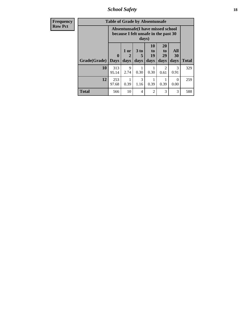*School Safety* **18**

| <b>Frequency</b> | <b>Table of Grade by Absentunsafe</b> |              |                             |                              |                                                                            |                                    |                   |              |  |  |
|------------------|---------------------------------------|--------------|-----------------------------|------------------------------|----------------------------------------------------------------------------|------------------------------------|-------------------|--------------|--|--|
| <b>Row Pct</b>   |                                       |              |                             | days)                        | Absentunsafe (I have missed school<br>because I felt unsafe in the past 30 |                                    |                   |              |  |  |
|                  | Grade(Grade)   Days                   | $\mathbf 0$  | 1 or<br>$\mathbf 2$<br>days | 3 <sub>to</sub><br>5<br>days | 10<br>to<br>19<br>days                                                     | 20<br>t <sub>0</sub><br>29<br>days | All<br>30<br>days | <b>Total</b> |  |  |
|                  | 10                                    | 313<br>95.14 | 9<br>2.74                   | 0.30                         | 0.30                                                                       | 0.61                               | 3<br>0.91         | 329          |  |  |
|                  | 12                                    | 253<br>97.68 | 0.39                        | $\mathcal{R}$<br>1.16        | 0.39                                                                       | 0.39                               | $\Omega$<br>0.00  | 259          |  |  |
|                  | <b>Total</b>                          | 566          | 10                          | 4                            | $\overline{c}$                                                             | 3                                  | 3                 | 588          |  |  |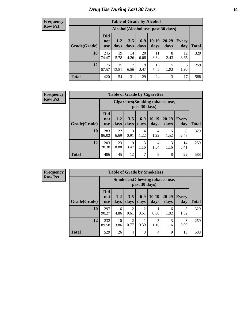# *Drug Use During Last 30 Days* **19**

#### **Frequency Row Pct**

| <b>Table of Grade by Alcohol</b> |                                 |                                     |                 |               |                 |               |                     |       |  |  |  |
|----------------------------------|---------------------------------|-------------------------------------|-----------------|---------------|-----------------|---------------|---------------------|-------|--|--|--|
|                                  |                                 | Alcohol (Alcohol use, past 30 days) |                 |               |                 |               |                     |       |  |  |  |
| Grade(Grade)                     | <b>Did</b><br>not<br><b>use</b> | $1 - 2$<br>days                     | $3 - 5$<br>days | $6-9$<br>days | $10-19$<br>days | 20-29<br>days | <b>Every</b><br>day | Total |  |  |  |
| 10                               | 245<br>74.47                    | 19<br>5.78                          | 14<br>4.26      | 20<br>6.08    | 11<br>3.34      | 8<br>2.43     | 12<br>3.65          | 329   |  |  |  |
| 12                               | 175<br>67.57                    | 35<br>13.51                         | 17<br>6.56      | 9<br>3.47     | 13<br>5.02      | 5<br>1.93     | 5<br>1.93           | 259   |  |  |  |
| <b>Total</b>                     | 420                             | 54                                  | 31              | 29            | 24              | 13            | 17                  | 588   |  |  |  |

#### **Frequency Row Pct**

| <b>Table of Grade by Cigarettes</b> |                                 |                                                                                                                         |           |           |           |           |            |     |  |  |  |
|-------------------------------------|---------------------------------|-------------------------------------------------------------------------------------------------------------------------|-----------|-----------|-----------|-----------|------------|-----|--|--|--|
|                                     |                                 | Cigarettes (Smoking tobacco use,<br>past 30 days)                                                                       |           |           |           |           |            |     |  |  |  |
| Grade(Grade)                        | <b>Did</b><br>not<br><b>use</b> | $10-19$<br>$6-9$<br>20-29<br>$3 - 5$<br>$1 - 2$<br>Every<br><b>Total</b><br>days<br>day<br>days<br>days<br>days<br>days |           |           |           |           |            |     |  |  |  |
| 10                                  | 283<br>86.02                    | 22<br>6.69                                                                                                              | 3<br>0.91 | 4<br>1.22 | 4<br>1.22 | 5<br>1.52 | 8<br>2.43  | 329 |  |  |  |
| 12                                  | 203<br>78.38                    | 23<br>8.88                                                                                                              | 9<br>3.47 | 3<br>1.16 | 4<br>1.54 | 3<br>1.16 | 14<br>5.41 | 259 |  |  |  |
| <b>Total</b>                        | 486                             | 45                                                                                                                      | 12        | 7         | 8         | 8         | 22         | 588 |  |  |  |

**Frequency Row Pct**

| <b>Table of Grade by Smokeless</b> |                                 |                                                         |                        |                        |                 |                 |              |              |  |  |  |  |
|------------------------------------|---------------------------------|---------------------------------------------------------|------------------------|------------------------|-----------------|-----------------|--------------|--------------|--|--|--|--|
|                                    |                                 | <b>Smokeless</b> (Chewing tobacco use,<br>past 30 days) |                        |                        |                 |                 |              |              |  |  |  |  |
| Grade(Grade)                       | <b>Did</b><br>not<br><b>use</b> | $1 - 2$<br>days                                         | $3 - 5$<br>days        | $6 - 9$<br>days        | $10-19$<br>days | $20-29$<br>days | Every<br>day | <b>Total</b> |  |  |  |  |
| 10                                 | 297<br>90.27                    | 16<br>4.86                                              | $\overline{c}$<br>0.61 | $\overline{c}$<br>0.61 | 0.30            | 6<br>1.82       | 5<br>1.52    | 329          |  |  |  |  |
| 12                                 | 232<br>89.58                    | 10<br>3.86                                              | 2<br>0.77              | 0.39                   | 3<br>1.16       | 3<br>1.16       | 8<br>3.09    | 259          |  |  |  |  |
| <b>Total</b>                       | 529                             | 26                                                      | 4                      | 3                      | 4               | 9               | 13           | 588          |  |  |  |  |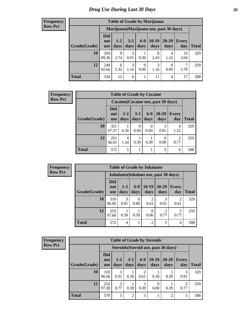| <b>Table of Grade by Marijuana</b> |                                 |                                         |                 |                  |                 |               |              |              |  |  |  |  |
|------------------------------------|---------------------------------|-----------------------------------------|-----------------|------------------|-----------------|---------------|--------------|--------------|--|--|--|--|
|                                    |                                 | Marijuana (Marijuana use, past 30 days) |                 |                  |                 |               |              |              |  |  |  |  |
| Grade(Grade)                       | <b>Did</b><br>not<br><b>use</b> | $1 - 2$<br>days                         | $3 - 5$<br>days | $6 - 9$<br>days  | $10-19$<br>days | 20-29<br>days | Every<br>day | <b>Total</b> |  |  |  |  |
| 10                                 | 294<br>89.36                    | 9<br>2.74                               | 3<br>0.91       | 0.30             | 8<br>2.43       | 4<br>1.22     | 10<br>3.04   | 329          |  |  |  |  |
| 12                                 | 240<br>92.66                    | 6<br>2.32                               | 3<br>1.16       | $\theta$<br>0.00 | 3<br>1.16       | 0<br>0.00     | 7<br>2.70    | 259          |  |  |  |  |
| <b>Total</b>                       | 534                             | 15                                      | 6               | 1                | 11              | 4             | 17           | 588          |  |  |  |  |

| <b>Frequency</b> | <b>Table of Grade by Cocaine</b> |                                     |                 |                 |                  |                   |                     |              |  |
|------------------|----------------------------------|-------------------------------------|-----------------|-----------------|------------------|-------------------|---------------------|--------------|--|
| <b>Row Pct</b>   |                                  | Cocaine (Cocaine use, past 30 days) |                 |                 |                  |                   |                     |              |  |
|                  | Grade(Grade)                     | <b>Did</b><br>not<br><b>use</b>     | $1 - 2$<br>days | $3 - 5$<br>days | $6-9$<br>days    | $20 - 29$<br>days | <b>Every</b><br>day | <b>Total</b> |  |
|                  | 10                               | 321<br>97.57                        | 0.30            | 0<br>0.00       | $\Omega$<br>0.00 | 3<br>0.91         | 4<br>1.22           | 329          |  |
|                  | 12                               | 251<br>96.91                        | 4<br>1.54       | 0.39            | 0.39             | $\Omega$<br>0.00  | 2<br>0.77           | 259          |  |
|                  | <b>Total</b>                     | 572                                 | 5               |                 |                  | 3                 | 6                   | 588          |  |

| <b>Frequency</b> |
|------------------|
| <b>Row Pct</b>   |

r

| <b>Table of Grade by Inhalants</b> |                          |               |                  |                                        |                        |                       |              |  |  |  |  |
|------------------------------------|--------------------------|---------------|------------------|----------------------------------------|------------------------|-----------------------|--------------|--|--|--|--|
|                                    |                          |               |                  | Inhalants (Inhalant use, past 30 days) |                        |                       |              |  |  |  |  |
| Grade(Grade)                       | <b>Did</b><br>not<br>use | $1-2$<br>days | $6-9$<br>days    | $10-19$<br>days                        | $20 - 29$<br>days      | <b>Every</b><br>day   | <b>Total</b> |  |  |  |  |
| 10                                 | 319<br>96.96             | 3<br>0.91     | $\theta$<br>0.00 | $\mathcal{D}$<br>0.61                  | 3<br>0.91              | $\mathcal{D}$<br>0.61 | 329          |  |  |  |  |
| 12                                 | 253<br>97.68             | 0.39          | 0.39             | $\left($<br>0.00                       | $\overline{2}$<br>0.77 | 2<br>0.77             | 259          |  |  |  |  |
| <b>Total</b>                       | 572                      | 4             |                  | $\overline{2}$                         | 5                      | 4                     | 588          |  |  |  |  |

| <b>Frequency</b> |
|------------------|
| <b>Row Pct</b>   |

| <b>Table of Grade by Steroids</b> |                          |                                      |                 |               |                  |                   |                        |       |  |  |  |
|-----------------------------------|--------------------------|--------------------------------------|-----------------|---------------|------------------|-------------------|------------------------|-------|--|--|--|
|                                   |                          | Steroids (Steroid use, past 30 days) |                 |               |                  |                   |                        |       |  |  |  |
| Grade(Grade)                      | Did<br>not<br><b>use</b> | $1-2$<br>days                        | $3 - 5$<br>days | $6-9$<br>days | $10-19$<br>days  | $20 - 29$<br>days | Every<br>day           | Total |  |  |  |
| 10                                | 318<br>96.66             | 3<br>0.91                            | 0.30            | 2<br>0.61     | 0.30             | 0.30              | 0.91                   | 329   |  |  |  |
| 12                                | 252<br>97.30             | 2<br>0.77                            | 0.39            | 0.39          | $\theta$<br>0.00 | 0.39              | $\mathfrak{D}$<br>0.77 | 259   |  |  |  |
| <b>Total</b>                      | 570                      | 5                                    | $\overline{2}$  | 3             | 1                | 2                 | 5                      | 588   |  |  |  |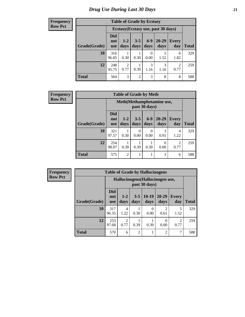| <b>Table of Grade by Ecstasy</b> |                                     |                        |                 |                 |                   |                        |              |  |  |  |  |
|----------------------------------|-------------------------------------|------------------------|-----------------|-----------------|-------------------|------------------------|--------------|--|--|--|--|
|                                  | Ecstasy (Ecstasy use, past 30 days) |                        |                 |                 |                   |                        |              |  |  |  |  |
| Grade(Grade)                     | <b>Did</b><br>not<br><b>use</b>     | $1-2$<br>days          | $3 - 5$<br>days | $6 - 9$<br>days | $20 - 29$<br>days | <b>Every</b><br>day    | <b>Total</b> |  |  |  |  |
| 10                               | 316<br>96.05                        | 0.30                   | 0.30            | 0.00            | 5<br>1.52         | 6<br>1.82              | 329          |  |  |  |  |
| 12                               | 248<br>95.75                        | $\overline{c}$<br>0.77 | 0.39            | 3<br>1.16       | 3<br>1.16         | $\overline{2}$<br>0.77 | 259          |  |  |  |  |
| <b>Total</b>                     | 564                                 | 3                      | $\overline{2}$  | 3               | 8                 | 8                      | 588          |  |  |  |  |

| <b>Frequency</b> | <b>Table of Grade by Meth</b> |                                 |                                            |                  |               |                       |                        |              |  |
|------------------|-------------------------------|---------------------------------|--------------------------------------------|------------------|---------------|-----------------------|------------------------|--------------|--|
| <b>Row Pct</b>   |                               |                                 | Meth(Methamphetamine use,<br>past 30 days) |                  |               |                       |                        |              |  |
|                  | Grade(Grade)                  | <b>Did</b><br>not<br><b>use</b> | $1 - 2$<br>days                            | $3 - 5$<br>days  | $6-9$<br>days | $20 - 29$<br>days     | <b>Every</b><br>day    | <b>Total</b> |  |
|                  | 10                            | 321<br>97.57                    | 0.30                                       | $\Omega$<br>0.00 | 0<br>0.00     | $\mathcal{R}$<br>0.91 | 4<br>1.22              | 329          |  |
|                  | 12                            | 254<br>98.07                    | 0.39                                       | 0.39             | 0.39          | $\Omega$<br>0.00      | $\overline{2}$<br>0.77 | 259          |  |
|                  | <b>Total</b>                  | 575                             | $\overline{2}$                             | 1                |               | 3                     | 6                      | 588          |  |

| Frequency      | <b>Table of Grade by Hallucinogens</b> |                                 |                 |                 |                 |                                  |                       |  |  |  |
|----------------|----------------------------------------|---------------------------------|-----------------|-----------------|-----------------|----------------------------------|-----------------------|--|--|--|
| <b>Row Pct</b> |                                        |                                 |                 |                 | past 30 days)   | Hallucinogens (Hallucinogen use, |                       |  |  |  |
|                | Grade(Grade)                           | <b>Did</b><br>not<br><b>use</b> | $1 - 2$<br>days | $3 - 5$<br>days | $10-19$<br>days | $20 - 29$<br>days                | <b>Every</b><br>day   |  |  |  |
|                | 10                                     | 317<br>96.35                    | 4<br>1.22       | 0.30            | 0.00            | າ<br>0.61                        | 5<br>1.52             |  |  |  |
|                | 12                                     | 253<br>97.68                    | ◠<br>0.77       | 0.39            | 0.39            | 0.00                             | $\mathcal{L}$<br>0.77 |  |  |  |

**Total** 570 6 2 1 2 7 588

**Total**

329

259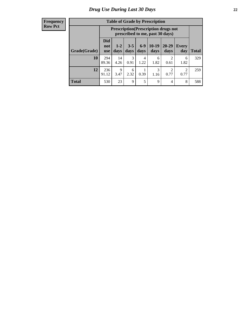| <b>Table of Grade by Prescription</b> |                                 |                                                                                |                 |               |                 |                   |                        |       |  |  |  |  |
|---------------------------------------|---------------------------------|--------------------------------------------------------------------------------|-----------------|---------------|-----------------|-------------------|------------------------|-------|--|--|--|--|
|                                       |                                 | <b>Prescription</b> (Prescription drugs not<br>prescribed to me, past 30 days) |                 |               |                 |                   |                        |       |  |  |  |  |
| Grade(Grade)                          | <b>Did</b><br>not<br><b>use</b> | $1 - 2$<br>days                                                                | $3 - 5$<br>days | $6-9$<br>days | $10-19$<br>days | $20 - 29$<br>days | Every<br>day           | Total |  |  |  |  |
| 10                                    | 294<br>89.36                    | 14<br>4.26                                                                     | 3<br>0.91       | 4<br>1.22     | 6<br>1.82       | റ<br>0.61         | 6<br>1.82              | 329   |  |  |  |  |
| 12                                    | 236<br>91.12                    | $\mathbf Q$<br>3.47                                                            | 6<br>2.32       | 0.39          | 3<br>1.16       | ∍<br>0.77         | $\overline{2}$<br>0.77 | 259   |  |  |  |  |
| <b>Total</b>                          | 530                             | 23                                                                             | 9               | 5             | 9               | 4                 | 8                      | 588   |  |  |  |  |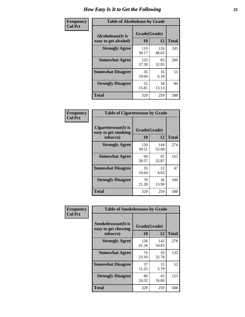| Frequency      | <b>Table of Alcoholease by Grade</b>       |                    |              |              |  |  |  |  |  |  |  |
|----------------|--------------------------------------------|--------------------|--------------|--------------|--|--|--|--|--|--|--|
| <b>Col Pct</b> | Alcoholease (It is<br>easy to get alcohol) | Grade(Grade)<br>10 | 12           | <b>Total</b> |  |  |  |  |  |  |  |
|                | <b>Strongly Agree</b>                      | 119<br>36.17       | 126<br>48.65 | 245          |  |  |  |  |  |  |  |
|                | <b>Somewhat Agree</b>                      | 123<br>37.39       | 83<br>32.05  | 206          |  |  |  |  |  |  |  |
|                | <b>Somewhat Disagree</b>                   | 35<br>10.64        | 16<br>6.18   | 51           |  |  |  |  |  |  |  |
|                | <b>Strongly Disagree</b>                   | 52<br>15.81        | 34<br>13.13  | 86           |  |  |  |  |  |  |  |
|                | Total                                      | 329                | 259          | 588          |  |  |  |  |  |  |  |

| Frequency      | <b>Table of Cigarettesease by Grade</b>                  |                    |              |              |  |  |  |  |
|----------------|----------------------------------------------------------|--------------------|--------------|--------------|--|--|--|--|
| <b>Col Pct</b> | Cigarettesease (It is<br>easy to get smoking<br>tobacco) | Grade(Grade)<br>10 | 12           | <b>Total</b> |  |  |  |  |
|                | <b>Strongly Agree</b>                                    | 130<br>39.51       | 144<br>55.60 | 274          |  |  |  |  |
|                | <b>Somewhat Agree</b>                                    | 94<br>28.57        | 67<br>25.87  | 161          |  |  |  |  |
|                | <b>Somewhat Disagree</b>                                 | 35<br>10.64        | 12<br>4.63   | 47           |  |  |  |  |
|                | <b>Strongly Disagree</b>                                 | 70<br>21.28        | 36<br>13.90  | 106          |  |  |  |  |
|                | <b>Total</b>                                             | 329                | 259          | 588          |  |  |  |  |

| Frequency      | <b>Table of Smokelessease by Grade</b>                         |                    |              |     |  |  |  |  |
|----------------|----------------------------------------------------------------|--------------------|--------------|-----|--|--|--|--|
| <b>Col Pct</b> | <b>Smokelessease</b> (It is<br>easy to get chewing<br>tobacco) | Grade(Grade)<br>12 | <b>Total</b> |     |  |  |  |  |
|                | <b>Strongly Agree</b>                                          | 136<br>41.34       | 142<br>54.83 | 278 |  |  |  |  |
|                | <b>Somewhat Agree</b>                                          | 76<br>23.10        | 59<br>22.78  | 135 |  |  |  |  |
|                | <b>Somewhat Disagree</b>                                       | 37<br>11.25        | 15<br>5.79   | 52  |  |  |  |  |
|                | <b>Strongly Disagree</b>                                       | 80<br>24.32        | 43<br>16.60  | 123 |  |  |  |  |
|                | Total                                                          | 329                | 259          | 588 |  |  |  |  |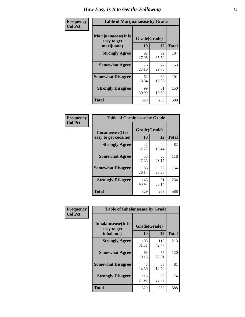| Frequency      | <b>Table of Marijuanaease by Grade</b>           |                    |             |              |  |  |  |  |
|----------------|--------------------------------------------------|--------------------|-------------|--------------|--|--|--|--|
| <b>Col Pct</b> | Marijuanaease(It is<br>easy to get<br>marijuana) | Grade(Grade)<br>10 | 12          | <b>Total</b> |  |  |  |  |
|                | <b>Strongly Agree</b>                            | 92<br>27.96        | 92<br>35.52 | 184          |  |  |  |  |
|                | <b>Somewhat Agree</b>                            | 76<br>23.10        | 77<br>29.73 | 153          |  |  |  |  |
|                | <b>Somewhat Disagree</b>                         | 62<br>18.84        | 39<br>15.06 | 101          |  |  |  |  |
|                | <b>Strongly Disagree</b>                         | 99<br>30.09        | 51<br>19.69 | 150          |  |  |  |  |
|                | <b>Total</b>                                     | 329                | 259         | 588          |  |  |  |  |

| <b>Table of Cocaineease by Grade</b>              |                    |              |     |  |  |  |  |  |  |
|---------------------------------------------------|--------------------|--------------|-----|--|--|--|--|--|--|
| <b>Cocaineease</b> (It is<br>easy to get cocaine) | Grade(Grade)<br>10 | <b>Total</b> |     |  |  |  |  |  |  |
| <b>Strongly Agree</b>                             | 42<br>12.77        | 40<br>15.44  | 82  |  |  |  |  |  |  |
| <b>Somewhat Agree</b>                             | 58<br>17.63        | 60<br>23.17  | 118 |  |  |  |  |  |  |
| <b>Somewhat Disagree</b>                          | 86<br>26.14        | 68<br>26.25  | 154 |  |  |  |  |  |  |
| <b>Strongly Disagree</b>                          | 143<br>43.47       | 91<br>35.14  | 234 |  |  |  |  |  |  |
| <b>Total</b>                                      | 329                | 259          | 588 |  |  |  |  |  |  |

| Frequency      | <b>Table of Inhalantsease by Grade</b>                   |                    |              |              |  |
|----------------|----------------------------------------------------------|--------------------|--------------|--------------|--|
| <b>Col Pct</b> | <b>Inhalantsease</b> (It is<br>easy to get<br>inhalants) | Grade(Grade)<br>10 | <b>12</b>    | <b>Total</b> |  |
|                | <b>Strongly Agree</b>                                    | 103<br>31.31       | 110<br>42.47 | 213          |  |
|                | <b>Somewhat Agree</b>                                    | 63<br>19.15        | 57<br>22.01  | 120          |  |
|                | <b>Somewhat Disagree</b>                                 | 48<br>14.59        | 33<br>12.74  | 81           |  |
|                | <b>Strongly Disagree</b>                                 | 115<br>34.95       | 59<br>22.78  | 174          |  |
|                | <b>Total</b>                                             | 329                | 259          | 588          |  |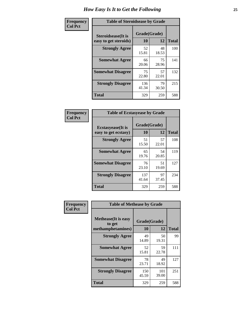| Frequency      | <b>Table of Steroidsease by Grade</b>               |                    |              |     |  |  |  |  |
|----------------|-----------------------------------------------------|--------------------|--------------|-----|--|--|--|--|
| <b>Col Pct</b> | <b>Steroidsease</b> (It is<br>easy to get steroids) | Grade(Grade)<br>10 | <b>Total</b> |     |  |  |  |  |
|                | <b>Strongly Agree</b>                               | 52<br>15.81        | 48<br>18.53  | 100 |  |  |  |  |
|                | <b>Somewhat Agree</b>                               | 66<br>20.06        | 75<br>28.96  | 141 |  |  |  |  |
|                | <b>Somewhat Disagree</b>                            | 75<br>22.80        | 57<br>22.01  | 132 |  |  |  |  |
|                | <b>Strongly Disagree</b>                            | 136<br>41.34       | 79<br>30.50  | 215 |  |  |  |  |
|                | <b>Total</b>                                        | 329                | 259          | 588 |  |  |  |  |

| Frequency      | <b>Table of Ecstasyease by Grade</b>              |                    |              |     |  |  |  |
|----------------|---------------------------------------------------|--------------------|--------------|-----|--|--|--|
| <b>Col Pct</b> | <b>Ecstasyease</b> (It is<br>easy to get ecstasy) | Grade(Grade)<br>10 | <b>Total</b> |     |  |  |  |
|                | <b>Strongly Agree</b>                             | 51<br>15.50        | 57<br>22.01  | 108 |  |  |  |
|                | <b>Somewhat Agree</b>                             | 65<br>19.76        | 54<br>20.85  | 119 |  |  |  |
|                | <b>Somewhat Disagree</b>                          | 76<br>23.10        | 51<br>19.69  | 127 |  |  |  |
|                | <b>Strongly Disagree</b>                          | 137<br>41.64       | 97<br>37.45  | 234 |  |  |  |
|                | <b>Total</b>                                      | 329                | 259          | 588 |  |  |  |

| <b>Frequency</b> | <b>Table of Methease by Grade</b>                          |                    |              |              |
|------------------|------------------------------------------------------------|--------------------|--------------|--------------|
| <b>Col Pct</b>   | <b>Methease</b> (It is easy<br>to get<br>methamphetamines) | Grade(Grade)<br>10 | 12           | <b>Total</b> |
|                  | <b>Strongly Agree</b>                                      | 49<br>14.89        | 50<br>19.31  | 99           |
|                  | <b>Somewhat Agree</b>                                      | 52<br>15.81        | 59<br>22.78  | 111          |
|                  | <b>Somewhat Disagree</b>                                   | 78<br>23.71        | 49<br>18.92  | 127          |
|                  | <b>Strongly Disagree</b>                                   | 150<br>45.59       | 101<br>39.00 | 251          |
|                  | <b>Total</b>                                               | 329                | 259          | 588          |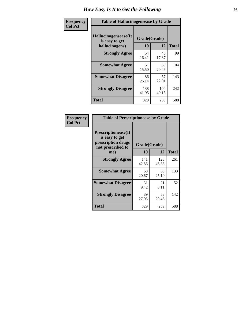| <b>Frequency</b> | <b>Table of Hallucinogensease by Grade</b>               |                    |              |     |  |  |  |  |
|------------------|----------------------------------------------------------|--------------------|--------------|-----|--|--|--|--|
| <b>Col Pct</b>   | Hallucinogensease(It<br>is easy to get<br>hallucinogens) | Grade(Grade)<br>10 | <b>Total</b> |     |  |  |  |  |
|                  | <b>Strongly Agree</b>                                    | 54<br>16.41        | 45<br>17.37  | 99  |  |  |  |  |
|                  | <b>Somewhat Agree</b>                                    | 51<br>15.50        | 53<br>20.46  | 104 |  |  |  |  |
|                  | <b>Somewhat Disagree</b>                                 | 86<br>26.14        | 57<br>22.01  | 143 |  |  |  |  |
|                  | <b>Strongly Disagree</b>                                 | 138<br>41.95       | 104<br>40.15 | 242 |  |  |  |  |
|                  | <b>Total</b>                                             | 329                | 259          | 588 |  |  |  |  |

| Frequency<br>Col Pct |
|----------------------|
|                      |

| <b>Table of Prescriptionease by Grade</b>                                                |              |              |              |  |  |  |  |  |
|------------------------------------------------------------------------------------------|--------------|--------------|--------------|--|--|--|--|--|
| <b>Prescriptionease</b> (It<br>is easy to get<br>prescription drugs<br>not prescribed to | Grade(Grade) |              |              |  |  |  |  |  |
| me)                                                                                      | 10           | 12           | <b>Total</b> |  |  |  |  |  |
| <b>Strongly Agree</b>                                                                    | 141<br>42.86 | 120<br>46.33 | 261          |  |  |  |  |  |
| <b>Somewhat Agree</b>                                                                    | 68<br>20.67  | 65<br>25.10  | 133          |  |  |  |  |  |
| <b>Somewhat Disagree</b>                                                                 | 31<br>9.42   | 21<br>8.11   | 52           |  |  |  |  |  |
| <b>Strongly Disagree</b>                                                                 | 89<br>27.05  | 53<br>20.46  | 142          |  |  |  |  |  |
| Total                                                                                    | 329          | 259          | 588          |  |  |  |  |  |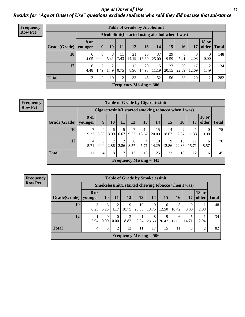*Age at Onset of Use* **27** *Results for "Age at Onset of Use" questions exclude students who said they did not use that substance*

| Frequency      |              | <b>Table of Grade by Alcoholinit</b> |                                                  |           |            |             |                           |             |             |             |             |                       |              |
|----------------|--------------|--------------------------------------|--------------------------------------------------|-----------|------------|-------------|---------------------------|-------------|-------------|-------------|-------------|-----------------------|--------------|
| <b>Row Pct</b> |              |                                      | Alcoholinit (I started using alcohol when I was) |           |            |             |                           |             |             |             |             |                       |              |
|                | Grade(Grade) | <b>8 or</b><br>younger               | 9                                                | 10        | 11         | 12          | 13                        | 14          | 15          | <b>16</b>   | 17          | <b>18 or</b><br>older | <b>Total</b> |
|                | 10           | 6<br>4.05                            | 0.00                                             | 8<br>5.41 | 11<br>7.43 | 21<br>14.19 | 25<br>16.89               | 37<br>25.00 | 29<br>19.59 | 8<br>5.41   | 3<br>2.03   | $\theta$<br>0.00      | 148          |
|                | 12           | 6<br>4.48                            | ◠<br>1.49                                        | 2<br>1.49 | 0.75       | 12<br>8.96  | 20<br>14.93               | 15<br>11.19 | 27<br>20.15 | 30<br>22.39 | 17<br>12.69 | 2<br>1.49             | 134          |
|                | <b>Total</b> | 12                                   | 2                                                | 10        | 12         | 33          | 45                        | 52          | 56          | 38          | 20          | 2                     | 282          |
|                |              |                                      |                                                  |           |            |             | Frequency Missing $= 306$ |             |             |             |             |                       |              |

| <b>Frequency</b> | <b>Table of Grade by Cigarettesinit</b> |           |                      |                        |                  |           |             |             |             |                                                      |             |                       |              |
|------------------|-----------------------------------------|-----------|----------------------|------------------------|------------------|-----------|-------------|-------------|-------------|------------------------------------------------------|-------------|-----------------------|--------------|
| <b>Row Pct</b>   |                                         |           |                      |                        |                  |           |             |             |             | Cigarettesinit(I started smoking tobacco when I was) |             |                       |              |
|                  | Grade(Grade)   younger                  | 8 or      | 9                    | 10                     | 11               | 12        | 13          | 14          | 15          | <b>16</b>                                            | 17          | <b>18 or</b><br>older | <b>Total</b> |
|                  | 10                                      | ┑<br>9.33 | 4<br>5.33            | 6<br>8.00              | 6.67             | 9.33      | 14<br>18.67 | 15<br>20.00 | 14<br>18.67 | 2.67                                                 | 1.33        | 0<br>0.00             | 75           |
|                  | 12                                      | 4<br>5.71 | $\Omega$<br>$0.00\,$ | $\overline{c}$<br>2.86 | $\gamma$<br>2.86 | 6<br>8.57 | 4<br>5.71   | 10<br>14.29 | 9<br>12.86  | 16<br>22.86                                          | 11<br>15.71 | 6<br>8.57             | 70           |
|                  | <b>Total</b>                            | 11        | 4                    | 8                      | 7 <sup>1</sup>   | 13        | 18          | 25          | 23          | 18                                                   | 12          | 6                     | 145          |
|                  | Frequency Missing $= 443$               |           |                      |                        |                  |           |             |             |             |                                                      |             |                       |              |

|                                                                                  | <b>Table of Grade by Smokelessinit</b> |                  |                        |            |             |            |                                                     |            |                  |                       |              |  |  |  |
|----------------------------------------------------------------------------------|----------------------------------------|------------------|------------------------|------------|-------------|------------|-----------------------------------------------------|------------|------------------|-----------------------|--------------|--|--|--|
|                                                                                  |                                        |                  |                        |            |             |            | Smokelessinit(I started chewing tobacco when I was) |            |                  |                       |              |  |  |  |
| Grade(Grade)                                                                     | 8 or<br>younger                        | <b>10</b>        | 11                     | 12         | 13          | 14         | <b>15</b>                                           | 16         | 17               | <b>18 or</b><br>older | <b>Total</b> |  |  |  |
| 10                                                                               | 3<br>6.25                              | 3<br>6.25        | $\overline{2}$<br>4.17 | 9<br>18.75 | 10<br>20.83 | 9<br>18.75 | 6<br>12.50                                          | 5<br>10.42 | $\Omega$<br>0.00 | 2.08                  | 48           |  |  |  |
| 12                                                                               | 2.94                                   | $\Omega$<br>0.00 | $\Omega$<br>0.00       | 3<br>8.82  | 2.94        | 8<br>23.53 | 9<br>26.47                                          | 6<br>17.65 | 14.71            | 2.94                  | 34           |  |  |  |
| <b>Total</b><br>3<br>2<br>12<br>11<br>17<br>15<br>11<br>5<br>$\overline{2}$<br>4 |                                        |                  |                        |            |             |            |                                                     |            |                  |                       |              |  |  |  |
|                                                                                  | Frequency Missing $= 506$              |                  |                        |            |             |            |                                                     |            |                  |                       |              |  |  |  |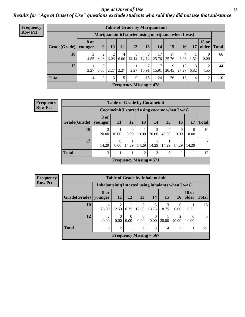### *Age at Onset of Use* **28**

*Results for "Age at Onset of Use" questions exclude students who said they did not use that substance*

| <b>Frequency</b> | <b>Table of Grade by Marijuanainit</b> |                        |                  |      |           |            |                           |             |                   |                                                      |                |                  |               |
|------------------|----------------------------------------|------------------------|------------------|------|-----------|------------|---------------------------|-------------|-------------------|------------------------------------------------------|----------------|------------------|---------------|
| <b>Row Pct</b>   |                                        |                        |                  |      |           |            |                           |             |                   | Marijuanainit (I started using marijuana when I was) |                |                  |               |
|                  | Grade(Grade)                           | <b>8 or</b><br>younger | 9 <sup>°</sup>   | 10   | 11        | 12         | 13                        | 14          | 15                | 16                                                   | 17             | <b>18 or</b>     | older   Total |
|                  | 10                                     | 3<br>4.55              | 2<br>3.03        | 3.03 | 4<br>6.06 | 8<br>12.12 | 8<br>12.12                | 17<br>25.76 | 17<br>25.76       | 4<br>6.06                                            | 1.52           | $\Omega$<br>0.00 | 66            |
|                  | 12                                     | 2.27                   | $\Omega$<br>0.00 | 2.27 | 2.27      | 2.27       | $\mathcal{L}$<br>15.91    | 15.91       | $\Omega$<br>20.45 | 12<br>27.27                                          | 3<br>6.82      | 4.55             | 44            |
|                  | <b>Total</b>                           | 4                      | 2                | 3    | 5         | 9          | 15                        | 24          | 26                | 16                                                   | $\overline{4}$ | $\overline{2}$   | 110           |
|                  |                                        |                        |                  |      |           |            | Frequency Missing $= 478$ |             |                   |                                                      |                |                  |               |

| Frequency      |                        |             | <b>Table of Grade by Cocaineinit</b> |                           |       |       |            |                                                    |                  |              |  |  |  |
|----------------|------------------------|-------------|--------------------------------------|---------------------------|-------|-------|------------|----------------------------------------------------|------------------|--------------|--|--|--|
| <b>Row Pct</b> |                        |             |                                      |                           |       |       |            | Cocaine in it (I started using cocaine when I was) |                  |              |  |  |  |
|                | Grade(Grade)   younger | 8 or        | <b>11</b>                            | <b>12</b>                 | 13    | 14    | <b>15</b>  | <b>16</b>                                          | 17               | <b>Total</b> |  |  |  |
|                | 10                     | 2<br>20.00  | 10.00                                | 0.00                      | 10.00 | 20.00 | 4<br>40.00 | $\Omega$<br>0.00                                   | $\Omega$<br>0.00 | 10           |  |  |  |
|                | 12                     | 14.29       | $\Omega$<br>0.00                     | 14.29                     | 14.29 | 14.29 | 14.29      | 14.29                                              | 14.29            |              |  |  |  |
|                | <b>Total</b>           | 3<br>2<br>3 |                                      |                           |       |       |            |                                                    |                  |              |  |  |  |
|                |                        |             |                                      | Frequency Missing $= 571$ |       |       |            |                                                    |                  |              |  |  |  |

| <b>Frequency</b><br><b>Row Pct</b> |        |
|------------------------------------|--------|
|                                    | Grade( |
|                                    |        |

| <b>Table of Grade by Inhalantsinit</b>                               |                                                      |                         |                  |                           |                  |            |                  |                       |              |  |  |  |  |
|----------------------------------------------------------------------|------------------------------------------------------|-------------------------|------------------|---------------------------|------------------|------------|------------------|-----------------------|--------------|--|--|--|--|
|                                                                      | Inhalantsinit (I started using inhalants when I was) |                         |                  |                           |                  |            |                  |                       |              |  |  |  |  |
| Grade(Grade)                                                         | 8 or<br>younger                                      | <b>11</b>               | <b>12</b>        | 13                        | 14               | 15         | 16 <sup>1</sup>  | <b>18 or</b><br>older | <b>Total</b> |  |  |  |  |
| 10                                                                   | 4<br>25.00                                           | $\mathfrak{D}$<br>12.50 | 6.25             | 2<br>12.50                | 3<br>18.75       | 3<br>18.75 | $\Omega$<br>0.00 | 6.25                  | 16           |  |  |  |  |
| 12                                                                   | 2<br>40.00                                           | 0<br>0.00               | $\Omega$<br>0.00 | 0<br>0.00                 | $\Omega$<br>0.00 | 20.00      | 2<br>40.00       | $\theta$<br>0.00      | .5           |  |  |  |  |
| <b>Total</b><br>$\overline{c}$<br>3<br>2<br>$\overline{2}$<br>6<br>4 |                                                      |                         |                  |                           |                  |            |                  |                       |              |  |  |  |  |
|                                                                      |                                                      |                         |                  | Frequency Missing $= 567$ |                  |            |                  |                       |              |  |  |  |  |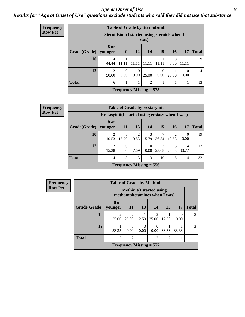### *Age at Onset of Use* **29**

### *Results for "Age at Onset of Use" questions exclude students who said they did not use that substance*

| Frequency      |              |                                              | <b>Table of Grade by Steroidsinit</b> |                  |       |                  |                  |                  |              |
|----------------|--------------|----------------------------------------------|---------------------------------------|------------------|-------|------------------|------------------|------------------|--------------|
| <b>Row Pct</b> |              | Steroidsinit(I started using steroids when I |                                       |                  | was)  |                  |                  |                  |              |
|                | Grade(Grade) | 8 or<br>younger                              | 9                                     | 12               | 14    | 15               | <b>16</b>        | <b>17</b>        | <b>Total</b> |
|                | 10           | 4<br>44.44                                   | 11.11                                 |                  | 11.1  | 11.11            | $\theta$<br>0.00 | 11.11            | 9            |
|                | 12           | $\overline{2}$<br>50.00                      | $\Omega$<br>0.00                      | $\Omega$<br>0.00 | 25.00 | $\Omega$<br>0.00 | 25.00            | $\left($<br>0.00 | 4            |
|                | <b>Total</b> | $\overline{2}$<br>6                          |                                       |                  |       |                  |                  |                  | 13           |
|                |              |                                              | <b>Frequency Missing = 575</b>        |                  |       |                  |                  |                  |              |

| Frequency      |              |                                                  | <b>Table of Grade by Ecstasyinit</b> |            |            |            |            |            |              |  |  |  |
|----------------|--------------|--------------------------------------------------|--------------------------------------|------------|------------|------------|------------|------------|--------------|--|--|--|
| <b>Row Pct</b> |              | Ecstasyinit (I started using ecstasy when I was) |                                      |            |            |            |            |            |              |  |  |  |
|                | Grade(Grade) | 8 or<br>  younger                                | <b>11</b>                            | 13         | 14         | <b>15</b>  | <b>16</b>  | 17         | <b>Total</b> |  |  |  |
|                | 10           | 10.53                                            | 3<br>15.79                           | 2<br>10.53 | 3<br>15.79 | 36.84      | ◠<br>10.53 | 0.00       | 19           |  |  |  |
|                | 12           | 2<br>15.38                                       | $\Omega$<br>0.00                     | 7.69       | 0<br>0.00  | 3<br>23.08 | 3<br>23.08 | 4<br>30.77 | 13           |  |  |  |
|                | <b>Total</b> | $\overline{4}$                                   | 3<br>3<br>3<br>10<br>4               |            |            |            |            |            |              |  |  |  |
|                |              |                                                  | Frequency Missing $= 556$            |            |            |            |            |            |              |  |  |  |

| <b>Frequency</b> |              | <b>Table of Grade by Methinit</b> |                                                         |                           |                                                                  |           |           |              |  |  |  |  |  |
|------------------|--------------|-----------------------------------|---------------------------------------------------------|---------------------------|------------------------------------------------------------------|-----------|-----------|--------------|--|--|--|--|--|
| <b>Row Pct</b>   |              |                                   |                                                         |                           | <b>Methinit</b> (I started using<br>methamphetamines when I was) |           |           |              |  |  |  |  |  |
|                  | Grade(Grade) | 8 or<br>vounger                   | <b>11</b>                                               | 13                        | 14                                                               | <b>15</b> | 17        | <b>Total</b> |  |  |  |  |  |
|                  | 10           | $\overline{2}$<br>25.00           | $\mathfrak{D}$<br>25.00                                 | 12.50                     | $\overline{c}$<br>25.00                                          | 12.50     | 0<br>0.00 | 8            |  |  |  |  |  |
|                  | 12           | 33.33                             | $\Omega$<br>0.00                                        | $\Omega$<br>0.00          | 0<br>0.00 <sub>1</sub>                                           | 33.33     | 33.33     | 3            |  |  |  |  |  |
|                  | <b>Total</b> | 3                                 | $\overline{2}$<br>$\overline{2}$<br>$\overline{2}$<br>1 |                           |                                                                  |           |           |              |  |  |  |  |  |
|                  |              |                                   |                                                         | Frequency Missing $= 577$ |                                                                  |           |           |              |  |  |  |  |  |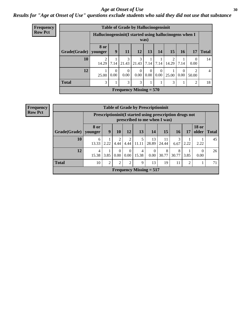### Age at Onset of Use **30**

### *Results for "Age at Onset of Use" questions exclude students who said they did not use that substance*

| <b>Frequency</b> |                           |                                                         |                                    | <b>Table of Grade by Hallucinogensinit</b> |                  |                  |                  |                         |                  |                         |                |  |  |  |
|------------------|---------------------------|---------------------------------------------------------|------------------------------------|--------------------------------------------|------------------|------------------|------------------|-------------------------|------------------|-------------------------|----------------|--|--|--|
| <b>Row Pct</b>   |                           | Hallucinogensinit (I started using hallucinogens when I |                                    |                                            |                  | was)             |                  |                         |                  |                         |                |  |  |  |
|                  | Grade(Grade)   younger    | 8 or                                                    | 9                                  | <b>11</b>                                  | <b>12</b>        | 13               | 14               | 15                      | <b>16</b>        | 17                      | <b>Total</b>   |  |  |  |
|                  | 10                        | $\overline{2}$<br>14.29                                 | 7.14                               | 3<br>21.43                                 | 3<br>21.43       | 7.14             | 7.14             | $\overline{2}$<br>14.29 | 7.14             | $\Omega$<br>0.00        | 14             |  |  |  |
|                  | 12                        | 25.00                                                   | $\mathbf{0}$<br>0.00               | $\theta$<br>0.00                           | $\Omega$<br>0.00 | $\Omega$<br>0.00 | $\Omega$<br>0.00 | 25.00                   | $\Omega$<br>0.00 | $\overline{2}$<br>50.00 | $\overline{4}$ |  |  |  |
|                  | <b>Total</b>              | 3                                                       | 3<br>3<br>3<br>$\overline{2}$<br>1 |                                            |                  |                  |                  |                         |                  |                         |                |  |  |  |
|                  | Frequency Missing $= 570$ |                                                         |                                    |                                            |                  |                  |                  |                         |                  |                         |                |  |  |  |

| <b>Frequency</b> |  |
|------------------|--|
| <b>Row Pct</b>   |  |

|                        | <b>Table of Grade by Prescriptioninit</b>                                            |                                                                                             |                  |                      |            |                  |                                                                                            |            |      |           |    |  |  |  |
|------------------------|--------------------------------------------------------------------------------------|---------------------------------------------------------------------------------------------|------------------|----------------------|------------|------------------|--------------------------------------------------------------------------------------------|------------|------|-----------|----|--|--|--|
|                        |                                                                                      |                                                                                             |                  |                      |            |                  | Prescription in it (I started using prescription drugs not<br>prescribed to me when I was) |            |      |           |    |  |  |  |
| Grade(Grade)   younger | 8 or                                                                                 | <b>18 or</b><br>9<br>10<br>12<br>13<br>15<br>older<br><b>16</b><br>14<br>17<br><b>Total</b> |                  |                      |            |                  |                                                                                            |            |      |           |    |  |  |  |
| 10                     | 6<br>13.33                                                                           | 2.22                                                                                        | 2<br>4.44        | 2<br>4.44            | 5<br>11.11 | 13<br>28.89      | 11<br>24.44                                                                                | 6.67       | 2.22 | 2.22      | 45 |  |  |  |
| 12                     | $\overline{4}$<br>15.38                                                              | 3.85                                                                                        | $\Omega$<br>0.00 | $\Omega$<br>$0.00\,$ | 4<br>15.38 | $\Omega$<br>0.00 | 8<br>30.77                                                                                 | 8<br>30.77 | 3.85 | 0<br>0.00 | 26 |  |  |  |
| <b>Total</b>           | 2<br>9<br>10<br>$\overline{2}$<br>$\overline{2}$<br>13<br>11<br>19<br>$\overline{2}$ |                                                                                             |                  |                      |            |                  |                                                                                            |            |      |           |    |  |  |  |
|                        | <b>Frequency Missing = 517</b>                                                       |                                                                                             |                  |                      |            |                  |                                                                                            |            |      |           |    |  |  |  |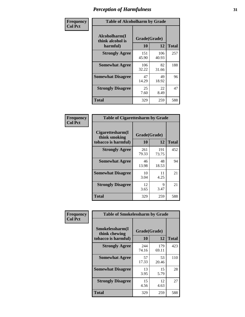| Frequency      | <b>Table of Alcoholharm by Grade</b>          |                    |              |              |
|----------------|-----------------------------------------------|--------------------|--------------|--------------|
| <b>Col Pct</b> | Alcoholharm(I<br>think alcohol is<br>harmful) | Grade(Grade)<br>10 | 12           | <b>Total</b> |
|                | <b>Strongly Agree</b>                         | 151<br>45.90       | 106<br>40.93 | 257          |
|                | <b>Somewhat Agree</b>                         | 106<br>32.22       | 82<br>31.66  | 188          |
|                | <b>Somewhat Disagree</b>                      | 47<br>14.29        | 49<br>18.92  | 96           |
|                | <b>Strongly Disagree</b>                      | 25<br>7.60         | 22<br>8.49   | 47           |
|                | <b>Total</b>                                  | 329                | 259          | 588          |

| <b>Table of Cigarettesharm by Grade</b>                  |                    |              |              |  |
|----------------------------------------------------------|--------------------|--------------|--------------|--|
| Cigarettesharm(I<br>think smoking<br>tobacco is harmful) | Grade(Grade)<br>10 | 12           | <b>Total</b> |  |
| <b>Strongly Agree</b>                                    | 261<br>79.33       | 191<br>73.75 | 452          |  |
| <b>Somewhat Agree</b>                                    | 46<br>13.98        | 48<br>18.53  | 94           |  |
| <b>Somewhat Disagree</b>                                 | 10<br>3.04         | 11<br>4.25   | 21           |  |
| <b>Strongly Disagree</b>                                 | 12<br>3.65         | 9<br>3.47    | 21           |  |
| <b>Total</b>                                             | 329                | 259          | 588          |  |

| Frequency      | <b>Table of Smokelessharm by Grade</b>                  |                           |              |              |
|----------------|---------------------------------------------------------|---------------------------|--------------|--------------|
| <b>Col Pct</b> | Smokelessharm(I<br>think chewing<br>tobacco is harmful) | Grade(Grade)<br><b>10</b> | 12           | <b>Total</b> |
|                | <b>Strongly Agree</b>                                   | 244<br>74.16              | 179<br>69.11 | 423          |
|                | <b>Somewhat Agree</b>                                   | 57<br>17.33               | 53<br>20.46  | 110          |
|                | <b>Somewhat Disagree</b>                                | 13<br>3.95                | 15<br>5.79   | 28           |
|                | <b>Strongly Disagree</b>                                | 15<br>4.56                | 12<br>4.63   | 27           |
|                | <b>Total</b>                                            | 329                       | 259          | 588          |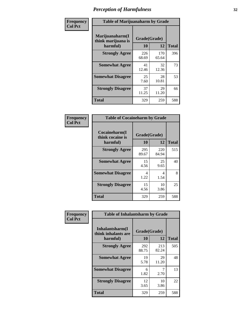| Frequency      | <b>Table of Marijuanaharm by Grade</b>            |                    |              |              |
|----------------|---------------------------------------------------|--------------------|--------------|--------------|
| <b>Col Pct</b> | Marijuanaharm(I<br>think marijuana is<br>harmful) | Grade(Grade)<br>10 | 12           | <b>Total</b> |
|                | <b>Strongly Agree</b>                             | 226<br>68.69       | 170<br>65.64 | 396          |
|                | <b>Somewhat Agree</b>                             | 41<br>12.46        | 32<br>12.36  | 73           |
|                | <b>Somewhat Disagree</b>                          | 25<br>7.60         | 28<br>10.81  | 53           |
|                | <b>Strongly Disagree</b>                          | 37<br>11.25        | 29<br>11.20  | 66           |
|                | <b>Total</b>                                      | 329                | 259          | 588          |

| <b>Table of Cocaineharm by Grade</b>          |                    |              |              |  |  |
|-----------------------------------------------|--------------------|--------------|--------------|--|--|
| Cocaineharm(I<br>think cocaine is<br>harmful) | Grade(Grade)<br>10 | 12           | <b>Total</b> |  |  |
| <b>Strongly Agree</b>                         | 295<br>89.67       | 220<br>84.94 | 515          |  |  |
| <b>Somewhat Agree</b>                         | 15<br>4.56         | 25<br>9.65   | 40           |  |  |
| <b>Somewhat Disagree</b>                      | 4<br>1.22          | 4<br>1.54    | 8            |  |  |
| <b>Strongly Disagree</b>                      | 15<br>4.56         | 10<br>3.86   | 25           |  |  |
| <b>Total</b>                                  | 329                | 259          | 588          |  |  |

| Frequency      | <b>Table of Inhalantsharm by Grade</b>             |                           |              |              |
|----------------|----------------------------------------------------|---------------------------|--------------|--------------|
| <b>Col Pct</b> | Inhalantsharm(I<br>think inhalants are<br>harmful) | Grade(Grade)<br><b>10</b> | 12           | <b>Total</b> |
|                | <b>Strongly Agree</b>                              | 292<br>88.75              | 213<br>82.24 | 505          |
|                | <b>Somewhat Agree</b>                              | 19<br>5.78                | 29<br>11.20  | 48           |
|                | <b>Somewhat Disagree</b>                           | 6<br>1.82                 | 2.70         | 13           |
|                | <b>Strongly Disagree</b>                           | 12<br>3.65                | 10<br>3.86   | 22           |
|                | Total                                              | 329                       | 259          | 588          |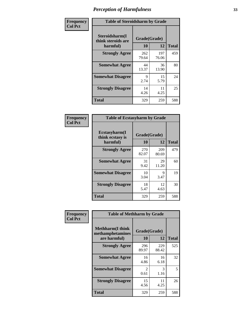| Frequency      | <b>Table of Steroidsharm by Grade</b>            |                    |              |              |
|----------------|--------------------------------------------------|--------------------|--------------|--------------|
| <b>Col Pct</b> | Steroidsharm(I<br>think steroids are<br>harmful) | Grade(Grade)<br>10 | 12           | <b>Total</b> |
|                | <b>Strongly Agree</b>                            | 262<br>79.64       | 197<br>76.06 | 459          |
|                | <b>Somewhat Agree</b>                            | 44<br>13.37        | 36<br>13.90  | 80           |
|                | <b>Somewhat Disagree</b>                         | 9<br>2.74          | 15<br>5.79   | 24           |
|                | <b>Strongly Disagree</b>                         | 14<br>4.26         | 11<br>4.25   | 25           |
|                | <b>Total</b>                                     | 329                | 259          | 588          |

| <b>Table of Ecstasyharm by Grade</b>                |                    |              |     |  |  |
|-----------------------------------------------------|--------------------|--------------|-----|--|--|
| $E$ cstasyharm $(I$<br>think ecstasy is<br>harmful) | Grade(Grade)<br>10 | <b>Total</b> |     |  |  |
| <b>Strongly Agree</b>                               | 270<br>82.07       | 209<br>80.69 | 479 |  |  |
| <b>Somewhat Agree</b>                               | 31<br>9.42         | 29<br>11.20  | 60  |  |  |
| <b>Somewhat Disagree</b>                            | 10<br>3.04         | 9<br>3.47    | 19  |  |  |
| <b>Strongly Disagree</b>                            | 18<br>5.47         | 12<br>4.63   | 30  |  |  |
| Total                                               | 329                | 259          | 588 |  |  |

| Frequency      | <b>Table of Methharm by Grade</b>                            |                           |              |              |
|----------------|--------------------------------------------------------------|---------------------------|--------------|--------------|
| <b>Col Pct</b> | <b>Methharm</b> (I think<br>methamphetamines<br>are harmful) | Grade(Grade)<br><b>10</b> | 12           | <b>Total</b> |
|                | <b>Strongly Agree</b>                                        | 296<br>89.97              | 229<br>88.42 | 525          |
|                | <b>Somewhat Agree</b>                                        | 16<br>4.86                | 16<br>6.18   | 32           |
|                | <b>Somewhat Disagree</b>                                     | 2<br>0.61                 | 3<br>1.16    | 5            |
|                | <b>Strongly Disagree</b>                                     | 15<br>4.56                | 11<br>4.25   | 26           |
|                | <b>Total</b>                                                 | 329                       | 259          | 588          |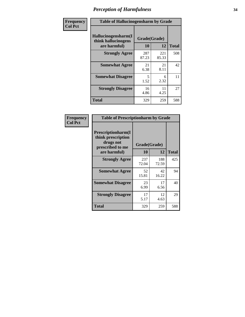| Frequency      | <b>Table of Hallucinogensharm by Grade</b>                 |                           |              |              |
|----------------|------------------------------------------------------------|---------------------------|--------------|--------------|
| <b>Col Pct</b> | Hallucinogensharm(I<br>think hallucinogens<br>are harmful) | Grade(Grade)<br><b>10</b> | 12           | <b>Total</b> |
|                | <b>Strongly Agree</b>                                      | 287<br>87.23              | 221<br>85.33 | 508          |
|                | <b>Somewhat Agree</b>                                      | 21<br>6.38                | 21<br>8.11   | 42           |
|                | <b>Somewhat Disagree</b>                                   | 5<br>1.52                 | 6<br>2.32    | 11           |
|                | <b>Strongly Disagree</b>                                   | 16<br>4.86                | 11<br>4.25   | 27           |
|                | <b>Total</b>                                               | 329                       | 259          | 588          |

| <b>Table of Prescriptionharm by Grade</b>                                         |              |              |              |  |
|-----------------------------------------------------------------------------------|--------------|--------------|--------------|--|
| <b>Prescriptionharm</b> (I<br>think prescription<br>drugs not<br>prescribed to me | Grade(Grade) |              |              |  |
| are harmful)                                                                      | 10           | 12           | <b>Total</b> |  |
| <b>Strongly Agree</b>                                                             | 237<br>72.04 | 188<br>72.59 | 425          |  |
| <b>Somewhat Agree</b>                                                             | 52<br>15.81  | 42<br>16.22  | 94           |  |
| <b>Somewhat Disagree</b>                                                          | 23<br>6.99   | 17<br>6.56   | 40           |  |
| <b>Strongly Disagree</b>                                                          | 17<br>5.17   | 12<br>4.63   | 29           |  |
| <b>Total</b>                                                                      | 329          | 259          | 588          |  |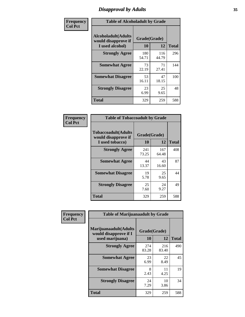# *Disapproval by Adults* **35**

| Frequency      |                                                                       | <b>Table of Alcoholadult by Grade</b> |              |              |  |
|----------------|-----------------------------------------------------------------------|---------------------------------------|--------------|--------------|--|
| <b>Col Pct</b> | <b>Alcoholadult</b> (Adults<br>would disapprove if<br>I used alcohol) | Grade(Grade)<br>10                    | 12           | <b>Total</b> |  |
|                | <b>Strongly Agree</b>                                                 | 180<br>54.71                          | 116<br>44.79 | 296          |  |
|                | <b>Somewhat Agree</b>                                                 | 73<br>22.19                           | 71<br>27.41  | 144          |  |
|                | <b>Somewhat Disagree</b>                                              | 53<br>16.11                           | 47<br>18.15  | 100          |  |
|                | <b>Strongly Disagree</b>                                              | 23<br>6.99                            | 25<br>9.65   | 48           |  |
|                | <b>Total</b>                                                          | 329                                   | 259          | 588          |  |

| <b>Table of Tobaccoadult by Grade</b>                                 |                    |              |     |  |  |  |  |
|-----------------------------------------------------------------------|--------------------|--------------|-----|--|--|--|--|
| <b>Tobaccoadult</b> (Adults<br>would disapprove if<br>I used tobacco) | Grade(Grade)<br>10 | <b>Total</b> |     |  |  |  |  |
| <b>Strongly Agree</b>                                                 | 241<br>73.25       | 167<br>64.48 | 408 |  |  |  |  |
| <b>Somewhat Agree</b>                                                 | 44<br>13.37        | 43<br>16.60  | 87  |  |  |  |  |
| <b>Somewhat Disagree</b>                                              | 19<br>5.78         | 25<br>9.65   | 44  |  |  |  |  |
| <b>Strongly Disagree</b>                                              | 25<br>7.60         | 24<br>9.27   | 49  |  |  |  |  |
| <b>Total</b>                                                          | 329                | 259          | 588 |  |  |  |  |

| Frequency      | <b>Table of Marijuanaadult by Grade</b>                           |                    |              |              |  |  |
|----------------|-------------------------------------------------------------------|--------------------|--------------|--------------|--|--|
| <b>Col Pct</b> | Marijuanaadult(Adults<br>would disapprove if I<br>used marijuana) | Grade(Grade)<br>10 | 12           | <b>Total</b> |  |  |
|                | <b>Strongly Agree</b>                                             | 274<br>83.28       | 216<br>83.40 | 490          |  |  |
|                | <b>Somewhat Agree</b>                                             | 23<br>6.99         | 22<br>8.49   | 45           |  |  |
|                | <b>Somewhat Disagree</b>                                          | 8<br>2.43          | 11<br>4.25   | 19           |  |  |
|                | <b>Strongly Disagree</b>                                          | 24<br>7.29         | 10<br>3.86   | 34           |  |  |
|                | <b>Total</b>                                                      | 329                | 259          | 588          |  |  |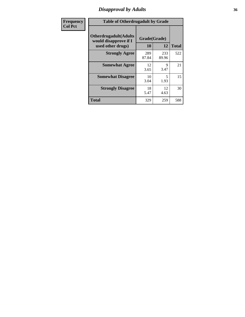### *Disapproval by Adults* **36**

| Frequency      | <b>Table of Otherdrugadult by Grade</b>                                     |                    |              |              |  |  |
|----------------|-----------------------------------------------------------------------------|--------------------|--------------|--------------|--|--|
| <b>Col Pct</b> | <b>Otherdrugadult</b> (Adults<br>would disapprove if I<br>used other drugs) | Grade(Grade)<br>10 | 12           | <b>Total</b> |  |  |
|                | <b>Strongly Agree</b>                                                       | 289<br>87.84       | 233<br>89.96 | 522          |  |  |
|                | <b>Somewhat Agree</b>                                                       | 12<br>3.65         | 9<br>3.47    | 21           |  |  |
|                | <b>Somewhat Disagree</b>                                                    | 10<br>3.04         | 5<br>1.93    | 15           |  |  |
|                | <b>Strongly Disagree</b>                                                    | 18<br>5.47         | 12<br>4.63   | 30           |  |  |
|                | <b>Total</b>                                                                | 329                | 259          | 588          |  |  |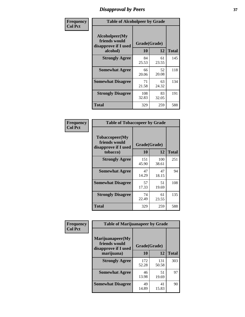# *Disapproval by Peers* **37**

| Frequency      | <b>Table of Alcoholpeer by Grade</b>                    |              |             |              |
|----------------|---------------------------------------------------------|--------------|-------------|--------------|
| <b>Col Pct</b> | Alcoholpeer(My<br>friends would<br>disapprove if I used | Grade(Grade) |             |              |
|                | alcohol)                                                | 10           | 12          | <b>Total</b> |
|                | <b>Strongly Agree</b>                                   | 84<br>25.53  | 61<br>23.55 | 145          |
|                | <b>Somewhat Agree</b>                                   | 66<br>20.06  | 52<br>20.08 | 118          |
|                | <b>Somewhat Disagree</b>                                | 71<br>21.58  | 63<br>24.32 | 134          |
|                | <b>Strongly Disagree</b>                                | 108<br>32.83 | 83<br>32.05 | 191          |
|                | Total                                                   | 329          | 259         | 588          |

| Frequency      | <b>Table of Tobaccopeer by Grade</b>                    |              |              |              |
|----------------|---------------------------------------------------------|--------------|--------------|--------------|
| <b>Col Pct</b> | Tobaccopeer(My<br>friends would<br>disapprove if I used | Grade(Grade) |              |              |
|                | tobacco)                                                | 10           | 12           | <b>Total</b> |
|                | <b>Strongly Agree</b>                                   | 151<br>45.90 | 100<br>38.61 | 251          |
|                | <b>Somewhat Agree</b>                                   | 47<br>14.29  | 47<br>18.15  | 94           |
|                | <b>Somewhat Disagree</b>                                | 57<br>17.33  | 51<br>19.69  | 108          |
|                | <b>Strongly Disagree</b>                                | 74<br>22.49  | 61<br>23.55  | 135          |
|                | Total                                                   | 329          | 259          | 588          |

| Frequency<br><b>Col Pct</b> | <b>Table of Marijuanapeer by Grade</b>                    |              |              |              |
|-----------------------------|-----------------------------------------------------------|--------------|--------------|--------------|
|                             | Marijuanapeer(My<br>friends would<br>disapprove if I used | Grade(Grade) |              |              |
|                             | marijuana)                                                | 10           | 12           | <b>Total</b> |
|                             | <b>Strongly Agree</b>                                     | 172<br>52.28 | 131<br>50.58 | 303          |
|                             | <b>Somewhat Agree</b>                                     | 46<br>13.98  | 51<br>19.69  | 97           |
|                             | <b>Somewhat Disagree</b>                                  | 49<br>14.89  | 41<br>15.83  | 90           |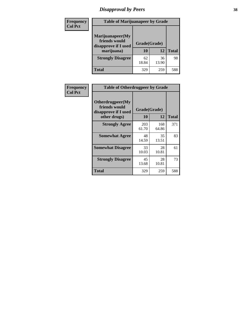# *Disapproval by Peers* **38**

| Frequency<br><b>Col Pct</b> | <b>Table of Marijuanapeer by Grade</b>                                  |                    |             |              |
|-----------------------------|-------------------------------------------------------------------------|--------------------|-------------|--------------|
|                             | Marijuanapeer(My<br>friends would<br>disapprove if I used<br>marijuana) | Grade(Grade)<br>10 | 12          | <b>Total</b> |
|                             | <b>Strongly Disagree</b>                                                | 62<br>18.84        | 36<br>13.90 | 98           |
|                             | Total                                                                   | 329                | 259         | 588          |

| Frequency      | <b>Table of Otherdrugpeer by Grade</b>                                    |                    |              |              |
|----------------|---------------------------------------------------------------------------|--------------------|--------------|--------------|
| <b>Col Pct</b> | Otherdrugpeer(My<br>friends would<br>disapprove if I used<br>other drugs) | Grade(Grade)<br>10 | 12           | <b>Total</b> |
|                | <b>Strongly Agree</b>                                                     | 203<br>61.70       | 168<br>64.86 | 371          |
|                | <b>Somewhat Agree</b>                                                     | 48<br>14.59        | 35<br>13.51  | 83           |
|                | <b>Somewhat Disagree</b>                                                  | 33<br>10.03        | 28<br>10.81  | 61           |
|                | <b>Strongly Disagree</b>                                                  | 45<br>13.68        | 28<br>10.81  | 73           |
|                | <b>Total</b>                                                              | 329                | 259          | 588          |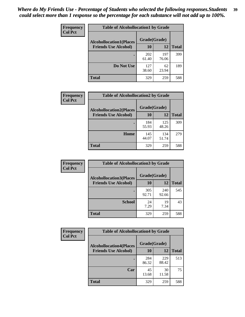| Frequency      | <b>Table of Alcohollocation1 by Grade</b> |              |              |              |
|----------------|-------------------------------------------|--------------|--------------|--------------|
| <b>Col Pct</b> | <b>Alcohollocation1(Places</b>            | Grade(Grade) |              |              |
|                | <b>Friends Use Alcohol)</b>               | 10           | 12           | <b>Total</b> |
|                |                                           | 202<br>61.40 | 197<br>76.06 | 399          |
|                | Do Not Use                                | 127<br>38.60 | 62<br>23.94  | 189          |
|                | <b>Total</b>                              | 329          | 259          | 588          |

| Frequency      | <b>Table of Alcohollocation2 by Grade</b>                     |                    |              |              |
|----------------|---------------------------------------------------------------|--------------------|--------------|--------------|
| <b>Col Pct</b> | <b>Alcohollocation2(Places</b><br><b>Friends Use Alcohol)</b> | Grade(Grade)<br>10 | <b>12</b>    | <b>Total</b> |
|                |                                                               | 184<br>55.93       | 125<br>48.26 | 309          |
|                | Home                                                          | 145<br>44.07       | 134<br>51.74 | 279          |
|                | <b>Total</b>                                                  | 329                | 259          | 588          |

| Frequency<br><b>Col Pct</b> | <b>Table of Alcohollocation 3 by Grade</b>                    |                    |              |              |
|-----------------------------|---------------------------------------------------------------|--------------------|--------------|--------------|
|                             | <b>Alcohollocation3(Places</b><br><b>Friends Use Alcohol)</b> | Grade(Grade)<br>10 | 12           | <b>Total</b> |
|                             |                                                               | 305<br>92.71       | 240<br>92.66 | 545          |
|                             | <b>School</b>                                                 | 24<br>7.29         | 19<br>7.34   | 43           |
|                             | <b>Total</b>                                                  | 329                | 259          | 588          |

| <b>Frequency</b> | <b>Table of Alcohollocation4 by Grade</b> |              |              |              |
|------------------|-------------------------------------------|--------------|--------------|--------------|
| <b>Col Pct</b>   | <b>Alcohollocation4(Places</b>            | Grade(Grade) |              |              |
|                  | <b>Friends Use Alcohol)</b>               | 10           | 12           | <b>Total</b> |
|                  |                                           | 284<br>86.32 | 229<br>88.42 | 513          |
|                  | Car                                       | 45<br>13.68  | 30<br>11.58  | 75           |
|                  | <b>Total</b>                              | 329          | 259          | 588          |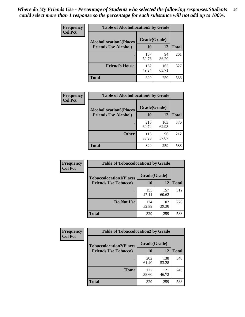| Frequency<br><b>Col Pct</b> | <b>Table of Alcohollocation5 by Grade</b><br>Grade(Grade)<br><b>Alcohollocation5(Places</b> |              |              |              |
|-----------------------------|---------------------------------------------------------------------------------------------|--------------|--------------|--------------|
|                             |                                                                                             |              |              |              |
|                             | <b>Friends Use Alcohol)</b>                                                                 | 10           | 12           | <b>Total</b> |
|                             |                                                                                             | 167<br>50.76 | 94<br>36.29  | 261          |
|                             | <b>Friend's House</b>                                                                       | 162<br>49.24 | 165<br>63.71 | 327          |
|                             | <b>Total</b>                                                                                | 329          | 259          | 588          |

| <b>Frequency</b> | <b>Table of Alcohollocation6 by Grade</b>                     |                    |              |              |
|------------------|---------------------------------------------------------------|--------------------|--------------|--------------|
| <b>Col Pct</b>   | <b>Alcohollocation6(Places</b><br><b>Friends Use Alcohol)</b> | Grade(Grade)<br>10 | 12           | <b>Total</b> |
|                  |                                                               |                    |              |              |
|                  |                                                               | 213<br>64.74       | 163<br>62.93 | 376          |
|                  | <b>Other</b>                                                  | 116<br>35.26       | 96<br>37.07  | 212          |
|                  | Total                                                         | 329                | 259          | 588          |

| Frequency      | <b>Table of Tobaccolocation1 by Grade</b> |              |              |              |
|----------------|-------------------------------------------|--------------|--------------|--------------|
| <b>Col Pct</b> | <b>Tobaccolocation1(Places</b>            | Grade(Grade) |              |              |
|                | <b>Friends Use Tobacco)</b>               | 10           | 12           | <b>Total</b> |
|                |                                           | 155<br>47.11 | 157<br>60.62 | 312          |
|                | Do Not Use                                | 174<br>52.89 | 102<br>39.38 | 276          |
|                | <b>Total</b>                              | 329          | 259          | 588          |

| Frequency      | <b>Table of Tobaccolocation2 by Grade</b> |              |              |              |  |
|----------------|-------------------------------------------|--------------|--------------|--------------|--|
| <b>Col Pct</b> | <b>Tobaccolocation2(Places</b>            | Grade(Grade) |              |              |  |
|                | <b>Friends Use Tobacco)</b>               | 10           | 12           | <b>Total</b> |  |
|                |                                           | 202<br>61.40 | 138<br>53.28 | 340          |  |
|                | Home                                      | 127<br>38.60 | 121<br>46.72 | 248          |  |
|                | <b>Total</b>                              | 329          | 259          | 588          |  |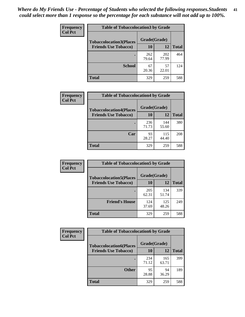| Frequency      | <b>Table of Tobaccolocation3 by Grade</b> |              |              |              |  |
|----------------|-------------------------------------------|--------------|--------------|--------------|--|
| <b>Col Pct</b> | <b>Tobaccolocation3(Places</b>            | Grade(Grade) |              |              |  |
|                | <b>Friends Use Tobacco)</b>               | 10           | 12           | <b>Total</b> |  |
|                |                                           | 262<br>79.64 | 202<br>77.99 | 464          |  |
|                | <b>School</b>                             | 67<br>20.36  | 57<br>22.01  | 124          |  |
|                | <b>Total</b>                              | 329          | 259          | 588          |  |

| Frequency      | <b>Table of Tobaccolocation4 by Grade</b> |              |              |              |
|----------------|-------------------------------------------|--------------|--------------|--------------|
| <b>Col Pct</b> | <b>Tobaccolocation4(Places</b>            | Grade(Grade) |              |              |
|                | <b>Friends Use Tobacco)</b>               | 10           | 12           | <b>Total</b> |
|                |                                           | 236<br>71.73 | 144<br>55.60 | 380          |
|                | Car                                       | 93<br>28.27  | 115<br>44.40 | 208          |
|                | <b>Total</b>                              | 329          | 259          | 588          |

| Frequency      | <b>Table of Tobaccolocation5 by Grade</b> |              |              |              |
|----------------|-------------------------------------------|--------------|--------------|--------------|
| <b>Col Pct</b> | <b>Tobaccolocation5(Places</b>            | Grade(Grade) |              |              |
|                | <b>Friends Use Tobacco)</b>               | 10           | 12           | <b>Total</b> |
|                |                                           | 205<br>62.31 | 134<br>51.74 | 339          |
|                | <b>Friend's House</b>                     | 124<br>37.69 | 125<br>48.26 | 249          |
|                | <b>Total</b>                              | 329          | 259          | 588          |

| <b>Frequency</b> | <b>Table of Tobaccolocation6 by Grade</b> |              |              |              |  |
|------------------|-------------------------------------------|--------------|--------------|--------------|--|
| <b>Col Pct</b>   | <b>Tobaccolocation6(Places</b>            | Grade(Grade) |              |              |  |
|                  | <b>Friends Use Tobacco)</b>               | 10           | 12           | <b>Total</b> |  |
|                  |                                           | 234<br>71.12 | 165<br>63.71 | 399          |  |
|                  | <b>Other</b>                              | 95<br>28.88  | 94<br>36.29  | 189          |  |
|                  | <b>Total</b>                              | 329          | 259          | 588          |  |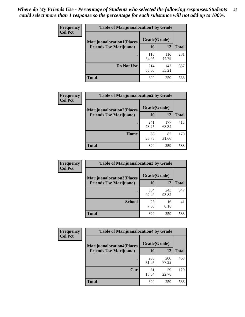| <b>Frequency</b> | <b>Table of Marijuanalocation1 by Grade</b> |              |              |              |
|------------------|---------------------------------------------|--------------|--------------|--------------|
| <b>Col Pct</b>   | <b>Marijuanalocation1(Places</b>            | Grade(Grade) |              |              |
|                  | <b>Friends Use Marijuana</b> )              | 10           | 12           | <b>Total</b> |
|                  |                                             | 115<br>34.95 | 116<br>44.79 | 231          |
|                  | Do Not Use                                  | 214<br>65.05 | 143<br>55.21 | 357          |
|                  | <b>Total</b>                                | 329          | 259          | 588          |

| Frequency      | <b>Table of Marijuanalocation2 by Grade</b>                        |                    |              |              |
|----------------|--------------------------------------------------------------------|--------------------|--------------|--------------|
| <b>Col Pct</b> | <b>Marijuanalocation2(Places</b><br><b>Friends Use Marijuana</b> ) | Grade(Grade)<br>10 | 12           | <b>Total</b> |
|                |                                                                    | 241<br>73.25       | 177<br>68.34 | 418          |
|                | Home                                                               | 88<br>26.75        | 82<br>31.66  | 170          |
|                | <b>Total</b>                                                       | 329                | 259          | 588          |

| <b>Frequency</b><br><b>Col Pct</b> | <b>Table of Marijuanalocation3 by Grade</b> |              |              |              |
|------------------------------------|---------------------------------------------|--------------|--------------|--------------|
|                                    | <b>Marijuanalocation3(Places</b>            | Grade(Grade) |              |              |
|                                    | <b>Friends Use Marijuana</b> )              | <b>10</b>    | 12           | <b>Total</b> |
|                                    |                                             | 304<br>92.40 | 243<br>93.82 | 547          |
|                                    | <b>School</b>                               | 25<br>7.60   | 16<br>6.18   | 41           |
|                                    | <b>Total</b>                                | 329          | 259          | 588          |

| Frequency<br><b>Col Pct</b> | <b>Table of Marijuanalocation4 by Grade</b> |              |                     |              |
|-----------------------------|---------------------------------------------|--------------|---------------------|--------------|
|                             | <b>Marijuanalocation4(Places</b>            | Grade(Grade) |                     |              |
|                             | <b>Friends Use Marijuana</b> )              | <b>10</b>    | 12                  | <b>Total</b> |
|                             |                                             | 268<br>81.46 | <b>200</b><br>77.22 | 468          |
|                             | Car                                         | 61<br>18.54  | 59<br>22.78         | 120          |
|                             | <b>Total</b>                                | 329          | 259                 | 588          |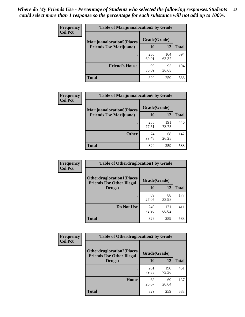| <b>Frequency</b>               | <b>Table of Marijuanalocation5 by Grade</b> |              |              |     |
|--------------------------------|---------------------------------------------|--------------|--------------|-----|
| <b>Col Pct</b>                 | <b>Marijuanalocation5</b> (Places           | Grade(Grade) |              |     |
| <b>Friends Use Marijuana</b> ) | 10                                          | 12           | <b>Total</b> |     |
|                                |                                             | 230<br>69.91 | 164<br>63.32 | 394 |
|                                | <b>Friend's House</b>                       | 99<br>30.09  | 95<br>36.68  | 194 |
|                                | <b>Total</b>                                | 329          | 259          | 588 |

| <b>Frequency</b> | <b>Table of Marijuanalocation6 by Grade</b>                        |                    |              |              |
|------------------|--------------------------------------------------------------------|--------------------|--------------|--------------|
| <b>Col Pct</b>   | <b>Marijuanalocation6(Places</b><br><b>Friends Use Marijuana</b> ) | Grade(Grade)<br>10 | 12           | <b>Total</b> |
|                  |                                                                    | 255<br>77.51       | 191<br>73.75 | 446          |
|                  | <b>Other</b>                                                       | 74<br>22.49        | 68<br>26.25  | 142          |
|                  | <b>Total</b>                                                       | 329                | 259          | 588          |

| <b>Frequency</b> | <b>Table of Otherdruglocation1 by Grade</b>                          |              |              |              |
|------------------|----------------------------------------------------------------------|--------------|--------------|--------------|
| <b>Col Pct</b>   | <b>Otherdruglocation1(Places</b><br><b>Friends Use Other Illegal</b> | Grade(Grade) |              |              |
|                  | Drugs)                                                               | 10           | 12           | <b>Total</b> |
|                  |                                                                      | 89<br>27.05  | 88<br>33.98  | 177          |
|                  | Do Not Use                                                           | 240<br>72.95 | 171<br>66.02 | 411          |
|                  | <b>Total</b>                                                         | 329          | 259          | 588          |

| <b>Frequency</b> | <b>Table of Otherdruglocation2 by Grade</b>                           |              |              |              |
|------------------|-----------------------------------------------------------------------|--------------|--------------|--------------|
| <b>Col Pct</b>   | <b>Otherdruglocation2(Places)</b><br><b>Friends Use Other Illegal</b> | Grade(Grade) |              |              |
|                  | Drugs)                                                                | 10           | 12           | <b>Total</b> |
|                  |                                                                       | 261<br>79.33 | 190<br>73.36 | 451          |
|                  | <b>Home</b>                                                           | 68<br>20.67  | 69<br>26.64  | 137          |
|                  | <b>Total</b>                                                          | 329          | 259          | 588          |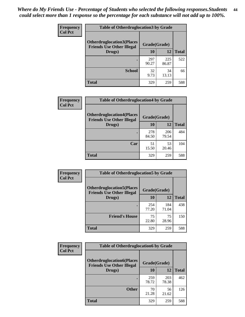| <b>Frequency</b> | <b>Table of Otherdruglocation 3 by Grade</b>                         |              |              |              |
|------------------|----------------------------------------------------------------------|--------------|--------------|--------------|
| <b>Col Pct</b>   | <b>Otherdruglocation3(Places</b><br><b>Friends Use Other Illegal</b> | Grade(Grade) |              |              |
|                  | Drugs)                                                               | <b>10</b>    | 12           | <b>Total</b> |
|                  |                                                                      | 297<br>90.27 | 225<br>86.87 | 522          |
|                  | <b>School</b>                                                        | 32<br>9.73   | 34<br>13.13  | 66           |
|                  | <b>Total</b>                                                         | 329          | 259          | 588          |

| <b>Frequency</b> | <b>Table of Otherdruglocation4 by Grade</b>                          |              |              |              |
|------------------|----------------------------------------------------------------------|--------------|--------------|--------------|
| <b>Col Pct</b>   | <b>Otherdruglocation4(Places</b><br><b>Friends Use Other Illegal</b> | Grade(Grade) |              |              |
|                  | Drugs)                                                               | 10           | 12           | <b>Total</b> |
|                  |                                                                      | 278<br>84.50 | 206<br>79.54 | 484          |
|                  | Car                                                                  | 51<br>15.50  | 53<br>20.46  | 104          |
|                  | <b>Total</b>                                                         | 329          | 259          | 588          |

| Frequency      | <b>Table of Otherdruglocation5 by Grade</b>                          |              |              |              |
|----------------|----------------------------------------------------------------------|--------------|--------------|--------------|
| <b>Col Pct</b> | <b>Otherdruglocation5(Places</b><br><b>Friends Use Other Illegal</b> | Grade(Grade) |              |              |
|                | Drugs)                                                               | 10           | 12           | <b>Total</b> |
|                |                                                                      | 254<br>77.20 | 184<br>71.04 | 438          |
|                | <b>Friend's House</b>                                                | 75<br>22.80  | 75<br>28.96  | 150          |
|                | <b>Total</b>                                                         | 329          | 259          | 588          |

| <b>Frequency</b> | <b>Table of Otherdruglocation6 by Grade</b>                          |              |              |              |
|------------------|----------------------------------------------------------------------|--------------|--------------|--------------|
| <b>Col Pct</b>   | <b>Otherdruglocation6(Places</b><br><b>Friends Use Other Illegal</b> | Grade(Grade) |              |              |
|                  | Drugs)                                                               | 10           | 12           | <b>Total</b> |
|                  |                                                                      | 259<br>78.72 | 203<br>78.38 | 462          |
|                  | <b>Other</b>                                                         | 70<br>21.28  | 56<br>21.62  | 126          |
|                  | <b>Total</b>                                                         | 329          | 259          | 588          |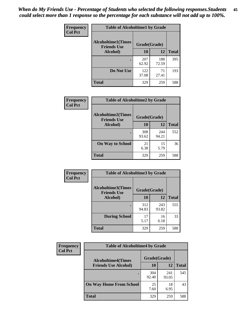| Frequency      | <b>Table of Alcoholtime1 by Grade</b>           |              |              |              |
|----------------|-------------------------------------------------|--------------|--------------|--------------|
| <b>Col Pct</b> | <b>Alcoholtime1(Times</b><br><b>Friends Use</b> | Grade(Grade) |              |              |
|                | Alcohol)                                        | 10           | 12           | <b>Total</b> |
|                |                                                 | 207<br>62.92 | 188<br>72.59 | 395          |
|                | Do Not Use                                      | 122<br>37.08 | 71<br>27.41  | 193          |
|                | <b>Total</b>                                    | 329          | 259          | 588          |

| Frequency      | <b>Table of Alcoholtime2 by Grade</b>                           |              |              |              |
|----------------|-----------------------------------------------------------------|--------------|--------------|--------------|
| <b>Col Pct</b> | <b>Alcoholtime2(Times</b><br>Grade(Grade)<br><b>Friends Use</b> |              |              |              |
|                | Alcohol)                                                        | 10           | 12           | <b>Total</b> |
|                |                                                                 | 308<br>93.62 | 244<br>94.21 | 552          |
|                | <b>On Way to School</b>                                         | 21<br>6.38   | 15<br>5.79   | 36           |
|                | <b>Total</b>                                                    | 329          | 259          | 588          |

| Frequency<br><b>Col Pct</b> | <b>Table of Alcoholtime3 by Grade</b>    |              |              |              |
|-----------------------------|------------------------------------------|--------------|--------------|--------------|
|                             | Alcoholtime3(Times<br><b>Friends Use</b> | Grade(Grade) |              |              |
|                             | Alcohol)                                 | 10           | 12           | <b>Total</b> |
|                             |                                          | 312<br>94.83 | 243<br>93.82 | 555          |
|                             | <b>During School</b>                     | 17<br>5.17   | 16<br>6.18   | 33           |
|                             | Total                                    | 329          | 259          | 588          |

| <b>Frequency</b> | <b>Table of Alcoholtime4 by Grade</b> |              |              |              |
|------------------|---------------------------------------|--------------|--------------|--------------|
| <b>Col Pct</b>   | <b>Alcoholtime4(Times</b>             | Grade(Grade) |              |              |
|                  | <b>Friends Use Alcohol)</b>           | 10           | 12           | <b>Total</b> |
|                  | ٠                                     | 304<br>92.40 | 241<br>93.05 | 545          |
|                  | <b>On Way Home From School</b>        | 25<br>7.60   | 18<br>6.95   | 43           |
|                  | <b>Total</b>                          | 329          | 259          | 588          |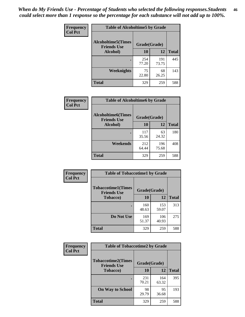*When do My Friends Use - Percentage of Students who selected the following responses.Students could select more than 1 response so the percentage for each substance will not add up to 100%.* **46**

| Frequency      | <b>Table of Alcoholtime5 by Grade</b>           |              |              |              |
|----------------|-------------------------------------------------|--------------|--------------|--------------|
| <b>Col Pct</b> | <b>Alcoholtime5(Times</b><br><b>Friends Use</b> | Grade(Grade) |              |              |
|                | Alcohol)                                        | 10           | 12           | <b>Total</b> |
|                |                                                 | 254<br>77.20 | 191<br>73.75 | 445          |
|                | Weeknights                                      | 75<br>22.80  | 68<br>26.25  | 143          |
|                | <b>Total</b>                                    | 329          | 259          | 588          |

| <b>Frequency</b> |                                                 | <b>Table of Alcoholtime6 by Grade</b> |              |              |  |  |
|------------------|-------------------------------------------------|---------------------------------------|--------------|--------------|--|--|
| <b>Col Pct</b>   | <b>Alcoholtime6(Times</b><br><b>Friends Use</b> |                                       | Grade(Grade) |              |  |  |
|                  | Alcohol)                                        | 10                                    | 12           | <b>Total</b> |  |  |
|                  |                                                 | 117<br>35.56                          | 63<br>24.32  | 180          |  |  |
|                  | Weekends                                        | 212<br>64.44                          | 196<br>75.68 | 408          |  |  |
|                  | <b>Total</b>                                    | 329                                   | 259          | 588          |  |  |

| Frequency      | <b>Table of Tobaccotime1 by Grade</b>           |              |              |              |
|----------------|-------------------------------------------------|--------------|--------------|--------------|
| <b>Col Pct</b> | <b>Tobaccotime1(Times</b><br><b>Friends Use</b> | Grade(Grade) |              |              |
|                | <b>Tobacco</b> )                                | 10           | 12           | <b>Total</b> |
|                |                                                 | 160<br>48.63 | 153<br>59.07 | 313          |
|                | Do Not Use                                      | 169<br>51.37 | 106<br>40.93 | 275          |
|                | <b>Total</b>                                    | 329          | 259          | 588          |

| <b>Frequency</b> | <b>Table of Tobaccotime2 by Grade</b>           |              |              |              |
|------------------|-------------------------------------------------|--------------|--------------|--------------|
| <b>Col Pct</b>   | <b>Tobaccotime2(Times</b><br><b>Friends Use</b> | Grade(Grade) |              |              |
|                  | <b>Tobacco</b> )                                | <b>10</b>    | 12           | <b>Total</b> |
|                  |                                                 | 231<br>70.21 | 164<br>63.32 | 395          |
|                  | <b>On Way to School</b>                         | 98<br>29.79  | 95<br>36.68  | 193          |
|                  | <b>Total</b>                                    | 329          | 259          | 588          |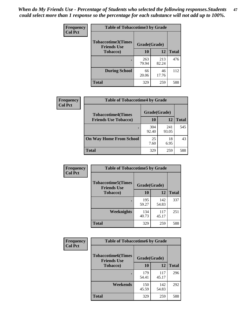*When do My Friends Use - Percentage of Students who selected the following responses.Students could select more than 1 response so the percentage for each substance will not add up to 100%.* **47**

| <b>Frequency</b> | <b>Table of Tobaccotime3 by Grade</b>           |              |              |              |  |
|------------------|-------------------------------------------------|--------------|--------------|--------------|--|
| <b>Col Pct</b>   | <b>Tobaccotime3(Times</b><br><b>Friends Use</b> | Grade(Grade) |              |              |  |
|                  | <b>Tobacco</b> )                                | 10           | 12           | <b>Total</b> |  |
|                  |                                                 | 263<br>79.94 | 213<br>82.24 | 476          |  |
|                  | <b>During School</b>                            | 66<br>20.06  | 46<br>17.76  | 112          |  |
|                  | <b>Total</b>                                    | 329          | 259          | 588          |  |

| <b>Frequency</b> | <b>Table of Tobaccotime4 by Grade</b> |              |              |              |
|------------------|---------------------------------------|--------------|--------------|--------------|
| <b>Col Pct</b>   | <b>Tobaccotime4(Times</b>             | Grade(Grade) |              |              |
|                  | <b>Friends Use Tobacco)</b>           | 10           | 12           | <b>Total</b> |
|                  |                                       | 304<br>92.40 | 241<br>93.05 | 545          |
|                  | <b>On Way Home From School</b>        | 25<br>7.60   | 18<br>6.95   | 43           |
|                  | <b>Total</b>                          | 329          | 259          | 588          |

| Frequency      | <b>Table of Tobaccotime5 by Grade</b>            |              |              |              |
|----------------|--------------------------------------------------|--------------|--------------|--------------|
| <b>Col Pct</b> | <b>Tobaccotime5</b> (Times<br><b>Friends Use</b> | Grade(Grade) |              |              |
|                | <b>Tobacco</b> )                                 | 10           | 12           | <b>Total</b> |
|                |                                                  | 195<br>59.27 | 142<br>54.83 | 337          |
|                | <b>Weeknights</b>                                | 134<br>40.73 | 117<br>45.17 | 251          |
|                | <b>Total</b>                                     | 329          | 259          | 588          |

| Frequency<br><b>Col Pct</b> | <b>Table of Tobaccotime6 by Grade</b>                           |              |              |              |
|-----------------------------|-----------------------------------------------------------------|--------------|--------------|--------------|
|                             | <b>Tobaccotime6(Times</b><br>Grade(Grade)<br><b>Friends Use</b> |              |              |              |
|                             | <b>Tobacco</b> )                                                | 10           | 12           | <b>Total</b> |
|                             |                                                                 | 179<br>54.41 | 117<br>45.17 | 296          |
|                             | Weekends                                                        | 150<br>45.59 | 142<br>54.83 | 292          |
|                             | <b>Total</b>                                                    | 329          | 259          | 588          |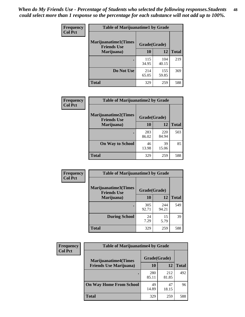| Frequency<br><b>Col Pct</b> | <b>Table of Marijuanatime1 by Grade</b>            |              |              |              |
|-----------------------------|----------------------------------------------------|--------------|--------------|--------------|
|                             | <b>Marijuanatime1</b> (Times<br><b>Friends Use</b> | Grade(Grade) |              |              |
|                             | Marijuana)                                         | 10           | 12           | <b>Total</b> |
|                             |                                                    | 115<br>34.95 | 104<br>40.15 | 219          |
|                             | Do Not Use                                         | 214<br>65.05 | 155<br>59.85 | 369          |
|                             | <b>Total</b>                                       | 329          | 259          | 588          |

| Frequency      | <b>Table of Marijuanatime2 by Grade</b>           |              |              |              |
|----------------|---------------------------------------------------|--------------|--------------|--------------|
| <b>Col Pct</b> | <b>Marijuanatime2(Times</b><br><b>Friends Use</b> | Grade(Grade) |              |              |
|                | Marijuana)                                        | 10           | 12           | <b>Total</b> |
|                | ٠                                                 | 283<br>86.02 | 220<br>84.94 | 503          |
|                | <b>On Way to School</b>                           | 46<br>13.98  | 39<br>15.06  | 85           |
|                | <b>Total</b>                                      | 329          | 259          | 588          |

| Frequency      | <b>Table of Marijuanatime3 by Grade</b>    |              |              |              |
|----------------|--------------------------------------------|--------------|--------------|--------------|
| <b>Col Pct</b> | Marijuanatime3(Times<br><b>Friends Use</b> | Grade(Grade) |              |              |
|                | Marijuana)                                 | 10           | 12           | <b>Total</b> |
|                |                                            | 305<br>92.71 | 244<br>94.21 | 549          |
|                | <b>During School</b>                       | 24<br>7.29   | 15<br>5.79   | 39           |
|                | <b>Total</b>                               | 329          | 259          | 588          |

| <b>Frequency</b><br><b>Col Pct</b> | <b>Table of Marijuanatime4 by Grade</b> |              |              |              |
|------------------------------------|-----------------------------------------|--------------|--------------|--------------|
|                                    | <b>Marijuanatime4(Times</b>             | Grade(Grade) |              |              |
|                                    | <b>Friends Use Marijuana</b> )          | 10           | 12           | <b>Total</b> |
|                                    |                                         | 280<br>85.11 | 212<br>81.85 | 492          |
|                                    | <b>On Way Home From School</b>          | 49<br>14.89  | 47<br>18.15  | 96           |
|                                    | <b>Total</b>                            | 329          | 259          | 588          |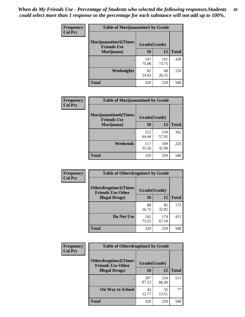| Frequency      | <b>Table of Marijuanatime5 by Grade</b>            |              |              |              |
|----------------|----------------------------------------------------|--------------|--------------|--------------|
| <b>Col Pct</b> | <b>Marijuanatime5</b> (Times<br><b>Friends Use</b> | Grade(Grade) |              |              |
|                | Marijuana)                                         | 10           | 12           | <b>Total</b> |
|                |                                                    | 247<br>75.08 | 191<br>73.75 | 438          |
|                | Weeknights                                         | 82<br>24.92  | 68<br>26.25  | 150          |
|                | <b>Total</b>                                       | 329          | 259          | 588          |

| <b>Frequency</b> | <b>Table of Marijuanatime6 by Grade</b>            |              |              |              |
|------------------|----------------------------------------------------|--------------|--------------|--------------|
| <b>Col Pct</b>   | <b>Marijuanatime6</b> (Times<br><b>Friends Use</b> | Grade(Grade) |              |              |
|                  | Marijuana)                                         | 10           | 12           | <b>Total</b> |
|                  |                                                    | 212<br>64.44 | 150<br>57.92 | 362          |
|                  | Weekends                                           | 117<br>35.56 | 109<br>42.08 | 226          |
|                  | <b>Total</b>                                       | 329          | 259          | 588          |

| Frequency      | <b>Table of Otherdrugtime1 by Grade</b>                 |              |              |              |
|----------------|---------------------------------------------------------|--------------|--------------|--------------|
| <b>Col Pct</b> | <b>Otherdrugtime1(Times</b><br><b>Friends Use Other</b> | Grade(Grade) |              |              |
|                | <b>Illegal Drugs</b> )                                  | 10           | 12           | <b>Total</b> |
|                |                                                         | 88<br>26.75  | 85<br>32.82  | 173          |
|                | Do Not Use                                              | 241<br>73.25 | 174<br>67.18 | 415          |
|                | <b>Total</b>                                            | 329          | 259          | 588          |

| Frequency      | <b>Table of Otherdrugtime2 by Grade</b>                 |              |              |              |  |  |
|----------------|---------------------------------------------------------|--------------|--------------|--------------|--|--|
| <b>Col Pct</b> | <b>Otherdrugtime2(Times</b><br><b>Friends Use Other</b> | Grade(Grade) |              |              |  |  |
|                | <b>Illegal Drugs</b> )                                  | 10           | 12           | <b>Total</b> |  |  |
|                |                                                         | 287<br>87.23 | 224<br>86.49 | 511          |  |  |
|                | <b>On Way to School</b>                                 | 42<br>12.77  | 35<br>13.51  | 77           |  |  |
|                | Total                                                   | 329          | 259          | 588          |  |  |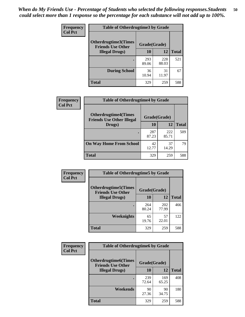| <b>Frequency</b> | <b>Table of Otherdrugtime3 by Grade</b>          |              |              |              |  |  |  |
|------------------|--------------------------------------------------|--------------|--------------|--------------|--|--|--|
| <b>Col Pct</b>   | Otherdrugtime3(Times<br><b>Friends Use Other</b> | Grade(Grade) |              |              |  |  |  |
|                  | <b>Illegal Drugs</b> )                           | 10           | 12           | <b>Total</b> |  |  |  |
|                  |                                                  | 293<br>89.06 | 228<br>88.03 | 521          |  |  |  |
|                  | <b>During School</b>                             | 36<br>10.94  | 31<br>11.97  | 67           |  |  |  |
|                  | Total                                            | 329          | 259          | 588          |  |  |  |

| Frequency      | <b>Table of Otherdrugtime4 by Grade</b>                         |              |              |              |  |  |
|----------------|-----------------------------------------------------------------|--------------|--------------|--------------|--|--|
| <b>Col Pct</b> | <b>Otherdrugtime4(Times</b><br><b>Friends Use Other Illegal</b> | Grade(Grade) |              |              |  |  |
|                | Drugs)                                                          | 10           | 12           | <b>Total</b> |  |  |
|                | $\bullet$                                                       | 287<br>87.23 | 222<br>85.71 | 509          |  |  |
|                | <b>On Way Home From School</b>                                  | 42<br>12.77  | 37<br>14.29  | 79           |  |  |
|                | <b>Total</b>                                                    | 329          | 259          | 588          |  |  |

| <b>Frequency</b> | <b>Table of Otherdrugtime5 by Grade</b>                                  |              |              |              |  |  |
|------------------|--------------------------------------------------------------------------|--------------|--------------|--------------|--|--|
| <b>Col Pct</b>   | <b>Otherdrugtime5</b> (Times<br>Grade(Grade)<br><b>Friends Use Other</b> |              |              |              |  |  |
|                  | <b>Illegal Drugs</b> )                                                   | 10           | 12           | <b>Total</b> |  |  |
|                  |                                                                          | 264<br>80.24 | 202<br>77.99 | 466          |  |  |
|                  | Weeknights                                                               | 65<br>19.76  | 57<br>22.01  | 122          |  |  |
|                  | Total                                                                    | 329          | 259          | 588          |  |  |

| Frequency      | <b>Table of Otherdrugtime6 by Grade</b>                                 |              |              |              |  |  |
|----------------|-------------------------------------------------------------------------|--------------|--------------|--------------|--|--|
| <b>Col Pct</b> | <b>Otherdrugtime6(Times</b><br>Grade(Grade)<br><b>Friends Use Other</b> |              |              |              |  |  |
|                | <b>Illegal Drugs</b> )                                                  | 10           | 12           | <b>Total</b> |  |  |
|                |                                                                         | 239<br>72.64 | 169<br>65.25 | 408          |  |  |
|                | Weekends                                                                | 90<br>27.36  | 90<br>34.75  | 180          |  |  |
|                | Total                                                                   | 329          | 259          | 588          |  |  |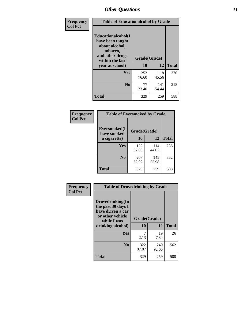| Frequency      | <b>Table of Educationalcohol by Grade</b>                                                                  |              |              |              |  |  |
|----------------|------------------------------------------------------------------------------------------------------------|--------------|--------------|--------------|--|--|
| <b>Col Pct</b> | Educationalcohol(I<br>have been taught<br>about alcohol,<br>tobacco,<br>and other drugs<br>within the last | Grade(Grade) |              |              |  |  |
|                | year at school)                                                                                            | 10           | 12           | <b>Total</b> |  |  |
|                | <b>Yes</b>                                                                                                 | 252<br>76.60 | 118<br>45.56 | 370          |  |  |
|                | N <sub>0</sub>                                                                                             | 77<br>23.40  | 141<br>54.44 | 218          |  |  |
|                | <b>Total</b>                                                                                               | 329          | 259          | 588          |  |  |

| Frequency      | <b>Table of Eversmoked by Grade</b> |              |              |              |  |  |  |
|----------------|-------------------------------------|--------------|--------------|--------------|--|--|--|
| <b>Col Pct</b> | Eversmoked(I<br>have smoked         | Grade(Grade) |              |              |  |  |  |
|                | a cigarette)                        | 10           | 12           | <b>Total</b> |  |  |  |
|                | Yes                                 | 122<br>37.08 | 114<br>44.02 | 236          |  |  |  |
|                | N <sub>0</sub>                      | 207<br>62.92 | 145<br>55.98 | 352          |  |  |  |
|                | <b>Total</b>                        | 329          | 259          | 588          |  |  |  |

| Frequency      | <b>Table of Drovedrinking by Grade</b>                                                                              |                    |              |              |  |  |
|----------------|---------------------------------------------------------------------------------------------------------------------|--------------------|--------------|--------------|--|--|
| <b>Col Pct</b> | Drovedrinking(In<br>the past 30 days I<br>have driven a car<br>or other vehicle<br>while I was<br>drinking alcohol) | Grade(Grade)<br>10 | 12           | <b>Total</b> |  |  |
|                | <b>Yes</b>                                                                                                          | 2.13               | 19<br>7.34   | 26           |  |  |
|                | N <sub>0</sub>                                                                                                      | 322<br>97.87       | 240<br>92.66 | 562          |  |  |
|                | <b>Total</b>                                                                                                        | 329                | 259          | 588          |  |  |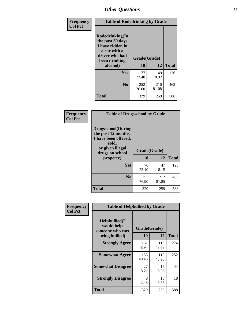| Frequency<br><b>Col Pct</b> | <b>Table of Rodedrinking by Grade</b>                                                                      |              |              |              |  |  |  |
|-----------------------------|------------------------------------------------------------------------------------------------------------|--------------|--------------|--------------|--|--|--|
|                             | Rodedrinking(In<br>the past 30 days<br>I have ridden in<br>a car with a<br>driver who had<br>been drinking | Grade(Grade) |              |              |  |  |  |
|                             | alcohol)                                                                                                   | 10           | 12           | <b>Total</b> |  |  |  |
|                             | <b>Yes</b>                                                                                                 | 77<br>23.40  | 49<br>18.92  | 126          |  |  |  |
|                             | N <sub>0</sub>                                                                                             | 252<br>76.60 | 210<br>81.08 | 462          |  |  |  |
|                             | <b>Total</b>                                                                                               | 329          | 259          | 588          |  |  |  |

#### **Frequency Col Pct**

| <b>Table of Drugsschool by Grade</b>                                                                                      |              |              |              |  |  |  |  |
|---------------------------------------------------------------------------------------------------------------------------|--------------|--------------|--------------|--|--|--|--|
| <b>Drugsschool</b> (During<br>the past 12 months,<br>I have been offered,<br>sold,<br>or given illegal<br>drugs on school | Grade(Grade) |              |              |  |  |  |  |
| property)                                                                                                                 | 10           | 12           | <b>Total</b> |  |  |  |  |
| Yes                                                                                                                       | 76<br>23.10  | 47<br>18.15  | 123          |  |  |  |  |
| N <sub>0</sub>                                                                                                            | 253<br>76.90 | 212<br>81.85 | 465          |  |  |  |  |
| Total                                                                                                                     | 329          | 259          | 588          |  |  |  |  |

| Frequency      | <b>Table of Helpbullied by Grade</b>                 |              |              |              |  |  |  |
|----------------|------------------------------------------------------|--------------|--------------|--------------|--|--|--|
| <b>Col Pct</b> | $Helpb$ ullied $(I$<br>would help<br>someone who was | Grade(Grade) |              |              |  |  |  |
|                | being bullied)                                       | <b>10</b>    | 12           | <b>Total</b> |  |  |  |
|                | <b>Strongly Agree</b>                                | 161<br>48.94 | 113<br>43.63 | 274          |  |  |  |
|                | <b>Somewhat Agree</b>                                | 133<br>40.43 | 119<br>45.95 | 252          |  |  |  |
|                | <b>Somewhat Disagree</b>                             | 27<br>8.21   | 17<br>6.56   | 44           |  |  |  |
|                | <b>Strongly Disagree</b>                             | 8<br>2.43    | 10<br>3.86   | 18           |  |  |  |
|                | Total                                                | 329          | 259          | 588          |  |  |  |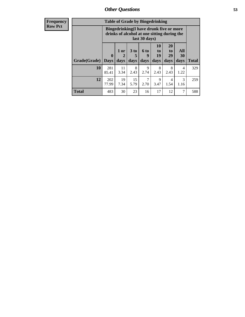| <b>Frequency</b> | <b>Table of Grade by Bingedrinking</b> |                                                                                                         |                     |                   |                   |                        |                               |                       |              |
|------------------|----------------------------------------|---------------------------------------------------------------------------------------------------------|---------------------|-------------------|-------------------|------------------------|-------------------------------|-----------------------|--------------|
| <b>Row Pct</b>   |                                        | Bingedrinking(I have drunk five or more<br>drinks of alcohol at one sitting during the<br>last 30 days) |                     |                   |                   |                        |                               |                       |              |
|                  | Grade(Grade)                           | $\mathbf{0}$<br><b>Days</b>                                                                             | $1$ or<br>2<br>days | 3 to<br>5<br>days | 6 to<br>9<br>days | 10<br>to<br>19<br>days | <b>20</b><br>to<br>29<br>days | All<br>30<br>days     | <b>Total</b> |
|                  | 10                                     | 281<br>85.41                                                                                            | 11<br>3.34          | 8<br>2.43         | 9<br>2.74         | 8<br>2.43              | 8<br>2.43                     | 4<br>1.22             | 329          |
|                  | 12                                     | 202<br>77.99                                                                                            | 19<br>7.34          | 15<br>5.79        | 7<br>2.70         | 9<br>3.47              | 4<br>1.54                     | $\mathcal{R}$<br>1.16 | 259          |
|                  | <b>Total</b>                           | 483                                                                                                     | 30                  | 23                | 16                | 17                     | 12                            | 7                     | 588          |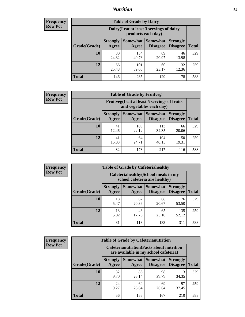### *Nutrition* **54**

| <b>Frequency</b><br>Row Pct |
|-----------------------------|
|                             |

| <b>Table of Grade by Dairy</b> |                                                                                                                                                  |                                                                 |             |             |     |  |  |  |
|--------------------------------|--------------------------------------------------------------------------------------------------------------------------------------------------|-----------------------------------------------------------------|-------------|-------------|-----|--|--|--|
|                                |                                                                                                                                                  | Dairy (I eat at least 3 servings of dairy<br>products each day) |             |             |     |  |  |  |
| Grade(Grade)                   | <b>Somewhat</b><br><b>Somewhat</b><br><b>Strongly</b><br><b>Strongly</b><br><b>Disagree</b><br>Agree<br><b>Disagree</b><br><b>Total</b><br>Agree |                                                                 |             |             |     |  |  |  |
| 10                             | 80<br>24.32                                                                                                                                      | 134<br>40.73                                                    | 69<br>20.97 | 46<br>13.98 | 329 |  |  |  |
| 12                             | 66<br>25.48                                                                                                                                      | 101<br>39.00                                                    | 60<br>23.17 | 32<br>12.36 | 259 |  |  |  |
| <b>Total</b>                   | 146                                                                                                                                              | 235                                                             | 129         | 78          | 588 |  |  |  |

| <b>Frequency</b> |  |
|------------------|--|
| <b>Row Pct</b>   |  |

| <b>Table of Grade by Fruitveg</b>                                        |                          |                   |                             |                                    |              |  |  |
|--------------------------------------------------------------------------|--------------------------|-------------------|-----------------------------|------------------------------------|--------------|--|--|
| Fruitveg(I eat at least 5 servings of fruits<br>and vegetables each day) |                          |                   |                             |                                    |              |  |  |
| Grade(Grade)                                                             | <b>Strongly</b><br>Agree | Somewhat<br>Agree | <b>Somewhat</b><br>Disagree | <b>Strongly</b><br><b>Disagree</b> | <b>Total</b> |  |  |
| 10                                                                       | 41<br>12.46              | 109<br>33.13      | 113<br>34.35                | 66<br>20.06                        | 329          |  |  |
| 12                                                                       | 41<br>15.83              | 64<br>24.71       | 104<br>40.15                | 50<br>19.31                        | 259          |  |  |
| <b>Total</b>                                                             | 82                       | 173               | 217                         | 116                                | 588          |  |  |

| <b>Frequency</b> | <b>Table of Grade by Cafeteriahealthy</b> |                                                                       |                     |                             |                                    |              |  |  |
|------------------|-------------------------------------------|-----------------------------------------------------------------------|---------------------|-----------------------------|------------------------------------|--------------|--|--|
| <b>Row Pct</b>   |                                           | Cafeteriahealthy (School meals in my<br>school cafeteria are healthy) |                     |                             |                                    |              |  |  |
|                  | Grade(Grade)                              | <b>Strongly</b><br>Agree                                              | Somewhat  <br>Agree | Somewhat<br><b>Disagree</b> | <b>Strongly</b><br><b>Disagree</b> | <b>Total</b> |  |  |
|                  | 10                                        | 18<br>5.47                                                            | 67<br>20.36         | 68<br>20.67                 | 176<br>53.50                       | 329          |  |  |
|                  | 12                                        | 13<br>5.02                                                            | 46<br>17.76         | 65<br>25.10                 | 135<br>52.12                       | 259          |  |  |
|                  | <b>Total</b>                              | 31                                                                    | 113                 | 133                         | 311                                | 588          |  |  |

| <b>Frequency</b> |
|------------------|
| <b>Row Pct</b>   |

| <b>Table of Grade by Cafeterianutrition</b> |              |                          |                                                                                           |                                        |                                    |              |  |  |  |
|---------------------------------------------|--------------|--------------------------|-------------------------------------------------------------------------------------------|----------------------------------------|------------------------------------|--------------|--|--|--|
|                                             |              |                          | <b>Cafeterianutrition</b> (Facts about nutrition<br>are available in my school cafeteria) |                                        |                                    |              |  |  |  |
|                                             | Grade(Grade) | <b>Strongly</b><br>Agree | Agree                                                                                     | <b>Somewhat   Somewhat</b><br>Disagree | <b>Strongly</b><br><b>Disagree</b> | <b>Total</b> |  |  |  |
|                                             | 10           | 32<br>9.73               | 86<br>26.14                                                                               | 98<br>29.79                            | 113<br>34.35                       | 329          |  |  |  |
|                                             | 12           | 24<br>9.27               | 69<br>26.64                                                                               | 69<br>26.64                            | 97<br>37.45                        | 259          |  |  |  |
|                                             | <b>Total</b> | 56                       | 155                                                                                       | 167                                    | 210                                | 588          |  |  |  |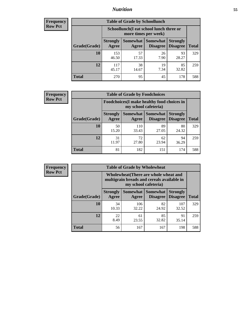### *Nutrition* **55**

| <b>Frequency</b><br>Row Pct |
|-----------------------------|
|                             |

| <b>Table of Grade by Schoollunch</b> |                                                                                                                      |                                                                 |            |             |     |  |  |  |
|--------------------------------------|----------------------------------------------------------------------------------------------------------------------|-----------------------------------------------------------------|------------|-------------|-----|--|--|--|
|                                      |                                                                                                                      | Schoollunch(I eat school lunch three or<br>more times per week) |            |             |     |  |  |  |
| Grade(Grade)                         | Somewhat  <br><b>Somewhat</b><br><b>Strongly</b><br><b>Strongly</b><br><b>Disagree</b><br>Disagree<br>Agree<br>Agree |                                                                 |            |             |     |  |  |  |
| 10                                   | 153<br>46.50                                                                                                         | 57<br>17.33                                                     | 26<br>7.90 | 93<br>28.27 | 329 |  |  |  |
| 12                                   | 117<br>45.17                                                                                                         | 38<br>14.67                                                     | 19<br>7.34 | 85<br>32.82 | 259 |  |  |  |
| <b>Total</b>                         | 270                                                                                                                  | 95                                                              | 45         | 178         | 588 |  |  |  |

| <b>Frequency</b> |  |
|------------------|--|
| <b>Row Pct</b>   |  |

| <b>Table of Grade by Foodchoices</b> |                                                                     |              |                                        |                                    |              |  |  |  |
|--------------------------------------|---------------------------------------------------------------------|--------------|----------------------------------------|------------------------------------|--------------|--|--|--|
|                                      | Foodchoices (I make healthy food choices in<br>my school cafeteria) |              |                                        |                                    |              |  |  |  |
| Grade(Grade)                         | <b>Strongly</b><br>Agree                                            | Agree        | Somewhat   Somewhat<br><b>Disagree</b> | <b>Strongly</b><br><b>Disagree</b> | <b>Total</b> |  |  |  |
| 10                                   | 50<br>15.20                                                         | 110<br>33.43 | 89<br>27.05                            | 80<br>24.32                        | 329          |  |  |  |
| 12                                   | 31<br>11.97                                                         | 72<br>27.80  | 62<br>23.94                            | 94<br>36.29                        | 259          |  |  |  |
| <b>Total</b>                         | 81                                                                  | 182          | 151                                    | 174                                | 588          |  |  |  |

| Frequency      | <b>Table of Grade by Wholewheat</b> |                                                                                                             |                   |                                    |                                    |              |  |  |
|----------------|-------------------------------------|-------------------------------------------------------------------------------------------------------------|-------------------|------------------------------------|------------------------------------|--------------|--|--|
| <b>Row Pct</b> |                                     | Wholewheat (There are whole wheat and<br>multigrain breads and cereals available in<br>my school cafeteria) |                   |                                    |                                    |              |  |  |
|                | Grade(Grade)                        | <b>Strongly</b><br>Agree                                                                                    | Somewhat<br>Agree | <b>Somewhat</b><br><b>Disagree</b> | <b>Strongly</b><br><b>Disagree</b> | <b>Total</b> |  |  |
|                | 10                                  | 34<br>10.33                                                                                                 | 106<br>32.22      | 82<br>24.92                        | 107<br>32.52                       | 329          |  |  |
|                | 12                                  | 22<br>8.49                                                                                                  | 61<br>23.55       | 85<br>32.82                        | 91<br>35.14                        | 259          |  |  |
|                | Total                               | 56                                                                                                          | 167               | 167                                | 198                                | 588          |  |  |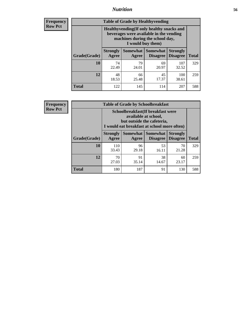### *Nutrition* **56**

**Frequency Row Pct**

| <b>Table of Grade by Healthyvending</b> |                                                                                                                                               |                          |                                    |                                    |              |  |
|-----------------------------------------|-----------------------------------------------------------------------------------------------------------------------------------------------|--------------------------|------------------------------------|------------------------------------|--------------|--|
|                                         | Healthyvending (If only healthy snacks and<br>beverages were available in the vending<br>machines during the school day,<br>I would buy them) |                          |                                    |                                    |              |  |
| Grade(Grade)                            | <b>Strongly</b><br>Agree                                                                                                                      | <b>Somewhat</b><br>Agree | <b>Somewhat</b><br><b>Disagree</b> | <b>Strongly</b><br><b>Disagree</b> | <b>Total</b> |  |
| 10                                      | 74<br>22.49                                                                                                                                   | 79<br>24.01              | 69<br>20.97                        | 107<br>32.52                       | 329          |  |
| 12                                      | 48<br>18.53                                                                                                                                   | 66<br>25.48              | 45<br>17.37                        | 100<br>38.61                       | 259          |  |
| <b>Total</b>                            | 122                                                                                                                                           | 145                      | 114                                | 207                                | 588          |  |

**Frequency Row Pct**

| <b>Table of Grade by Schoolbreakfast</b> |                                                                                                                                        |                     |                                    |                                    |              |  |
|------------------------------------------|----------------------------------------------------------------------------------------------------------------------------------------|---------------------|------------------------------------|------------------------------------|--------------|--|
|                                          | Schoolbreakfast(If breakfast were<br>available at school,<br>but outside the cafeteria,<br>I would eat breakfast at school more often) |                     |                                    |                                    |              |  |
| Grade(Grade)                             | <b>Strongly</b><br>Agree                                                                                                               | Somewhat  <br>Agree | <b>Somewhat</b><br><b>Disagree</b> | <b>Strongly</b><br><b>Disagree</b> | <b>Total</b> |  |
| 10                                       | 110<br>33.43                                                                                                                           | 96<br>29.18         | 53<br>16.11                        | 70<br>21.28                        | 329          |  |
| 12                                       | 91<br>38<br>70<br>60<br>27.03<br>23.17<br>35.14<br>14.67                                                                               |                     |                                    |                                    |              |  |
| <b>Total</b>                             | 180                                                                                                                                    | 187                 | 91                                 | 130                                | 588          |  |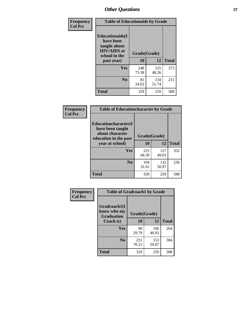| Frequency<br><b>Col Pct</b> | <b>Table of Educationaids by Grade</b>                                                                    |                    |              |              |
|-----------------------------|-----------------------------------------------------------------------------------------------------------|--------------------|--------------|--------------|
|                             | <b>Educationaids</b> (I<br>have been<br>taught about<br><b>HIV/AIDS</b> at<br>school in the<br>past year) | Grade(Grade)<br>10 | 12           | <b>Total</b> |
|                             | Yes                                                                                                       | 248<br>75.38       | 125<br>48.26 | 373          |
|                             | N <sub>0</sub>                                                                                            | 81<br>24.62        | 134<br>51.74 | 215          |
|                             | <b>Total</b>                                                                                              | 329                | 259          | 588          |

| Frequency      | <b>Table of Educationcharacter by Grade</b>                                                  |              |              |              |  |
|----------------|----------------------------------------------------------------------------------------------|--------------|--------------|--------------|--|
| <b>Col Pct</b> | <b>Educationcharacter(I)</b><br>have been taught<br>about character<br>education in the past | Grade(Grade) |              |              |  |
|                | year at school)                                                                              | 10           | 12           | <b>Total</b> |  |
|                | Yes                                                                                          | 225<br>68.39 | 127<br>49.03 | 352          |  |
|                | N <sub>0</sub>                                                                               | 104<br>31.61 | 132<br>50.97 | 236          |  |
|                | <b>Total</b>                                                                                 | 329          | 259          | 588          |  |

| Frequency      | <b>Table of Gradcoach1 by Grade</b> |              |              |              |
|----------------|-------------------------------------|--------------|--------------|--------------|
| <b>Col Pct</b> | Gradcoach1(I<br>know who my         | Grade(Grade) |              |              |
|                | <b>Graduation</b><br>Coach is)      | 10           | 12           | <b>Total</b> |
|                | Yes                                 | 98<br>29.79  | 106<br>40.93 | 204          |
|                | N <sub>0</sub>                      | 231<br>70.21 | 153<br>59.07 | 384          |
|                | <b>Total</b>                        | 329          | 259          | 588          |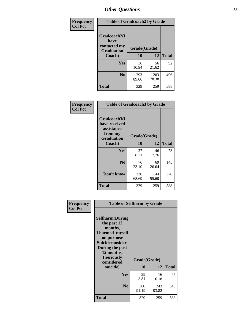| Frequency      | <b>Table of Gradcoach2 by Grade</b> |              |              |              |
|----------------|-------------------------------------|--------------|--------------|--------------|
| <b>Col Pct</b> |                                     |              |              |              |
|                | Gradcoach2(I<br>have                |              |              |              |
|                | contacted my<br><b>Graduation</b>   | Grade(Grade) |              |              |
|                | Coach)                              | 10           | 12           | <b>Total</b> |
|                | Yes                                 | 36<br>10.94  | 56<br>21.62  | 92           |
|                | N <sub>0</sub>                      | 293<br>89.06 | 203<br>78.38 | 496          |
|                | <b>Total</b>                        | 329          | 259          | 588          |

| Frequency<br><b>Col Pct</b> | <b>Table of Gradcoach3 by Grade</b>                                         |              |              |              |
|-----------------------------|-----------------------------------------------------------------------------|--------------|--------------|--------------|
|                             | Gradcoach3(I<br>have received<br>assistance<br>from my<br><b>Graduation</b> | Grade(Grade) |              |              |
|                             | Coach)                                                                      | 10           | 12           | <b>Total</b> |
|                             | Yes                                                                         | 27<br>8.21   | 46<br>17.76  | 73           |
|                             | N <sub>0</sub>                                                              | 76<br>23.10  | 69<br>26.64  | 145          |
|                             | Don't know                                                                  | 226<br>68.69 | 144<br>55.60 | 370          |
|                             | <b>Total</b>                                                                | 329          | 259          | 588          |

| Frequency<br><b>Col Pct</b> | <b>Table of Selfharm by Grade</b>                                                                                                                                                      |                    |              |              |  |
|-----------------------------|----------------------------------------------------------------------------------------------------------------------------------------------------------------------------------------|--------------------|--------------|--------------|--|
|                             | <b>Selfharm</b> (During<br>the past 12<br>months,<br>I harmed myself<br>on purpose<br><b>Suicideconsider</b><br>During the past<br>12 months,<br>I seriously<br>considered<br>suicide) | Grade(Grade)<br>10 | 12           | <b>Total</b> |  |
|                             | Yes                                                                                                                                                                                    | 29                 | 16           | 45           |  |
|                             |                                                                                                                                                                                        | 8.81               | 6.18         |              |  |
|                             | N <sub>0</sub>                                                                                                                                                                         | 300<br>91.19       | 243<br>93.82 | 543          |  |
|                             | <b>Total</b>                                                                                                                                                                           | 329                | 259          | 588          |  |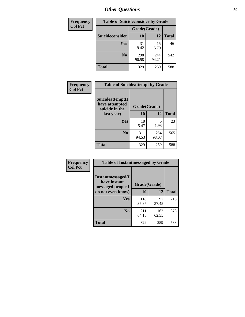| <b>Frequency</b> | <b>Table of Suicideconsider by Grade</b> |              |              |              |  |
|------------------|------------------------------------------|--------------|--------------|--------------|--|
| <b>Col Pct</b>   |                                          | Grade(Grade) |              |              |  |
|                  | Suicideconsider                          | <b>10</b>    | 12           | <b>Total</b> |  |
|                  | Yes                                      | 31<br>9.42   | 15<br>5.79   | 46           |  |
|                  | N <sub>0</sub>                           | 298<br>90.58 | 244<br>94.21 | 542          |  |
|                  | Total                                    | 329          | 259          | 588          |  |

| Frequency<br><b>Col Pct</b> | <b>Table of Suicideattempt by Grade</b>              |              |              |              |
|-----------------------------|------------------------------------------------------|--------------|--------------|--------------|
|                             | Suicideattempt(I<br>have attempted<br>suicide in the | Grade(Grade) |              |              |
|                             | last year)                                           | 10           | 12           | <b>Total</b> |
|                             | Yes                                                  | 18<br>5.47   | 5<br>1.93    | 23           |
|                             | N <sub>0</sub>                                       | 311<br>94.53 | 254<br>98.07 | 565          |
|                             | <b>Total</b>                                         | 329          | 259          | 588          |

| Frequency      | <b>Table of Instantmessaged by Grade</b>               |              |              |              |
|----------------|--------------------------------------------------------|--------------|--------------|--------------|
| <b>Col Pct</b> | Instantmessaged(I<br>have instant<br>messaged people I | Grade(Grade) |              |              |
|                | do not even know)                                      | 10           | 12           | <b>Total</b> |
|                | Yes                                                    | 118<br>35.87 | 97<br>37.45  | 215          |
|                | N <sub>0</sub>                                         | 211<br>64.13 | 162<br>62.55 | 373          |
|                | <b>Total</b>                                           | 329          | 259          | 588          |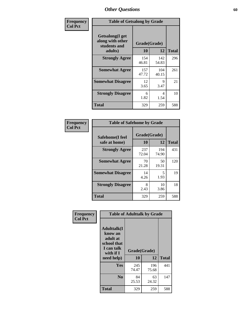| Frequency      | <b>Table of Getsalong by Grade</b>                          |              |              |              |
|----------------|-------------------------------------------------------------|--------------|--------------|--------------|
| <b>Col Pct</b> | <b>Getsalong</b> (I get<br>along with other<br>students and | Grade(Grade) |              |              |
|                | adults)                                                     | 10           | 12           | <b>Total</b> |
|                | <b>Strongly Agree</b>                                       | 154<br>46.81 | 142<br>54.83 | 296          |
|                | <b>Somewhat Agree</b>                                       | 157<br>47.72 | 104<br>40.15 | 261          |
|                | <b>Somewhat Disagree</b>                                    | 12<br>3.65   | 9<br>3.47    | 21           |
|                | <b>Strongly Disagree</b>                                    | 6<br>1.82    | 4<br>1.54    | 10           |
|                | <b>Total</b>                                                | 329          | 259          | 588          |

| Frequency      | <b>Table of Safehome by Grade</b> |                    |              |              |  |  |
|----------------|-----------------------------------|--------------------|--------------|--------------|--|--|
| <b>Col Pct</b> | Safehome(I feel<br>safe at home)  | Grade(Grade)<br>10 | 12           | <b>Total</b> |  |  |
|                | <b>Strongly Agree</b>             | 237<br>72.04       | 194<br>74.90 | 431          |  |  |
|                | <b>Somewhat Agree</b>             | 70<br>21.28        | 50<br>19.31  | 120          |  |  |
|                | <b>Somewhat Disagree</b>          | 14<br>4.26         | 5<br>1.93    | 19           |  |  |
|                | <b>Strongly Disagree</b>          | 8<br>2.43          | 10<br>3.86   | 18           |  |  |
|                | <b>Total</b>                      | 329                | 259          | 588          |  |  |

| Frequency      |                                                                                     |              | <b>Table of Adulttalk by Grade</b> |              |
|----------------|-------------------------------------------------------------------------------------|--------------|------------------------------------|--------------|
| <b>Col Pct</b> | <b>Adulttalk(I</b><br>know an<br>adult at<br>school that<br>I can talk<br>with if I | Grade(Grade) |                                    |              |
|                | need help)                                                                          | 10           | 12                                 | <b>Total</b> |
|                | <b>Yes</b>                                                                          | 245<br>74.47 | 196<br>75.68                       | 441          |
|                | N <sub>0</sub>                                                                      | 84<br>25.53  | 63<br>24.32                        | 147          |
|                | <b>Total</b>                                                                        | 329          | 259                                | 588          |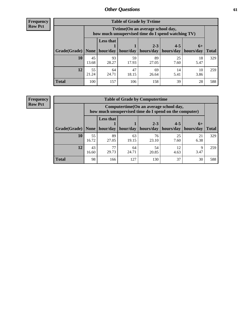**Frequency Row Pct**

| <b>Table of Grade by Tvtime</b> |             |                                                                                         |             |             |            |            |              |  |  |  |
|---------------------------------|-------------|-----------------------------------------------------------------------------------------|-------------|-------------|------------|------------|--------------|--|--|--|
|                                 |             | Tvtime (On an average school day,<br>how much unsupervised time do I spend watching TV) |             |             |            |            |              |  |  |  |
|                                 |             | <b>Less that</b><br>$2 - 3$<br>$4 - 5$<br>$6+$                                          |             |             |            |            |              |  |  |  |
| Grade(Grade)   None             |             | hour/day                                                                                | hour/day    | hours/day   | hours/day  | hours/day  | <b>Total</b> |  |  |  |
| 10                              | 45<br>13.68 | 93<br>28.27                                                                             | 59<br>17.93 | 89<br>27.05 | 25<br>7.60 | 18<br>5.47 | 329          |  |  |  |
| 12                              | 55<br>21.24 | 64<br>24.71                                                                             | 47<br>18.15 | 69<br>26.64 | 14<br>5.41 | 10<br>3.86 | 259          |  |  |  |
| <b>Total</b>                    | 100         | 157                                                                                     | 106         | 158         | 39         | 28         | 588          |  |  |  |

**Frequency Row Pct**

| <b>Table of Grade by Computertime</b> |             |                                                                                                   |                     |                      |                      |                   |              |  |  |
|---------------------------------------|-------------|---------------------------------------------------------------------------------------------------|---------------------|----------------------|----------------------|-------------------|--------------|--|--|
|                                       |             | Computertime (On an average school day,<br>how much unsupervised time do I spend on the computer) |                     |                      |                      |                   |              |  |  |
| Grade(Grade)                          | None $ $    | <b>Less that</b>                                                                                  | hour/day   hour/day | $2 - 3$<br>hours/day | $4 - 5$<br>hours/day | $6+$<br>hours/day | <b>Total</b> |  |  |
| 10                                    | 55<br>16.72 | 89<br>27.05                                                                                       | 63<br>19.15         | 76<br>23.10          | 25<br>7.60           | 21<br>6.38        | 329          |  |  |
| 12                                    | 43<br>16.60 | 77<br>29.73                                                                                       | 64<br>24.71         | 54<br>20.85          | 12<br>4.63           | Q<br>3.47         | 259          |  |  |
| <b>Total</b>                          | 98          | 166                                                                                               | 127                 | 130                  | 37                   | 30                | 588          |  |  |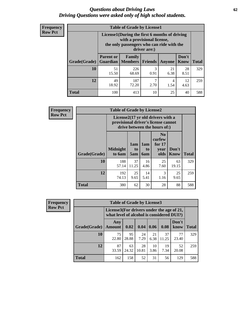#### *Questions about Driving Laws* **62** *Driving Questions were asked only of high school students.*

| <b>Frequency</b> |
|------------------|
| <b>Row Pct</b>   |

| <b>Table of Grade by License1</b> |                                                                     |                                                                                                                                           |                |            |               |              |  |  |  |
|-----------------------------------|---------------------------------------------------------------------|-------------------------------------------------------------------------------------------------------------------------------------------|----------------|------------|---------------|--------------|--|--|--|
|                                   |                                                                     | License1(During the first 6 months of driving<br>with a provisional license,<br>the only passengers who can ride with the<br>driver are:) |                |            |               |              |  |  |  |
| Grade(Grade)                      | <b>Parent or</b><br><b>Guardian</b>                                 | Family<br><b>Members</b>                                                                                                                  | <b>Friends</b> | Anyone     | Don't<br>Know | <b>Total</b> |  |  |  |
| 10                                | 51<br>15.50                                                         | 226<br>68.69                                                                                                                              | 3<br>0.91      | 21<br>6.38 | 28<br>8.51    | 329          |  |  |  |
| 12                                | 49<br>187<br>ℸ<br>12<br>4<br>72.20<br>18.92<br>2.70<br>1.54<br>4.63 |                                                                                                                                           |                |            |               |              |  |  |  |
| <b>Total</b>                      | 100                                                                 | 413                                                                                                                                       | 10             | 25         | 40            | 588          |  |  |  |

| Frequency      |              | <b>Table of Grade by License2</b>                                                                        |                  |                  |                                                      |                      |              |  |  |  |
|----------------|--------------|----------------------------------------------------------------------------------------------------------|------------------|------------------|------------------------------------------------------|----------------------|--------------|--|--|--|
| <b>Row Pct</b> |              | License2(17 yr old drivers with a<br>provisional driver's license cannot<br>drive between the hours of:) |                  |                  |                                                      |                      |              |  |  |  |
|                | Grade(Grade) | <b>Midnight</b><br>to 6am                                                                                | 1am<br>to<br>5am | 1am<br>to<br>6am | N <sub>0</sub><br>curfew<br>for $17$<br>year<br>olds | Don't<br><b>Know</b> | <b>Total</b> |  |  |  |
|                | 10           | 188<br>57.14                                                                                             | 37<br>11.25      | 16<br>4.86       | 25<br>7.60                                           | 63<br>19.15          | 329          |  |  |  |
|                | 12           | 192<br>74.13                                                                                             | 25<br>9.65       | 14<br>5.41       | 3<br>1.16                                            | 25<br>9.65           | 259          |  |  |  |
|                | <b>Total</b> | 380                                                                                                      | 62               | 30               | 28                                                   | 88                   | 588          |  |  |  |

| Frequency      |              | <b>Table of Grade by License3</b> |                                                                                        |             |            |             |               |              |
|----------------|--------------|-----------------------------------|----------------------------------------------------------------------------------------|-------------|------------|-------------|---------------|--------------|
| <b>Row Pct</b> |              |                                   | License3(For drivers under the age of 21,<br>what level of alcohol is considered DUI?) |             |            |             |               |              |
|                | Grade(Grade) | Any<br><b>Amount</b>              | 0.02                                                                                   | 0.04        | 0.06       | 0.08        | Don't<br>know | <b>Total</b> |
|                | 10           | 75<br>22.80                       | 95<br>28.88                                                                            | 24<br>7.29  | 21<br>6.38 | 37<br>11.25 | 77<br>23.40   | 329          |
|                | 12           | 87<br>33.59                       | 63<br>24.32                                                                            | 28<br>10.81 | 10<br>3.86 | 19<br>7.34  | 52<br>20.08   | 259          |
|                | <b>Total</b> | 162                               | 158                                                                                    | 52          | 31         | 56          | 129           | 588          |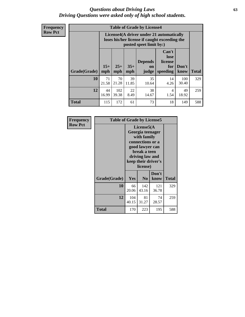#### *Questions about Driving Laws* **63** *Driving Questions were asked only of high school students.*

**Frequency Row Pct**

| <b>Table of Grade by License4</b> |              |                                                                                                                                                      |             |             |            |              |     |  |
|-----------------------------------|--------------|------------------------------------------------------------------------------------------------------------------------------------------------------|-------------|-------------|------------|--------------|-----|--|
|                                   |              | License4(A driver under 21 automatically<br>loses his/her license if caught exceeding the<br>posted speet limit by:)                                 |             |             |            |              |     |  |
| Grade(Grade)                      | $15+$<br>mph | Can't<br>lose<br><b>Depends</b><br>license<br>$25+$<br>$35+$<br>Don't<br>for<br><b>on</b><br><b>Total</b><br>mph<br>speeding<br>mph<br>judge<br>know |             |             |            |              |     |  |
| 10                                | 71<br>21.58  | 70<br>21.28                                                                                                                                          | 39<br>11.85 | 35<br>10.64 | 14<br>4.26 | 100<br>30.40 | 329 |  |
| 12                                | 44<br>16.99  | 102<br>39.38                                                                                                                                         | 22<br>8.49  | 38<br>14.67 | 4<br>1.54  | 49<br>18.92  | 259 |  |
| <b>Total</b>                      | 115          | 172                                                                                                                                                  | 61          | 73          | 18         | 149          | 588 |  |

| Frequency      | <b>Table of Grade by License5</b> |                                                                                                                                                             |                |               |       |
|----------------|-----------------------------------|-------------------------------------------------------------------------------------------------------------------------------------------------------------|----------------|---------------|-------|
| <b>Row Pct</b> |                                   | License5(A)<br>Georgia teenager<br>with family<br>connections or a<br>good lawyer can<br>break a teen<br>driving law and<br>keep their driver's<br>license) |                |               |       |
|                | Grade(Grade)                      | Yes                                                                                                                                                         | N <sub>0</sub> | Don't<br>know | Total |
|                | 10                                | 66<br>20.06                                                                                                                                                 | 142<br>43.16   | 121<br>36.78  | 329   |
|                | 12                                | 104<br>40.15                                                                                                                                                | 81<br>31.27    | 74<br>28.57   | 259   |
|                | Total                             | 170                                                                                                                                                         | 223            | 195           | 588   |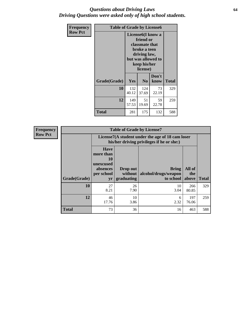#### *Questions about Driving Laws* **64** *Driving Questions were asked only of high school students.*

| <b>Frequency</b> | <b>Table of Grade by License6</b> |              |                                                                                                                           |                    |              |  |  |
|------------------|-----------------------------------|--------------|---------------------------------------------------------------------------------------------------------------------------|--------------------|--------------|--|--|
| <b>Row Pct</b>   |                                   |              | License <sub>6</sub> (I know a<br>friend or<br>classmate that<br>broke a teen<br>driving law,<br>keep his/her<br>license) | but was allowed to |              |  |  |
|                  | Grade(Grade)                      | <b>Yes</b>   | N <sub>0</sub>                                                                                                            | Don't<br>know      | <b>Total</b> |  |  |
|                  | 10                                | 132<br>40.12 | 124<br>37.69                                                                                                              | 73<br>22.19        | 329          |  |  |
|                  | 12                                | 149<br>57.53 | 51<br>19.69                                                                                                               | 59<br>22.78        | 259          |  |  |
|                  | <b>Total</b>                      | 281          | 175                                                                                                                       | 132                | 588          |  |  |

| <b>Frequency</b> |              | <b>Table of Grade by License7</b>                                           |                                                                                               |                                                   |                        |              |  |  |  |  |
|------------------|--------------|-----------------------------------------------------------------------------|-----------------------------------------------------------------------------------------------|---------------------------------------------------|------------------------|--------------|--|--|--|--|
| <b>Row Pct</b>   |              |                                                                             | License7(A student under the age of 18 cam loser<br>his/her driving privileges if he or she:) |                                                   |                        |              |  |  |  |  |
|                  | Grade(Grade) | <b>Have</b><br>more than<br>10<br>unexcused<br>absences<br>per school<br>yr | Drop out<br>without  <br>graduating                                                           | <b>Bring</b><br>alcohol/drugs/weapon<br>to school | All of<br>the<br>above | <b>Total</b> |  |  |  |  |
|                  | 10           | 27<br>8.21                                                                  | 26<br>7.90                                                                                    | 10<br>3.04                                        | 266<br>80.85           | 329          |  |  |  |  |
|                  | 12           | 46<br>17.76                                                                 | 10<br>3.86                                                                                    | 6<br>2.32                                         | 197<br>76.06           | 259          |  |  |  |  |
|                  | <b>Total</b> | 73                                                                          | 36                                                                                            | 16                                                | 463                    | 588          |  |  |  |  |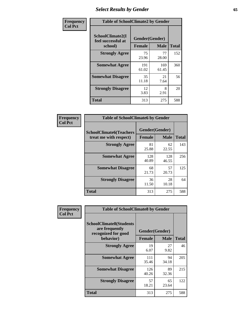# *Select Results by Gender* **65**

| Frequency      | <b>Table of SchoolClimate2 by Gender</b>          |                                 |              |              |
|----------------|---------------------------------------------------|---------------------------------|--------------|--------------|
| <b>Col Pct</b> | SchoolClimate2(I<br>feel successful at<br>school) | Gender(Gender)<br><b>Female</b> | <b>Male</b>  | <b>Total</b> |
|                | <b>Strongly Agree</b>                             | 75<br>23.96                     | 77<br>28.00  | 152          |
|                | <b>Somewhat Agree</b>                             | 191<br>61.02                    | 169<br>61.45 | 360          |
|                | <b>Somewhat Disagree</b>                          | 35<br>11.18                     | 21<br>7.64   | 56           |
|                | <b>Strongly Disagree</b>                          | 12<br>3.83                      | 8<br>2.91    | 20           |
|                | <b>Total</b>                                      | 313                             | 275          | 588          |

| Frequency      | <b>Table of SchoolClimate6 by Gender</b>                 |                                 |              |              |  |
|----------------|----------------------------------------------------------|---------------------------------|--------------|--------------|--|
| <b>Col Pct</b> | <b>SchoolClimate6(Teachers</b><br>treat me with respect) | Gender(Gender)<br><b>Female</b> | <b>Male</b>  | <b>Total</b> |  |
|                | <b>Strongly Agree</b>                                    | 81<br>25.88                     | 62<br>22.55  | 143          |  |
|                | <b>Somewhat Agree</b>                                    | 128<br>40.89                    | 128<br>46.55 | 256          |  |
|                | <b>Somewhat Disagree</b>                                 | 68<br>21.73                     | 57<br>20.73  | 125          |  |
|                | <b>Strongly Disagree</b>                                 | 36<br>11.50                     | 28<br>10.18  | 64           |  |
|                | Total                                                    | 313                             | 275          | 588          |  |

| <b>Frequency</b> | <b>Table of SchoolClimate8 by Gender</b>                                             |                                 |             |              |
|------------------|--------------------------------------------------------------------------------------|---------------------------------|-------------|--------------|
| <b>Col Pct</b>   | <b>SchoolClimate8(Students</b><br>are frequently<br>recognized for good<br>behavior) | Gender(Gender)<br><b>Female</b> | <b>Male</b> | <b>Total</b> |
|                  |                                                                                      |                                 |             |              |
|                  | <b>Strongly Agree</b>                                                                | 19<br>6.07                      | 27<br>9.82  | 46           |
|                  | <b>Somewhat Agree</b>                                                                | 111<br>35.46                    | 94<br>34.18 | 205          |
|                  | <b>Somewhat Disagree</b>                                                             | 126<br>40.26                    | 89<br>32.36 | 215          |
|                  | <b>Strongly Disagree</b>                                                             | 57<br>18.21                     | 65<br>23.64 | 122          |
|                  | Total                                                                                | 313                             | 275         | 588          |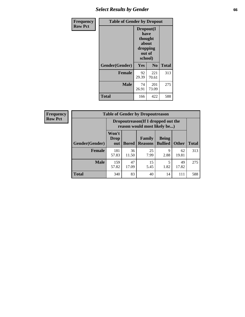# *Select Results by Gender* **66**

| Frequency      | <b>Table of Gender by Dropout</b> |                                                                        |                |              |
|----------------|-----------------------------------|------------------------------------------------------------------------|----------------|--------------|
| <b>Row Pct</b> |                                   | Dropout(I<br>have<br>thought<br>about<br>dropping<br>out of<br>school) |                |              |
|                | Gender(Gender)                    | Yes                                                                    | N <sub>0</sub> | <b>Total</b> |
|                | <b>Female</b>                     | 92<br>29.39                                                            | 221<br>70.61   | 313          |
|                | <b>Male</b>                       | 74<br>26.91                                                            | 201<br>73.09   | 275          |
|                | <b>Total</b>                      | 166                                                                    | 422            | 588          |

| Frequency      | <b>Table of Gender by Dropoutreason</b> |                      |              |                                                                    |                                |              |              |
|----------------|-----------------------------------------|----------------------|--------------|--------------------------------------------------------------------|--------------------------------|--------------|--------------|
| <b>Row Pct</b> |                                         |                      |              | Dropoutreason(If I dropped out the<br>reason would most likely be) |                                |              |              |
|                | Gender(Gender)                          | Won't<br>Drop<br>out | <b>Bored</b> | Family<br><b>Reasons</b>                                           | <b>Being</b><br><b>Bullied</b> | <b>Other</b> | <b>Total</b> |
|                | <b>Female</b>                           | 181<br>57.83         | 36<br>11.50  | 25<br>7.99                                                         | 9<br>2.88                      | 62<br>19.81  | 313          |
|                | <b>Male</b>                             | 159<br>57.82         | 47<br>17.09  | 15<br>5.45                                                         | 5<br>1.82                      | 49<br>17.82  | 275          |
|                | <b>Total</b>                            | 340                  | 83           | 40                                                                 | 14                             | 111          | 588          |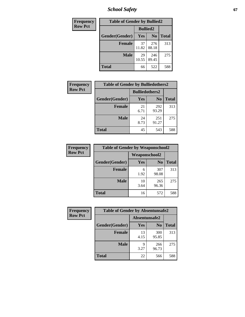*School Safety* **67**

| Frequency      | <b>Table of Gender by Bullied2</b> |                 |                |              |
|----------------|------------------------------------|-----------------|----------------|--------------|
| <b>Row Pct</b> |                                    | <b>Bullied2</b> |                |              |
|                | Gender(Gender)                     | Yes             | N <sub>0</sub> | <b>Total</b> |
|                | <b>Female</b>                      | 37<br>11.82     | 276<br>88.18   | 313          |
|                | <b>Male</b>                        | 29<br>10.55     | 246<br>89.45   | 275          |
|                | Total                              | 66              | 522            | 588          |

| Frequency      | <b>Table of Gender by Bulliedothers2</b> |                       |              |              |
|----------------|------------------------------------------|-----------------------|--------------|--------------|
| <b>Row Pct</b> |                                          | <b>Bulliedothers2</b> |              |              |
|                | Gender(Gender)                           | <b>Yes</b>            | $\bf N_0$    | <b>Total</b> |
|                | <b>Female</b>                            | 21<br>6.71            | 292<br>93.29 | 313          |
|                | <b>Male</b>                              | 24<br>8.73            | 251<br>91.27 | 275          |
|                | Total                                    | 45                    | 543          | 588          |

| <b>Frequency</b> | <b>Table of Gender by Weaponschool2</b> |               |                |              |
|------------------|-----------------------------------------|---------------|----------------|--------------|
| <b>Row Pct</b>   |                                         | Weaponschool2 |                |              |
|                  | Gender(Gender)                          | <b>Yes</b>    | N <sub>0</sub> | <b>Total</b> |
|                  | <b>Female</b>                           | 6<br>1.92     | 307<br>98.08   | 313          |
|                  | <b>Male</b>                             | 10<br>3.64    | 265<br>96.36   | 275          |
|                  | <b>Total</b>                            | 16            | 572            | 588          |

| Frequency      | <b>Table of Gender by Absentunsafe2</b> |               |                |              |
|----------------|-----------------------------------------|---------------|----------------|--------------|
| <b>Row Pct</b> |                                         | Absentunsafe2 |                |              |
|                | Gender(Gender)                          | Yes           | N <sub>0</sub> | <b>Total</b> |
|                | <b>Female</b>                           | 13<br>4.15    | 300<br>95.85   | 313          |
|                | <b>Male</b>                             | q<br>3.27     | 266<br>96.73   | 275          |
|                | <b>Total</b>                            | 22            | 566            | 588          |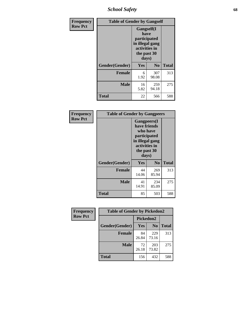*School Safety* **68**

| Frequency      | <b>Table of Gender by Gangself</b> |                                                                                                |                |              |
|----------------|------------------------------------|------------------------------------------------------------------------------------------------|----------------|--------------|
| <b>Row Pct</b> |                                    | Gangself(I<br>have<br>participated<br>in illegal gang<br>activities in<br>the past 30<br>days) |                |              |
|                | Gender(Gender)                     | Yes                                                                                            | N <sub>0</sub> | <b>Total</b> |
|                | <b>Female</b>                      | 6<br>1.92                                                                                      | 307<br>98.08   | 313          |
|                | <b>Male</b>                        | 16<br>5.82                                                                                     | 259<br>94.18   | 275          |
|                | <b>Total</b>                       | 22                                                                                             | 566            | 588          |

| Frequency      | <b>Table of Gender by Gangpeers</b> |                                                                                                                             |                |              |
|----------------|-------------------------------------|-----------------------------------------------------------------------------------------------------------------------------|----------------|--------------|
| <b>Row Pct</b> |                                     | <b>Gangpeers</b> (I<br>have friends<br>who have<br>participated<br>in illegal gang<br>activities in<br>the past 30<br>days) |                |              |
|                | Gender(Gender)                      | Yes                                                                                                                         | N <sub>0</sub> | <b>Total</b> |
|                | <b>Female</b>                       | 44<br>14.06                                                                                                                 | 269<br>85.94   | 313          |
|                | <b>Male</b>                         | 41<br>14.91                                                                                                                 | 234<br>85.09   | 275          |
|                | <b>Total</b>                        | 85                                                                                                                          | 503            | 588          |

| Frequency      | <b>Table of Gender by Pickedon2</b> |             |                |              |
|----------------|-------------------------------------|-------------|----------------|--------------|
| <b>Row Pct</b> |                                     | Pickedon2   |                |              |
|                | Gender(Gender)                      | Yes         | N <sub>0</sub> | <b>Total</b> |
|                | <b>Female</b>                       | 84<br>26.84 | 229<br>73.16   | 313          |
|                | <b>Male</b>                         | 72<br>26.18 | 203<br>73.82   | 275          |
|                | <b>Total</b>                        | 156         | 432            | 588          |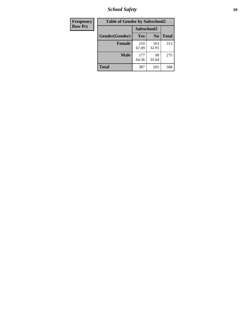*School Safety* **69**

| Frequency      | <b>Table of Gender by Safeschool2</b> |              |                |              |  |
|----------------|---------------------------------------|--------------|----------------|--------------|--|
| <b>Row Pct</b> |                                       | Safeschool2  |                |              |  |
|                | Gender(Gender)                        | <b>Yes</b>   | N <sub>0</sub> | <b>Total</b> |  |
|                | <b>Female</b>                         | 210<br>67.09 | 103<br>32.91   | 313          |  |
|                | <b>Male</b>                           | 177<br>64.36 | 98<br>35.64    | 275          |  |
|                | <b>Total</b>                          | 387          | 201            | 588          |  |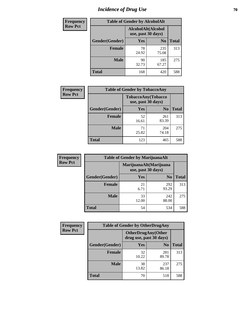# *Incidence of Drug Use* **70**

| <b>Frequency</b> | <b>Table of Gender by AlcoholAlt</b> |                                          |                |              |  |
|------------------|--------------------------------------|------------------------------------------|----------------|--------------|--|
| <b>Row Pct</b>   |                                      | AlcoholAlt(Alcohol<br>use, past 30 days) |                |              |  |
|                  | Gender(Gender)                       | <b>Yes</b>                               | N <sub>0</sub> | <b>Total</b> |  |
|                  | <b>Female</b>                        | 78<br>24.92                              | 235<br>75.08   | 313          |  |
|                  | <b>Male</b>                          | 90<br>32.73                              | 185<br>67.27   | 275          |  |
|                  | <b>Total</b>                         | 168                                      | 420            | 588          |  |

| <b>Frequency</b> | <b>Table of Gender by TobaccoAny</b> |                                          |                |              |  |
|------------------|--------------------------------------|------------------------------------------|----------------|--------------|--|
| <b>Row Pct</b>   |                                      | TobaccoAny(Tobacco<br>use, past 30 days) |                |              |  |
|                  | Gender(Gender)                       | Yes                                      | N <sub>0</sub> | <b>Total</b> |  |
|                  | <b>Female</b>                        | 52<br>16.61                              | 261<br>83.39   | 313          |  |
|                  | <b>Male</b>                          | 71<br>25.82                              | 204<br>74.18   | 275          |  |
|                  | <b>Total</b>                         | 123                                      | 465            | 588          |  |

| <b>Frequency</b> | <b>Table of Gender by MarijuanaAlt</b> |                                              |                |              |
|------------------|----------------------------------------|----------------------------------------------|----------------|--------------|
| <b>Row Pct</b>   |                                        | MarijuanaAlt(Marijuana<br>use, past 30 days) |                |              |
|                  | Gender(Gender)                         | <b>Yes</b>                                   | N <sub>0</sub> | <b>Total</b> |
|                  | <b>Female</b>                          | 21<br>6.71                                   | 292<br>93.29   | 313          |
|                  | <b>Male</b>                            | 33<br>12.00                                  | 242<br>88.00   | 275          |
|                  | <b>Total</b>                           | 54                                           | 534            | 588          |

| <b>Frequency</b> | <b>Table of Gender by OtherDrugAny</b> |                                                      |                |              |
|------------------|----------------------------------------|------------------------------------------------------|----------------|--------------|
| <b>Row Pct</b>   |                                        | <b>OtherDrugAny(Other</b><br>drug use, past 30 days) |                |              |
|                  | Gender(Gender)                         | <b>Yes</b>                                           | N <sub>0</sub> | <b>Total</b> |
|                  | <b>Female</b>                          | 32<br>10.22                                          | 281<br>89.78   | 313          |
|                  | <b>Male</b>                            | 38<br>13.82                                          | 237<br>86.18   | 275          |
|                  | <b>Total</b>                           | 70                                                   | 518            | 588          |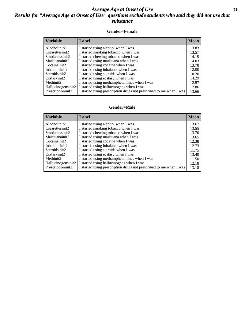#### *Average Age at Onset of Use* **71** *Results for "Average Age at Onset of Use" questions exclude students who said they did not use that substance*

#### **Gender=Female**

| <b>Variable</b>                 | Label                                                              | <b>Mean</b> |
|---------------------------------|--------------------------------------------------------------------|-------------|
| Alcoholinit2                    | I started using alcohol when I was                                 | 13.83       |
| Cigarettesinit2                 | I started smoking tobacco when I was                               | 13.57       |
| Smokelessinit2                  | I started chewing tobacco when I was                               | 14.19       |
| Marijuanainit2                  | I started using marijuana when I was                               | 14.03       |
| Cocaineinit2                    | I started using cocaine when I was                                 | 13.78       |
| Inhalantsinit2                  | I started using inhalants when I was                               | 12.00       |
| Steroidsinit2                   | I started using steroids when I was                                | 10.20       |
| Ecstasyinit2                    | I started using ecstasy when I was                                 | 14.29       |
| Methinit2                       | I started using methamphetamines when I was                        | 12.57       |
| Hallucinogensinit2              | I started using hallucinogens when I was                           | 12.86       |
| Prescription in it <sub>2</sub> | I started using prescription drugs not prescribed to me when I was | 13.66       |

#### **Gender=Male**

| <b>Variable</b>    | Label                                                              | <b>Mean</b> |
|--------------------|--------------------------------------------------------------------|-------------|
| Alcoholinit2       | I started using alcohol when I was                                 | 13.67       |
| Cigarettesinit2    | I started smoking tobacco when I was                               | 13.55       |
| Smokelessinit2     | I started chewing tobacco when I was                               | 13.70       |
| Marijuanainit2     | I started using marijuana when I was                               | 13.65       |
| Cocaineinit2       | I started using cocaine when I was                                 | 12.38       |
| Inhalantsinit2     | I started using inhalants when I was                               | 12.73       |
| Steroidsinit2      | I started using steroids when I was                                | 11.75       |
| Ecstasyinit2       | I started using ecstasy when I was                                 | 13.40       |
| Methinit2          | I started using methamphetamines when I was                        | 11.50       |
| Hallucinogensinit2 | I started using hallucinogens when I was                           | 12.18       |
| Prescriptioninit2  | I started using prescription drugs not prescribed to me when I was | 13.18       |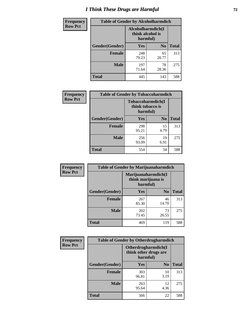# *I Think These Drugs are Harmful* **72**

| <b>Frequency</b> | <b>Table of Gender by Alcoholharmdich</b> |                                                   |                |              |
|------------------|-------------------------------------------|---------------------------------------------------|----------------|--------------|
| <b>Row Pct</b>   |                                           | Alcoholharmdich(I<br>think alcohol is<br>harmful) |                |              |
|                  | Gender(Gender)                            | <b>Yes</b>                                        | N <sub>0</sub> | <b>Total</b> |
|                  | <b>Female</b>                             | 248<br>79.23                                      | 65<br>20.77    | 313          |
|                  | <b>Male</b>                               | 197<br>71.64                                      | 78<br>28.36    | 275          |
|                  | Total                                     | 445                                               | 143            | 588          |

| Frequency      | <b>Table of Gender by Tobaccoharmdich</b> |                                                   |                |              |  |
|----------------|-------------------------------------------|---------------------------------------------------|----------------|--------------|--|
| <b>Row Pct</b> |                                           | Tobaccoharmdich(I<br>think tobacco is<br>harmful) |                |              |  |
|                | Gender(Gender)                            | Yes                                               | N <sub>0</sub> | <b>Total</b> |  |
|                | <b>Female</b>                             | 298<br>95.21                                      | 15<br>4.79     | 313          |  |
|                | <b>Male</b>                               | 256<br>93.09                                      | 19<br>6.91     | 275          |  |
|                | <b>Total</b>                              | 554                                               | 34             | 588          |  |

| Frequency      | <b>Table of Gender by Marijuanaharmdich</b> |                                                       |                |              |  |
|----------------|---------------------------------------------|-------------------------------------------------------|----------------|--------------|--|
| <b>Row Pct</b> |                                             | Marijuanaharmdich(I<br>think marijuana is<br>harmful) |                |              |  |
|                | Gender(Gender)                              | <b>Yes</b>                                            | N <sub>0</sub> | <b>Total</b> |  |
|                | <b>Female</b>                               | 267<br>85.30                                          | 46<br>14.70    | 313          |  |
|                | <b>Male</b>                                 | 202<br>73.45                                          | 73<br>26.55    | 275          |  |
|                | <b>Total</b>                                | 469                                                   | 119            | 588          |  |

| Frequency      | <b>Table of Gender by Otherdrugharmdich</b> |                                                          |                |              |  |
|----------------|---------------------------------------------|----------------------------------------------------------|----------------|--------------|--|
| <b>Row Pct</b> |                                             | Otherdrugharmdich(I<br>think other drugs are<br>harmful) |                |              |  |
|                | Gender(Gender)                              | <b>Yes</b>                                               | N <sub>0</sub> | <b>Total</b> |  |
|                | <b>Female</b>                               | 303<br>96.81                                             | 10<br>3.19     | 313          |  |
|                | <b>Male</b>                                 | 263<br>95.64                                             | 12<br>4.36     | 275          |  |
|                | <b>Total</b>                                | 566                                                      | 22             | 588          |  |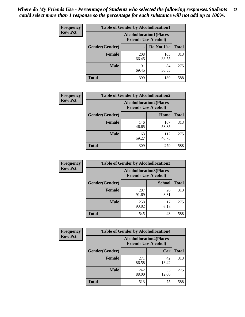| <b>Frequency</b> | <b>Table of Gender by Alcohollocation1</b> |                                                               |              |              |
|------------------|--------------------------------------------|---------------------------------------------------------------|--------------|--------------|
| <b>Row Pct</b>   |                                            | <b>Alcohollocation1(Places</b><br><b>Friends Use Alcohol)</b> |              |              |
|                  | Gender(Gender)                             |                                                               | Do Not Use   | <b>Total</b> |
|                  | <b>Female</b>                              | 208<br>66.45                                                  | 105<br>33.55 | 313          |
|                  | <b>Male</b>                                | 191<br>69.45                                                  | 84<br>30.55  | 275          |
|                  | <b>Total</b>                               | 399                                                           | 189          | 588          |

| <b>Frequency</b> | <b>Table of Gender by Alcohollocation2</b> |                                |                             |              |
|------------------|--------------------------------------------|--------------------------------|-----------------------------|--------------|
| <b>Row Pct</b>   |                                            | <b>Alcohollocation2(Places</b> | <b>Friends Use Alcohol)</b> |              |
|                  | Gender(Gender)                             |                                | Home                        | <b>Total</b> |
|                  | <b>Female</b>                              | 146<br>46.65                   | 167<br>53.35                | 313          |
|                  | <b>Male</b>                                | 163<br>59.27                   | 112<br>40.73                | 275          |
|                  | <b>Total</b>                               | 309                            | 279                         | 588          |

| Frequency      | <b>Table of Gender by Alcohollocation3</b> |                                                               |               |              |
|----------------|--------------------------------------------|---------------------------------------------------------------|---------------|--------------|
| <b>Row Pct</b> |                                            | <b>Alcohollocation3(Places</b><br><b>Friends Use Alcohol)</b> |               |              |
|                | Gender(Gender)                             |                                                               | <b>School</b> | <b>Total</b> |
|                | <b>Female</b>                              | 287<br>91.69                                                  | 26<br>8.31    | 313          |
|                | <b>Male</b>                                | 258<br>93.82                                                  | 17<br>6.18    | 275          |
|                | <b>Total</b>                               | 545                                                           | 43            | 588          |

| Frequency      | <b>Table of Gender by Alcohollocation4</b> |                                                               |             |              |
|----------------|--------------------------------------------|---------------------------------------------------------------|-------------|--------------|
| <b>Row Pct</b> |                                            | <b>Alcohollocation4(Places</b><br><b>Friends Use Alcohol)</b> |             |              |
|                | <b>Gender</b> (Gender)                     |                                                               | Car         | <b>Total</b> |
|                | <b>Female</b>                              | 271<br>86.58                                                  | 42<br>13.42 | 313          |
|                | <b>Male</b>                                | 242<br>88.00                                                  | 33<br>12.00 | 275          |
|                | <b>Total</b>                               | 513                                                           | 75          | 588          |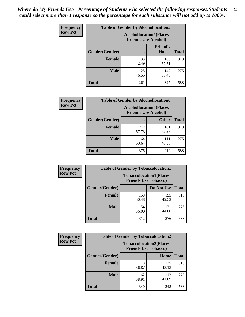| <b>Frequency</b> | <b>Table of Gender by Alcohollocation5</b> |                                                                |                                 |              |
|------------------|--------------------------------------------|----------------------------------------------------------------|---------------------------------|--------------|
| <b>Row Pct</b>   |                                            | <b>Alcohollocation5</b> (Places<br><b>Friends Use Alcohol)</b> |                                 |              |
|                  | Gender(Gender)                             |                                                                | <b>Friend's</b><br><b>House</b> | <b>Total</b> |
|                  | <b>Female</b>                              | 133<br>42.49                                                   | 180<br>57.51                    | 313          |
|                  | <b>Male</b>                                | 128<br>46.55                                                   | 147<br>53.45                    | 275          |
|                  | <b>Total</b>                               | 261                                                            | 327                             | 588          |

| Frequency      |                        | <b>Table of Gender by Alcohollocation6</b>                    |              |              |
|----------------|------------------------|---------------------------------------------------------------|--------------|--------------|
| <b>Row Pct</b> |                        | <b>Alcohollocation6(Places</b><br><b>Friends Use Alcohol)</b> |              |              |
|                | <b>Gender</b> (Gender) |                                                               | <b>Other</b> | <b>Total</b> |
|                | Female                 | 212<br>67.73                                                  | 101<br>32.27 | 313          |
|                | <b>Male</b>            | 164<br>59.64                                                  | 111<br>40.36 | 275          |
|                | <b>Total</b>           | 376                                                           | 212          | 588          |

| Frequency      | <b>Table of Gender by Tobaccolocation1</b> |                                                               |              |              |  |
|----------------|--------------------------------------------|---------------------------------------------------------------|--------------|--------------|--|
| <b>Row Pct</b> |                                            | <b>Tobaccolocation1(Places</b><br><b>Friends Use Tobacco)</b> |              |              |  |
|                | Gender(Gender)                             |                                                               | Do Not Use   | <b>Total</b> |  |
|                | Female                                     | 158<br>50.48                                                  | 155<br>49.52 | 313          |  |
|                | <b>Male</b>                                | 154<br>56.00                                                  | 121<br>44.00 | 275          |  |
|                | <b>Total</b>                               | 312                                                           | 276          | 588          |  |

| Frequency      |                | <b>Table of Gender by Tobaccolocation2</b>                    |              |              |  |
|----------------|----------------|---------------------------------------------------------------|--------------|--------------|--|
| <b>Row Pct</b> |                | <b>Tobaccolocation2(Places</b><br><b>Friends Use Tobacco)</b> |              |              |  |
|                | Gender(Gender) |                                                               | Home         | <b>Total</b> |  |
|                | Female         | 178<br>56.87                                                  | 135<br>43.13 | 313          |  |
|                | <b>Male</b>    | 162<br>58.91                                                  | 113<br>41.09 | 275          |  |
|                | <b>Total</b>   | 340                                                           | 248          | 588          |  |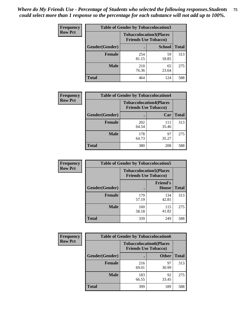| <b>Frequency</b> | <b>Table of Gender by Tobaccolocation3</b> |                                                               |               |              |
|------------------|--------------------------------------------|---------------------------------------------------------------|---------------|--------------|
| <b>Row Pct</b>   |                                            | <b>Tobaccolocation3(Places</b><br><b>Friends Use Tobacco)</b> |               |              |
|                  | Gender(Gender)                             |                                                               | <b>School</b> | <b>Total</b> |
|                  | <b>Female</b>                              | 254<br>81.15                                                  | 59<br>18.85   | 313          |
|                  | <b>Male</b>                                | 210<br>76.36                                                  | 65<br>23.64   | 275          |
|                  | Total                                      | 464                                                           | 124           | 588          |

| <b>Frequency</b> | <b>Table of Gender by Tobaccolocation4</b> |              |                                                               |              |
|------------------|--------------------------------------------|--------------|---------------------------------------------------------------|--------------|
| <b>Row Pct</b>   |                                            |              | <b>Tobaccolocation4(Places</b><br><b>Friends Use Tobacco)</b> |              |
|                  | <b>Gender</b> (Gender)                     |              | Car                                                           | <b>Total</b> |
|                  | <b>Female</b>                              | 202<br>64.54 | 111<br>35.46                                                  | 313          |
|                  | <b>Male</b>                                | 178<br>64.73 | 97<br>35.27                                                   | 275          |
|                  | <b>Total</b>                               | 380          | 208                                                           | 588          |

| <b>Frequency</b> | <b>Table of Gender by Tobaccolocation5</b> |                                                               |                                 |              |
|------------------|--------------------------------------------|---------------------------------------------------------------|---------------------------------|--------------|
| <b>Row Pct</b>   |                                            | <b>Tobaccolocation5(Places</b><br><b>Friends Use Tobacco)</b> |                                 |              |
|                  | Gender(Gender)                             |                                                               | <b>Friend's</b><br><b>House</b> | <b>Total</b> |
|                  | <b>Female</b>                              | 179<br>57.19                                                  | 134<br>42.81                    | 313          |
|                  | <b>Male</b>                                | 160<br>58.18                                                  | 115<br>41.82                    | 275          |
|                  | <b>Total</b>                               | 339                                                           | 249                             | 588          |

| <b>Frequency</b> | <b>Table of Gender by Tobaccolocation6</b> |                                                               |              |              |
|------------------|--------------------------------------------|---------------------------------------------------------------|--------------|--------------|
| <b>Row Pct</b>   |                                            | <b>Tobaccolocation6(Places</b><br><b>Friends Use Tobacco)</b> |              |              |
|                  | Gender(Gender)                             |                                                               | <b>Other</b> | <b>Total</b> |
|                  | <b>Female</b>                              | 216<br>69.01                                                  | 97<br>30.99  | 313          |
|                  | <b>Male</b>                                | 183<br>66.55                                                  | 92<br>33.45  | 275          |
|                  | <b>Total</b>                               | 399                                                           | 189          | 588          |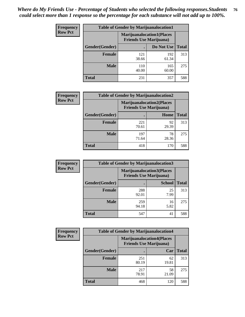| <b>Frequency</b> | <b>Table of Gender by Marijuanalocation1</b> |                                                                    |              |              |
|------------------|----------------------------------------------|--------------------------------------------------------------------|--------------|--------------|
| <b>Row Pct</b>   |                                              | <b>Marijuanalocation1(Places</b><br><b>Friends Use Marijuana</b> ) |              |              |
|                  | Gender(Gender)                               |                                                                    | Do Not Use   | <b>Total</b> |
|                  | <b>Female</b>                                | 121<br>38.66                                                       | 192<br>61.34 | 313          |
|                  | <b>Male</b>                                  | 110<br>40.00                                                       | 165<br>60.00 | 275          |
|                  | <b>Total</b>                                 | 231                                                                | 357          | 588          |

| <b>Frequency</b> | <b>Table of Gender by Marijuanalocation2</b> |                                                                    |             |              |
|------------------|----------------------------------------------|--------------------------------------------------------------------|-------------|--------------|
| <b>Row Pct</b>   |                                              | <b>Marijuanalocation2(Places</b><br><b>Friends Use Marijuana</b> ) |             |              |
|                  | Gender(Gender)                               |                                                                    | Home        | <b>Total</b> |
|                  | <b>Female</b>                                | 221<br>70.61                                                       | 92<br>29.39 | 313          |
|                  | <b>Male</b>                                  | 197<br>71.64                                                       | 78<br>28.36 | 275          |
|                  | <b>Total</b>                                 | 418                                                                | 170         | 588          |

| Frequency      | <b>Table of Gender by Marijuanalocation3</b> |              |                                                                    |              |  |
|----------------|----------------------------------------------|--------------|--------------------------------------------------------------------|--------------|--|
| <b>Row Pct</b> |                                              |              | <b>Marijuanalocation3(Places</b><br><b>Friends Use Marijuana</b> ) |              |  |
|                | Gender(Gender)                               |              | <b>School</b>                                                      | <b>Total</b> |  |
|                | Female                                       | 288<br>92.01 | 25<br>7.99                                                         | 313          |  |
|                | <b>Male</b>                                  | 259<br>94.18 | 16<br>5.82                                                         | 275          |  |
|                | <b>Total</b>                                 | 547          | 41                                                                 | 588          |  |

| <b>Frequency</b> | <b>Table of Gender by Marijuanalocation4</b> |                                                                    |             |              |
|------------------|----------------------------------------------|--------------------------------------------------------------------|-------------|--------------|
| <b>Row Pct</b>   |                                              | <b>Marijuanalocation4(Places</b><br><b>Friends Use Marijuana</b> ) |             |              |
|                  | <b>Gender</b> (Gender)                       |                                                                    | Car         | <b>Total</b> |
|                  | <b>Female</b>                                | 251<br>80.19                                                       | 62<br>19.81 | 313          |
|                  | <b>Male</b>                                  | 217<br>78.91                                                       | 58<br>21.09 | 275          |
|                  | <b>Total</b>                                 | 468                                                                | 120         | 588          |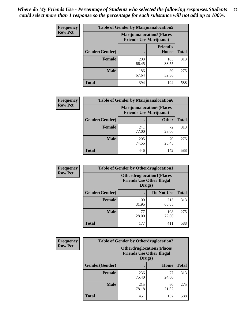| <b>Frequency</b> | <b>Table of Gender by Marijuanalocation5</b> |                                                                     |                                 |              |
|------------------|----------------------------------------------|---------------------------------------------------------------------|---------------------------------|--------------|
| <b>Row Pct</b>   |                                              | <b>Marijuanalocation5</b> (Places<br><b>Friends Use Marijuana</b> ) |                                 |              |
|                  | Gender(Gender)                               |                                                                     | <b>Friend's</b><br><b>House</b> | <b>Total</b> |
|                  | <b>Female</b>                                | 208<br>66.45                                                        | 105<br>33.55                    | 313          |
|                  | <b>Male</b>                                  | 186<br>67.64                                                        | 89<br>32.36                     | 275          |
|                  | <b>Total</b>                                 | 394                                                                 | 194                             | 588          |

| <b>Frequency</b> | <b>Table of Gender by Marijuanalocation6</b> |                                |                                  |              |
|------------------|----------------------------------------------|--------------------------------|----------------------------------|--------------|
| <b>Row Pct</b>   |                                              | <b>Friends Use Marijuana</b> ) | <b>Marijuanalocation6(Places</b> |              |
|                  | Gender(Gender)                               |                                | <b>Other</b>                     | <b>Total</b> |
|                  | <b>Female</b>                                | 241<br>77.00                   | 72<br>23.00                      | 313          |
|                  | Male                                         | 205<br>74.55                   | 70<br>25.45                      | 275          |
|                  | Total                                        | 446                            | 142                              | 588          |

| <b>Frequency</b> | <b>Table of Gender by Otherdruglocation1</b>                                   |              |              |              |
|------------------|--------------------------------------------------------------------------------|--------------|--------------|--------------|
| <b>Row Pct</b>   | <b>Otherdruglocation1(Places</b><br><b>Friends Use Other Illegal</b><br>Drugs) |              |              |              |
|                  | <b>Gender</b> (Gender)                                                         |              | Do Not Use   | <b>Total</b> |
|                  | <b>Female</b>                                                                  | 100<br>31.95 | 213<br>68.05 | 313          |
|                  | <b>Male</b>                                                                    | 77<br>28.00  | 198<br>72.00 | 275          |
|                  | <b>Total</b>                                                                   | 177          | 411          | 588          |

| Frequency      | <b>Table of Gender by Otherdruglocation2</b> |                                                                                |             |              |
|----------------|----------------------------------------------|--------------------------------------------------------------------------------|-------------|--------------|
| <b>Row Pct</b> |                                              | <b>Otherdruglocation2(Places</b><br><b>Friends Use Other Illegal</b><br>Drugs) |             |              |
|                | Gender(Gender)                               |                                                                                | Home        | <b>Total</b> |
|                | <b>Female</b>                                | 236<br>75.40                                                                   | 77<br>24.60 | 313          |
|                | <b>Male</b>                                  | 215<br>78.18                                                                   | 60<br>21.82 | 275          |
|                | <b>Total</b>                                 | 451                                                                            | 137         | 588          |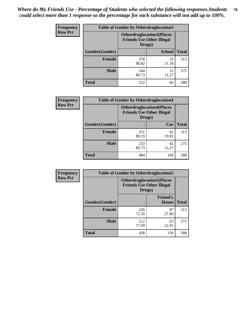| <b>Frequency</b> | <b>Table of Gender by Otherdruglocation3</b> |                                                                                |               |              |
|------------------|----------------------------------------------|--------------------------------------------------------------------------------|---------------|--------------|
| <b>Row Pct</b>   |                                              | <b>Otherdruglocation3(Places</b><br><b>Friends Use Other Illegal</b><br>Drugs) |               |              |
|                  | Gender(Gender)                               |                                                                                | <b>School</b> | <b>Total</b> |
|                  | <b>Female</b>                                | 278<br>88.82                                                                   | 35<br>11.18   | 313          |
|                  | <b>Male</b>                                  | 244<br>88.73                                                                   | 31<br>11.27   | 275          |
|                  | <b>Total</b>                                 | 522                                                                            | 66            | 588          |

| Frequency      | <b>Table of Gender by Otherdruglocation4</b> |                                                                                |             |              |
|----------------|----------------------------------------------|--------------------------------------------------------------------------------|-------------|--------------|
| <b>Row Pct</b> |                                              | <b>Otherdruglocation4(Places</b><br><b>Friends Use Other Illegal</b><br>Drugs) |             |              |
|                | Gender(Gender)                               |                                                                                | Car         | <b>Total</b> |
|                | <b>Female</b>                                | 251<br>80.19                                                                   | 62<br>19.81 | 313          |
|                | <b>Male</b>                                  | 233<br>84.73                                                                   | 42<br>15.27 | 275          |
|                | <b>Total</b>                                 | 484                                                                            | 104         | 588          |

| Frequency      | <b>Table of Gender by Otherdruglocation5</b> |                                                                                |                                 |              |
|----------------|----------------------------------------------|--------------------------------------------------------------------------------|---------------------------------|--------------|
| <b>Row Pct</b> |                                              | <b>Otherdruglocation5(Places</b><br><b>Friends Use Other Illegal</b><br>Drugs) |                                 |              |
|                | Gender(Gender)                               |                                                                                | <b>Friend's</b><br><b>House</b> | <b>Total</b> |
|                | <b>Female</b>                                | 226<br>72.20                                                                   | 87<br>27.80                     | 313          |
|                | <b>Male</b>                                  | 212<br>77.09                                                                   | 63<br>22.91                     | 275          |
|                | <b>Total</b>                                 | 438                                                                            | 150                             | 588          |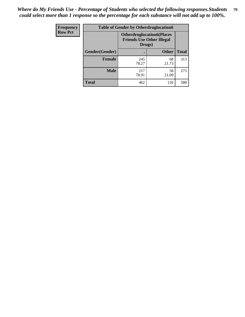| Frequency      | <b>Table of Gender by Otherdruglocation6</b> |                                            |                                  |              |
|----------------|----------------------------------------------|--------------------------------------------|----------------------------------|--------------|
| <b>Row Pct</b> |                                              | <b>Friends Use Other Illegal</b><br>Drugs) | <b>Otherdruglocation6(Places</b> |              |
|                | Gender(Gender)                               |                                            | <b>Other</b>                     | <b>Total</b> |
|                | <b>Female</b>                                | 245<br>78.27                               | 68<br>21.73                      | 313          |
|                | <b>Male</b>                                  | 217<br>78.91                               | 58<br>21.09                      | 275          |
|                | <b>Total</b>                                 | 462                                        | 126                              | 588          |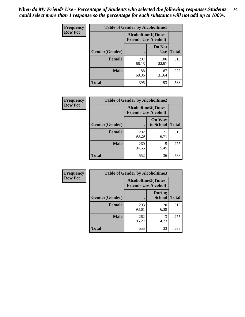| <b>Frequency</b> | <b>Table of Gender by Alcoholtime1</b> |                                                          |                      |              |
|------------------|----------------------------------------|----------------------------------------------------------|----------------------|--------------|
| <b>Row Pct</b>   |                                        | <b>Alcoholtime1(Times</b><br><b>Friends Use Alcohol)</b> |                      |              |
|                  | Gender(Gender)                         |                                                          | Do Not<br><b>Use</b> | <b>Total</b> |
|                  | <b>Female</b>                          | 207<br>66.13                                             | 106<br>33.87         | 313          |
|                  | <b>Male</b>                            | 188<br>68.36                                             | 87<br>31.64          | 275          |
|                  | <b>Total</b>                           | 395                                                      | 193                  | 588          |

| Frequency      | <b>Table of Gender by Alcoholtime2</b> |                                                          |                            |              |
|----------------|----------------------------------------|----------------------------------------------------------|----------------------------|--------------|
| <b>Row Pct</b> |                                        | <b>Alcoholtime2(Times</b><br><b>Friends Use Alcohol)</b> |                            |              |
|                | Gender(Gender)                         |                                                          | <b>On Way</b><br>to School | <b>Total</b> |
|                | <b>Female</b>                          | 292<br>93.29                                             | 21<br>6.71                 | 313          |
|                | <b>Male</b>                            | 260<br>94.55                                             | 15<br>5.45                 | 275          |
|                | <b>Total</b>                           | 552                                                      | 36                         | 588          |

| <b>Frequency</b> | <b>Table of Gender by Alcoholtime3</b> |                                                   |                                |              |
|------------------|----------------------------------------|---------------------------------------------------|--------------------------------|--------------|
| <b>Row Pct</b>   |                                        | Alcoholtime3(Times<br><b>Friends Use Alcohol)</b> |                                |              |
|                  | Gender(Gender)                         |                                                   | <b>During</b><br><b>School</b> | <b>Total</b> |
|                  | Female                                 | 293<br>93.61                                      | 20<br>6.39                     | 313          |
|                  | <b>Male</b>                            | 262<br>95.27                                      | 13<br>4.73                     | 275          |
|                  | <b>Total</b>                           | 555                                               | 33                             | 588          |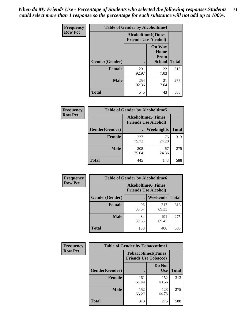*When do My Friends Use - Percentage of Students who selected the following responses.Students could select more than 1 response so the percentage for each substance will not add up to 100%.* **81**

| <b>Frequency</b> | <b>Table of Gender by Alcoholtime4</b> |                                                          |                                                |              |
|------------------|----------------------------------------|----------------------------------------------------------|------------------------------------------------|--------------|
| <b>Row Pct</b>   |                                        | <b>Alcoholtime4(Times</b><br><b>Friends Use Alcohol)</b> |                                                |              |
|                  | Gender(Gender)                         |                                                          | <b>On Way</b><br>Home<br>From<br><b>School</b> | <b>Total</b> |
|                  | <b>Female</b>                          | 291<br>92.97                                             | 22<br>7.03                                     | 313          |
|                  | <b>Male</b>                            | 254<br>92.36                                             | 21<br>7.64                                     | 275          |
|                  | <b>Total</b>                           | 545                                                      | 43                                             | 588          |

| <b>Frequency</b> | <b>Table of Gender by Alcoholtime5</b> |                                                           |             |              |
|------------------|----------------------------------------|-----------------------------------------------------------|-------------|--------------|
| <b>Row Pct</b>   |                                        | <b>Alcoholtime5</b> (Times<br><b>Friends Use Alcohol)</b> |             |              |
|                  | Gender(Gender)                         |                                                           | Weeknights  | <b>Total</b> |
|                  | <b>Female</b>                          | 237<br>75.72                                              | 76<br>24.28 | 313          |
|                  | <b>Male</b>                            | 208<br>75.64                                              | 67<br>24.36 | 275          |
|                  | <b>Total</b>                           | 445                                                       | 143         | 588          |

| <b>Frequency</b> |                | <b>Table of Gender by Alcoholtime6</b> |                                                           |              |
|------------------|----------------|----------------------------------------|-----------------------------------------------------------|--------------|
| <b>Row Pct</b>   |                |                                        | <b>Alcoholtime6</b> (Times<br><b>Friends Use Alcohol)</b> |              |
|                  | Gender(Gender) |                                        | Weekends                                                  | <b>Total</b> |
|                  | Female         | 96<br>30.67                            | 217<br>69.33                                              | 313          |
|                  | <b>Male</b>    | 84<br>30.55                            | 191<br>69.45                                              | 275          |
|                  | <b>Total</b>   | 180                                    | 408                                                       | 588          |

| Frequency      | <b>Table of Gender by Tobaccotime1</b> |                                                          |                      |              |
|----------------|----------------------------------------|----------------------------------------------------------|----------------------|--------------|
| <b>Row Pct</b> |                                        | <b>Tobaccotime1(Times</b><br><b>Friends Use Tobacco)</b> |                      |              |
|                | Gender(Gender)                         |                                                          | Do Not<br><b>Use</b> | <b>Total</b> |
|                | <b>Female</b>                          | 161<br>51.44                                             | 152<br>48.56         | 313          |
|                | <b>Male</b>                            | 152<br>55.27                                             | 123<br>44.73         | 275          |
|                | <b>Total</b>                           | 313                                                      | 275                  | 588          |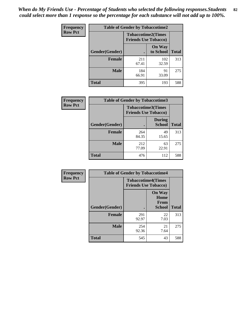| <b>Frequency</b> | <b>Table of Gender by Tobaccotime2</b> |                             |                            |              |
|------------------|----------------------------------------|-----------------------------|----------------------------|--------------|
| <b>Row Pct</b>   |                                        | <b>Friends Use Tobacco)</b> | <b>Tobaccotime2(Times</b>  |              |
|                  | Gender(Gender)                         |                             | <b>On Way</b><br>to School | <b>Total</b> |
|                  | <b>Female</b>                          | 211<br>67.41                | 102<br>32.59               | 313          |
|                  | <b>Male</b>                            | 184<br>66.91                | 91<br>33.09                | 275          |
|                  | <b>Total</b>                           | 395                         | 193                        | 588          |

| Frequency      | <b>Table of Gender by Tobaccotime3</b> |                                                          |                                |              |
|----------------|----------------------------------------|----------------------------------------------------------|--------------------------------|--------------|
| <b>Row Pct</b> |                                        | <b>Tobaccotime3(Times</b><br><b>Friends Use Tobacco)</b> |                                |              |
|                | Gender(Gender)                         |                                                          | <b>During</b><br><b>School</b> | <b>Total</b> |
|                | Female                                 | 264<br>84.35                                             | 49<br>15.65                    | 313          |
|                | <b>Male</b>                            | 212<br>77.09                                             | 63<br>22.91                    | 275          |
|                | <b>Total</b>                           | 476                                                      | 112                            | 588          |

| Frequency      | <b>Table of Gender by Tobaccotime4</b> |                                                          |                                                |              |
|----------------|----------------------------------------|----------------------------------------------------------|------------------------------------------------|--------------|
| <b>Row Pct</b> |                                        | <b>Tobaccotime4(Times</b><br><b>Friends Use Tobacco)</b> |                                                |              |
|                | Gender(Gender)                         |                                                          | <b>On Way</b><br>Home<br><b>From</b><br>School | <b>Total</b> |
|                | <b>Female</b>                          | 291<br>92.97                                             | 22<br>7.03                                     | 313          |
|                | <b>Male</b>                            | 254<br>92.36                                             | 21<br>7.64                                     | 275          |
|                | <b>Total</b>                           | 545                                                      | 43                                             | 588          |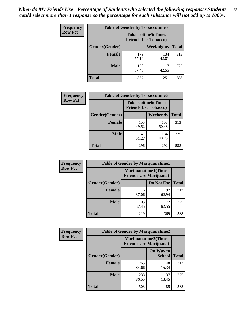| Frequency      | <b>Table of Gender by Tobaccotime5</b> |              |                                                          |              |
|----------------|----------------------------------------|--------------|----------------------------------------------------------|--------------|
| <b>Row Pct</b> |                                        |              | <b>Tobaccotime5(Times</b><br><b>Friends Use Tobacco)</b> |              |
|                | <b>Gender</b> (Gender)                 |              | Weeknights                                               | <b>Total</b> |
|                | <b>Female</b>                          | 179<br>57.19 | 134<br>42.81                                             | 313          |
|                | <b>Male</b>                            | 158<br>57.45 | 117<br>42.55                                             | 275          |
|                | <b>Total</b>                           | 337          | 251                                                      | 588          |

| <b>Frequency</b> | <b>Table of Gender by Tobaccotime6</b> |                                                          |              |              |
|------------------|----------------------------------------|----------------------------------------------------------|--------------|--------------|
| <b>Row Pct</b>   |                                        | <b>Tobaccotime6(Times</b><br><b>Friends Use Tobacco)</b> |              |              |
|                  | Gender(Gender)                         |                                                          | Weekends     | <b>Total</b> |
|                  | <b>Female</b>                          | 155<br>49.52                                             | 158<br>50.48 | 313          |
|                  | <b>Male</b>                            | 141<br>51.27                                             | 134<br>48.73 | 275          |
|                  | <b>Total</b>                           | 296                                                      | 292          | 588          |

| <b>Frequency</b> | <b>Table of Gender by Marijuanatime1</b> |                                                               |              |              |
|------------------|------------------------------------------|---------------------------------------------------------------|--------------|--------------|
| <b>Row Pct</b>   |                                          | <b>Marijuanatime1(Times</b><br><b>Friends Use Marijuana</b> ) |              |              |
|                  | Gender(Gender)                           |                                                               | Do Not Use   | <b>Total</b> |
|                  | <b>Female</b>                            | 116<br>37.06                                                  | 197<br>62.94 | 313          |
|                  | <b>Male</b>                              | 103<br>37.45                                                  | 172<br>62.55 | 275          |
|                  | <b>Total</b>                             | 219                                                           | 369          | 588          |

| <b>Frequency</b> | <b>Table of Gender by Marijuanatime2</b> |                                                        |                            |              |
|------------------|------------------------------------------|--------------------------------------------------------|----------------------------|--------------|
| <b>Row Pct</b>   |                                          | Marijuanatime2(Times<br><b>Friends Use Marijuana</b> ) |                            |              |
|                  | Gender(Gender)                           |                                                        | On Way to<br><b>School</b> | <b>Total</b> |
|                  | Female                                   | 265<br>84.66                                           | 48<br>15.34                | 313          |
|                  | <b>Male</b>                              | 238<br>86.55                                           | 37<br>13.45                | 275          |
|                  | <b>Total</b>                             | 503                                                    | 85                         | 588          |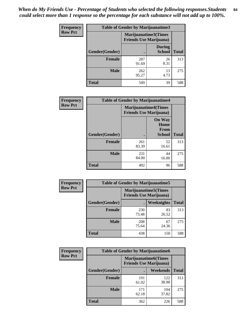| Frequency      | <b>Table of Gender by Marijuanatime3</b> |                                                        |                                |              |
|----------------|------------------------------------------|--------------------------------------------------------|--------------------------------|--------------|
| <b>Row Pct</b> |                                          | Marijuanatime3(Times<br><b>Friends Use Marijuana</b> ) |                                |              |
|                | Gender(Gender)                           |                                                        | <b>During</b><br><b>School</b> | <b>Total</b> |
|                | <b>Female</b>                            | 287<br>91.69                                           | 26<br>8.31                     | 313          |
|                | <b>Male</b>                              | 262<br>95.27                                           | 13<br>4.73                     | 275          |
|                | <b>Total</b>                             | 549                                                    | 39                             | 588          |

| Frequency      | <b>Table of Gender by Marijuanatime4</b> |              |                                                                |              |
|----------------|------------------------------------------|--------------|----------------------------------------------------------------|--------------|
| <b>Row Pct</b> |                                          |              | <b>Marijuanatime4</b> (Times<br><b>Friends Use Marijuana</b> ) |              |
|                | Gender(Gender)                           |              | <b>On Way</b><br>Home<br>From<br><b>School</b>                 | <b>Total</b> |
|                | <b>Female</b>                            | 261<br>83.39 | 52<br>16.61                                                    | 313          |
|                | <b>Male</b>                              | 231<br>84.00 | 44<br>16.00                                                    | 275          |
|                | <b>Total</b>                             | 492          | 96                                                             | 588          |

| <b>Frequency</b> | <b>Table of Gender by Marijuanatime5</b> |              |                                                                |              |  |
|------------------|------------------------------------------|--------------|----------------------------------------------------------------|--------------|--|
| <b>Row Pct</b>   |                                          |              | <b>Marijuanatime5</b> (Times<br><b>Friends Use Marijuana</b> ) |              |  |
|                  | Gender(Gender)                           | ٠            | Weeknights                                                     | <b>Total</b> |  |
|                  | <b>Female</b>                            | 230<br>73.48 | 83<br>26.52                                                    | 313          |  |
|                  | <b>Male</b>                              | 208<br>75.64 | 67<br>24.36                                                    | 275          |  |
|                  | <b>Total</b>                             | 438          | 150                                                            | 588          |  |

| <b>Frequency</b> | <b>Table of Gender by Marijuanatime6</b> |                                                               |                 |              |  |
|------------------|------------------------------------------|---------------------------------------------------------------|-----------------|--------------|--|
| <b>Row Pct</b>   |                                          | <b>Marijuanatime6(Times</b><br><b>Friends Use Marijuana</b> ) |                 |              |  |
|                  | Gender(Gender)                           |                                                               | <b>Weekends</b> | <b>Total</b> |  |
|                  | <b>Female</b>                            | 191<br>61.02                                                  | 122<br>38.98    | 313          |  |
|                  | <b>Male</b>                              | 171<br>62.18                                                  | 104<br>37.82    | 275          |  |
|                  | <b>Total</b>                             | 362                                                           | 226             | 588          |  |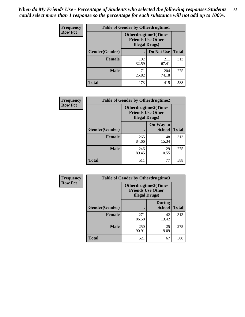*When do My Friends Use - Percentage of Students who selected the following responses.Students could select more than 1 response so the percentage for each substance will not add up to 100%.* **85**

| <b>Frequency</b> | <b>Table of Gender by Otherdrugtime1</b> |                                                                                   |                    |     |
|------------------|------------------------------------------|-----------------------------------------------------------------------------------|--------------------|-----|
| <b>Row Pct</b>   |                                          | <b>Otherdrugtime1(Times</b><br><b>Friends Use Other</b><br><b>Illegal Drugs</b> ) |                    |     |
|                  | Gender(Gender)                           |                                                                                   | Do Not Use   Total |     |
|                  | <b>Female</b>                            | 102<br>32.59                                                                      | 211<br>67.41       | 313 |
|                  | <b>Male</b>                              | 71<br>25.82                                                                       | 204<br>74.18       | 275 |
|                  | <b>Total</b>                             | 173                                                                               | 415                | 588 |

| Frequency      | <b>Table of Gender by Otherdrugtime2</b> |                                                                                   |                            |              |
|----------------|------------------------------------------|-----------------------------------------------------------------------------------|----------------------------|--------------|
| <b>Row Pct</b> |                                          | <b>Otherdrugtime2(Times</b><br><b>Friends Use Other</b><br><b>Illegal Drugs</b> ) |                            |              |
|                | Gender(Gender)                           |                                                                                   | On Way to<br><b>School</b> | <b>Total</b> |
|                | <b>Female</b>                            | 265<br>84.66                                                                      | 48<br>15.34                | 313          |
|                | <b>Male</b>                              | 246<br>89.45                                                                      | 29<br>10.55                | 275          |
|                | <b>Total</b>                             | 511                                                                               | 77                         | 588          |

| Frequency      | <b>Table of Gender by Otherdrugtime3</b> |                                                                                   |                                |              |
|----------------|------------------------------------------|-----------------------------------------------------------------------------------|--------------------------------|--------------|
| <b>Row Pct</b> |                                          | <b>Otherdrugtime3(Times</b><br><b>Friends Use Other</b><br><b>Illegal Drugs</b> ) |                                |              |
|                | Gender(Gender)                           |                                                                                   | <b>During</b><br><b>School</b> | <b>Total</b> |
|                | <b>Female</b>                            | 271<br>86.58                                                                      | 42<br>13.42                    | 313          |
|                | <b>Male</b>                              | 250<br>90.91                                                                      | 25<br>9.09                     | 275          |
|                | <b>Total</b>                             | 521                                                                               | 67                             | 588          |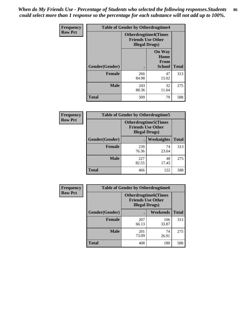*When do My Friends Use - Percentage of Students who selected the following responses.Students could select more than 1 response so the percentage for each substance will not add up to 100%.* **86**

| <b>Frequency</b> | <b>Table of Gender by Otherdrugtime4</b> |                                                    |                                                |              |
|------------------|------------------------------------------|----------------------------------------------------|------------------------------------------------|--------------|
| <b>Row Pct</b>   |                                          | <b>Friends Use Other</b><br><b>Illegal Drugs</b> ) | <b>Otherdrugtime4(Times</b>                    |              |
|                  | Gender(Gender)                           |                                                    | <b>On Way</b><br>Home<br>From<br><b>School</b> | <b>Total</b> |
|                  | <b>Female</b>                            | 266<br>84.98                                       | 47<br>15.02                                    | 313          |
|                  | <b>Male</b>                              | 243<br>88.36                                       | 32<br>11.64                                    | 275          |
|                  | <b>Total</b>                             | 509                                                | 79                                             | 588          |

| Frequency      | <b>Table of Gender by Otherdrugtime5</b> |                                                                                    |                   |              |
|----------------|------------------------------------------|------------------------------------------------------------------------------------|-------------------|--------------|
| <b>Row Pct</b> |                                          | <b>Otherdrugtime5</b> (Times<br><b>Friends Use Other</b><br><b>Illegal Drugs</b> ) |                   |              |
|                | Gender(Gender)                           |                                                                                    | <b>Weeknights</b> | <b>Total</b> |
|                | <b>Female</b>                            | 239<br>76.36                                                                       | 74<br>23.64       | 313          |
|                | <b>Male</b>                              | 227<br>82.55                                                                       | 48<br>17.45       | 275          |
|                | <b>Total</b>                             | 466                                                                                | 122               | 588          |

| Frequency      | <b>Table of Gender by Otherdrugtime6</b> |                                                                                   |              |              |  |
|----------------|------------------------------------------|-----------------------------------------------------------------------------------|--------------|--------------|--|
| <b>Row Pct</b> |                                          | <b>Otherdrugtime6(Times</b><br><b>Friends Use Other</b><br><b>Illegal Drugs</b> ) |              |              |  |
|                | Gender(Gender)                           |                                                                                   | Weekends     | <b>Total</b> |  |
|                | <b>Female</b>                            | 207<br>66.13                                                                      | 106<br>33.87 | 313          |  |
|                | <b>Male</b>                              | 201<br>73.09                                                                      | 74<br>26.91  | 275          |  |
|                | <b>Total</b>                             | 408                                                                               | 180          | 588          |  |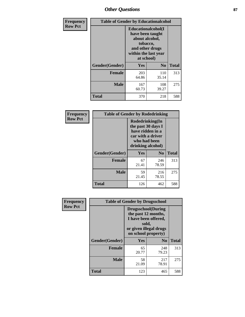# *Other Questions* **87**

| <b>Frequency</b> | <b>Table of Gender by Educationalcohol</b> |                                                                                                                                       |                |              |
|------------------|--------------------------------------------|---------------------------------------------------------------------------------------------------------------------------------------|----------------|--------------|
| <b>Row Pct</b>   |                                            | <b>Educationalcohol</b> (I<br>have been taught<br>about alcohol,<br>tobacco,<br>and other drugs<br>within the last year<br>at school) |                |              |
|                  | Gender(Gender)                             | <b>Yes</b>                                                                                                                            | N <sub>0</sub> | <b>Total</b> |
|                  | <b>Female</b>                              | 203<br>64.86                                                                                                                          | 110<br>35.14   | 313          |
|                  | <b>Male</b>                                | 167<br>60.73                                                                                                                          | 108<br>39.27   | 275          |
|                  | <b>Total</b>                               | 370                                                                                                                                   | 218            | 588          |

| Frequency      | <b>Table of Gender by Rodedrinking</b> |                                                                                                                     |                |              |
|----------------|----------------------------------------|---------------------------------------------------------------------------------------------------------------------|----------------|--------------|
| <b>Row Pct</b> |                                        | Rodedrinking(In<br>the past 30 days I<br>have ridden in a<br>car with a driver<br>who had been<br>drinking alcohol) |                |              |
|                | Gender(Gender)                         | Yes                                                                                                                 | N <sub>0</sub> | <b>Total</b> |
|                | <b>Female</b>                          | 67<br>21.41                                                                                                         | 246<br>78.59   | 313          |
|                | <b>Male</b>                            | 59<br>21.45                                                                                                         | 216<br>78.55   | 275          |
|                | <b>Total</b>                           | 126                                                                                                                 | 462            | 588          |

| Frequency      | <b>Table of Gender by Drugsschool</b> |                                                                                                                                     |                |              |  |
|----------------|---------------------------------------|-------------------------------------------------------------------------------------------------------------------------------------|----------------|--------------|--|
| <b>Row Pct</b> |                                       | <b>Drugsschool</b> (During<br>the past 12 months,<br>I have been offered,<br>sold,<br>or given illegal drugs<br>on school property) |                |              |  |
|                | Gender(Gender)                        | <b>Yes</b>                                                                                                                          | N <sub>0</sub> | <b>Total</b> |  |
|                | <b>Female</b>                         | 65<br>20.77                                                                                                                         | 248<br>79.23   | 313          |  |
|                | <b>Male</b>                           | 58<br>21.09                                                                                                                         | 217<br>78.91   | 275          |  |
|                | <b>Total</b>                          | 123                                                                                                                                 | 465            | 588          |  |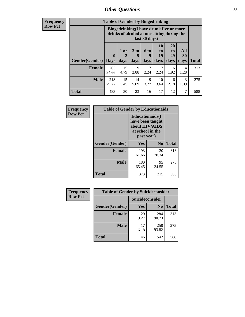# *Other Questions* **88**

**Frequency Row Pct**

| <b>Table of Gender by Bingedrinking</b> |                            |                                                                                                         |                   |                          |                        |                               |                   |              |
|-----------------------------------------|----------------------------|---------------------------------------------------------------------------------------------------------|-------------------|--------------------------|------------------------|-------------------------------|-------------------|--------------|
|                                         |                            | Bingedrinking(I have drunk five or more<br>drinks of alcohol at one sitting during the<br>last 30 days) |                   |                          |                        |                               |                   |              |
| <b>Gender</b> (Gender)                  | $\mathbf 0$<br><b>Days</b> | 1 or<br>days                                                                                            | 3 to<br>5<br>days | <b>6 to</b><br>9<br>days | 10<br>to<br>19<br>days | <b>20</b><br>to<br>29<br>days | All<br>30<br>days | <b>Total</b> |
| <b>Female</b>                           | 265                        | 15                                                                                                      | 9                 |                          | 7                      | 6                             | 4                 | 313          |
|                                         | 84.66                      | 4.79                                                                                                    | 2.88              | 2.24                     | 2.24                   | 1.92                          | 1.28              |              |
| <b>Male</b>                             | 218<br>79.27               | 15<br>5.45                                                                                              | 14<br>5.09        | 9<br>3.27                | 10<br>3.64             | 6<br>2.18                     | 3<br>1.09         | 275          |

| Frequency      | <b>Table of Gender by Educationaids</b> |                                                                                                 |              |              |
|----------------|-----------------------------------------|-------------------------------------------------------------------------------------------------|--------------|--------------|
| <b>Row Pct</b> |                                         | <b>Educationaids</b> (I<br>have been taught<br>about HIV/AIDS<br>at school in the<br>past year) |              |              |
|                | Gender(Gender)                          | Yes                                                                                             | $\bf N_0$    | <b>Total</b> |
|                | <b>Female</b>                           | 193<br>61.66                                                                                    | 120<br>38.34 | 313          |
|                | <b>Male</b>                             | 180<br>65.45                                                                                    | 95<br>34.55  | 275          |
|                | <b>Total</b>                            | 373                                                                                             | 215          | 588          |

| <b>Frequency</b> | <b>Table of Gender by Suicideconsider</b> |                 |                |       |
|------------------|-------------------------------------------|-----------------|----------------|-------|
| <b>Row Pct</b>   |                                           | Suicideconsider |                |       |
|                  | Gender(Gender)                            | Yes             | N <sub>0</sub> | Total |
|                  | <b>Female</b>                             | 29<br>9.27      | 284<br>90.73   | 313   |
|                  | <b>Male</b>                               | 17<br>6.18      | 258<br>93.82   | 275   |
|                  | <b>Total</b>                              | 46              | 542            | 588   |